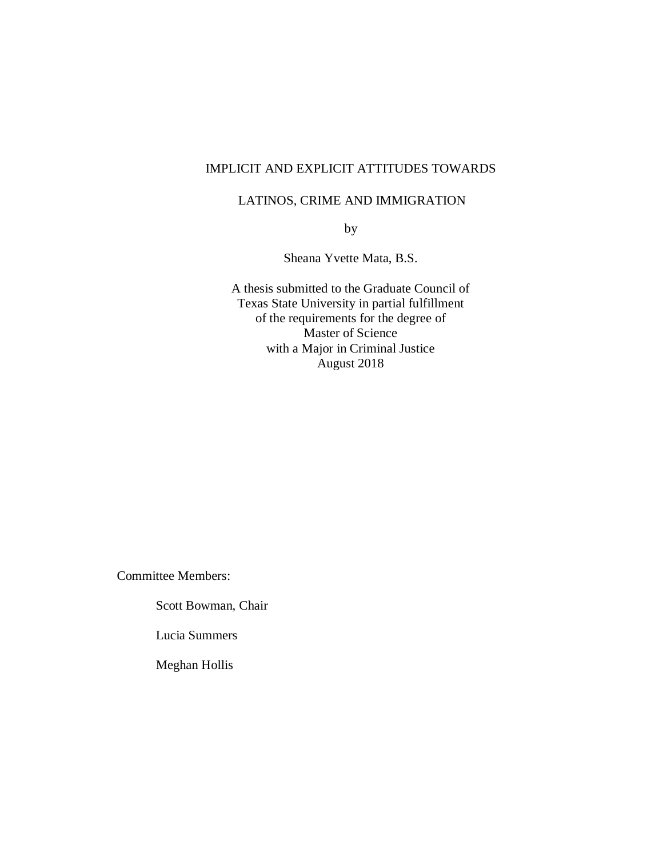## IMPLICIT AND EXPLICIT ATTITUDES TOWARDS

## LATINOS, CRIME AND IMMIGRATION

by

Sheana Yvette Mata, B.S.

A thesis submitted to the Graduate Council of Texas State University in partial fulfillment of the requirements for the degree of Master of Science with a Major in Criminal Justice August 2018

Committee Members:

Scott Bowman, Chair

Lucia Summers

Meghan Hollis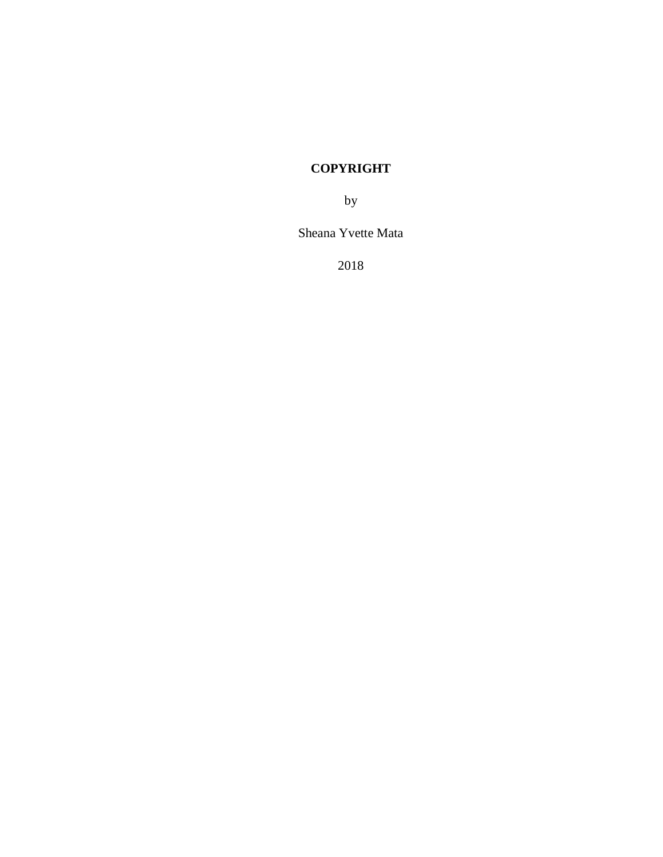# **COPYRIGHT**

by

Sheana Yvette Mata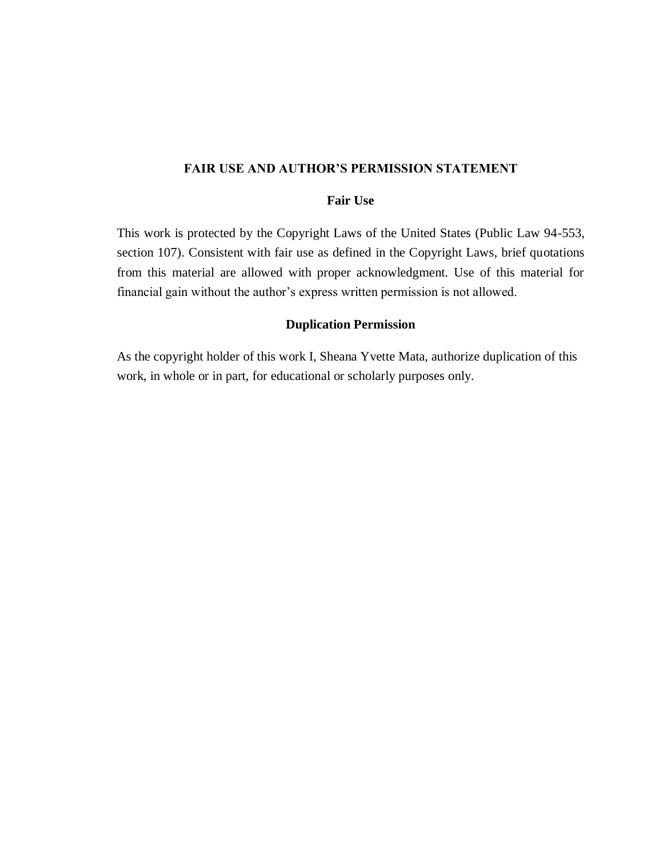## **FAIR USE AND AUTHOR'S PERMISSION STATEMENT**

## **Fair Use**

This work is protected by the Copyright Laws of the United States (Public Law 94-553, section 107). Consistent with fair use as defined in the Copyright Laws, brief quotations from this material are allowed with proper acknowledgment. Use of this material for financial gain without the author's express written permission is not allowed.

## **Duplication Permission**

As the copyright holder of this work I, Sheana Yvette Mata, authorize duplication of this work, in whole or in part, for educational or scholarly purposes only.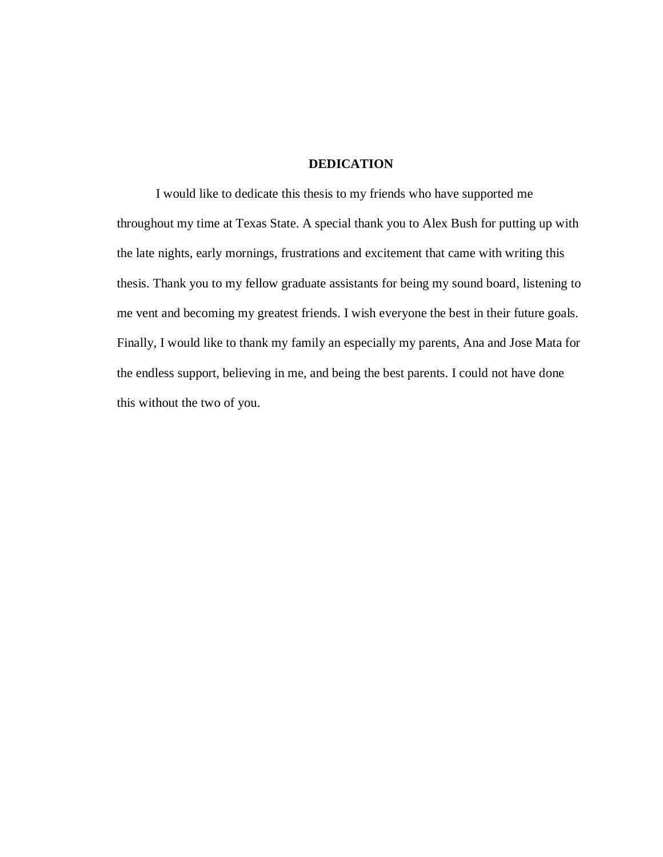## **DEDICATION**

I would like to dedicate this thesis to my friends who have supported me throughout my time at Texas State. A special thank you to Alex Bush for putting up with the late nights, early mornings, frustrations and excitement that came with writing this thesis. Thank you to my fellow graduate assistants for being my sound board, listening to me vent and becoming my greatest friends. I wish everyone the best in their future goals. Finally, I would like to thank my family an especially my parents, Ana and Jose Mata for the endless support, believing in me, and being the best parents. I could not have done this without the two of you.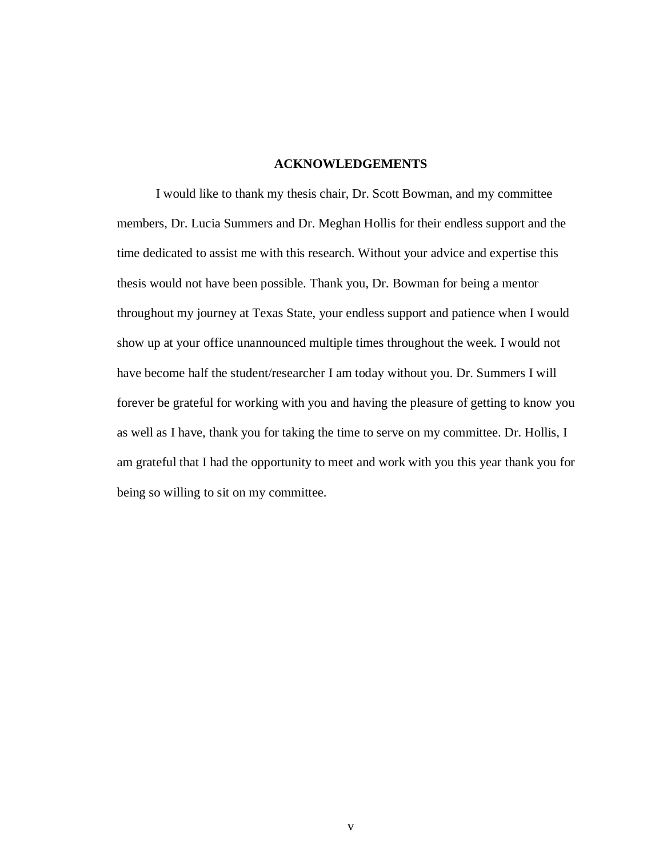## **ACKNOWLEDGEMENTS**

I would like to thank my thesis chair, Dr. Scott Bowman, and my committee members, Dr. Lucia Summers and Dr. Meghan Hollis for their endless support and the time dedicated to assist me with this research. Without your advice and expertise this thesis would not have been possible. Thank you, Dr. Bowman for being a mentor throughout my journey at Texas State, your endless support and patience when I would show up at your office unannounced multiple times throughout the week. I would not have become half the student/researcher I am today without you. Dr. Summers I will forever be grateful for working with you and having the pleasure of getting to know you as well as I have, thank you for taking the time to serve on my committee. Dr. Hollis, I am grateful that I had the opportunity to meet and work with you this year thank you for being so willing to sit on my committee.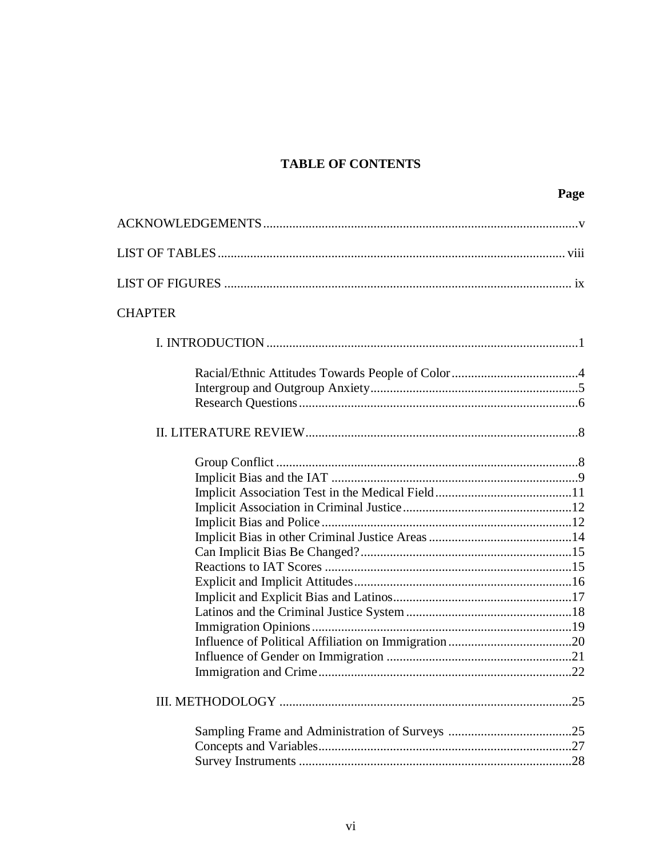# **TABLE OF CONTENTS**

|                | Page |
|----------------|------|
|                |      |
|                |      |
|                |      |
| <b>CHAPTER</b> |      |
|                |      |
|                |      |
|                |      |
|                |      |
|                |      |
|                |      |
|                |      |
|                |      |
|                |      |
|                |      |
|                |      |
|                |      |
|                |      |
|                |      |
|                |      |
|                |      |
|                |      |
|                |      |
|                |      |
|                |      |
|                |      |
|                |      |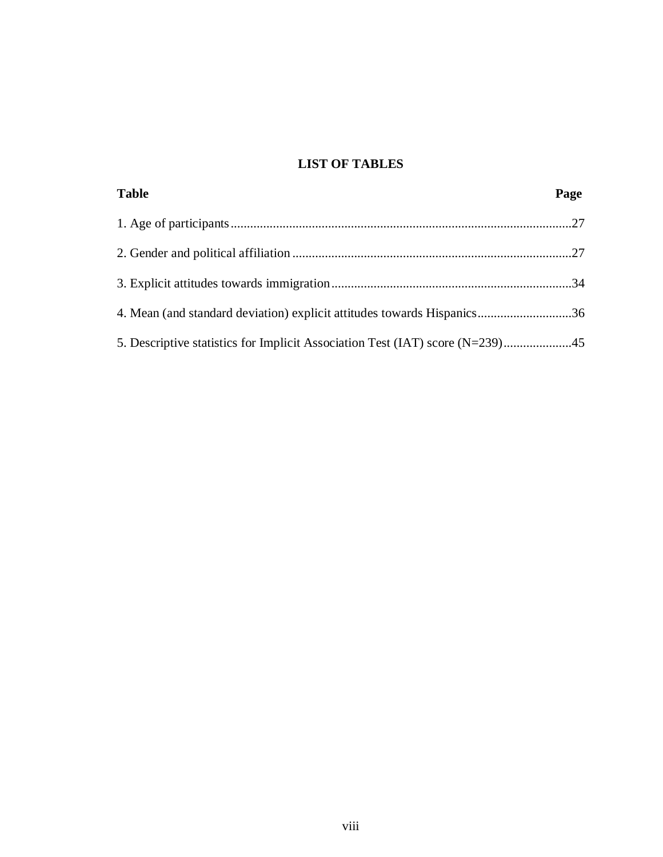# **LIST OF TABLES**

| <b>Table</b>                                                                | Page |
|-----------------------------------------------------------------------------|------|
|                                                                             |      |
|                                                                             |      |
|                                                                             |      |
| 4. Mean (and standard deviation) explicit attitudes towards Hispanics36     |      |
| 5. Descriptive statistics for Implicit Association Test (IAT) score (N=239) |      |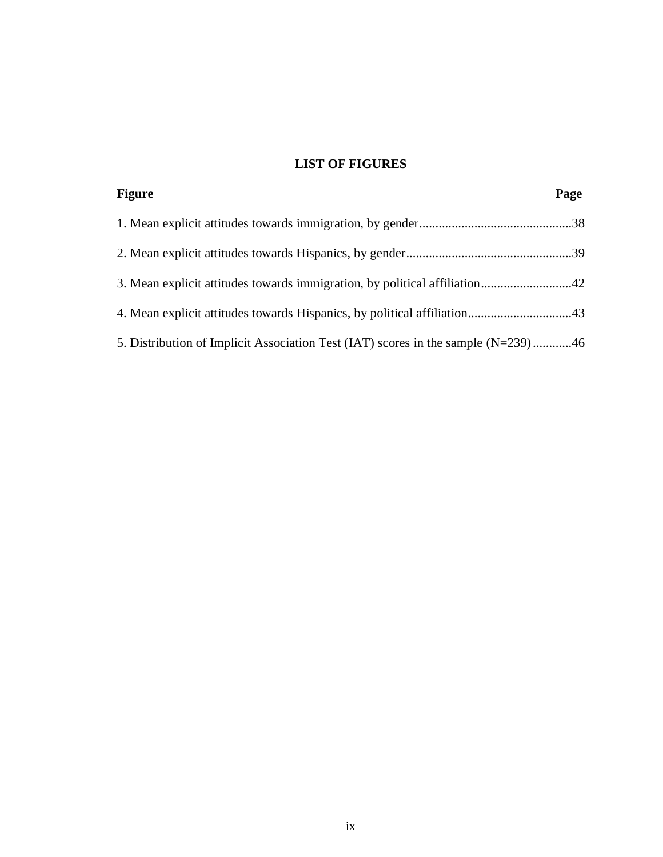# **LIST OF FIGURES**

| <b>Figure</b>                                                                     | Page |
|-----------------------------------------------------------------------------------|------|
|                                                                                   |      |
|                                                                                   |      |
| 3. Mean explicit attitudes towards immigration, by political affiliation42        |      |
|                                                                                   |      |
| 5. Distribution of Implicit Association Test (IAT) scores in the sample (N=239)46 |      |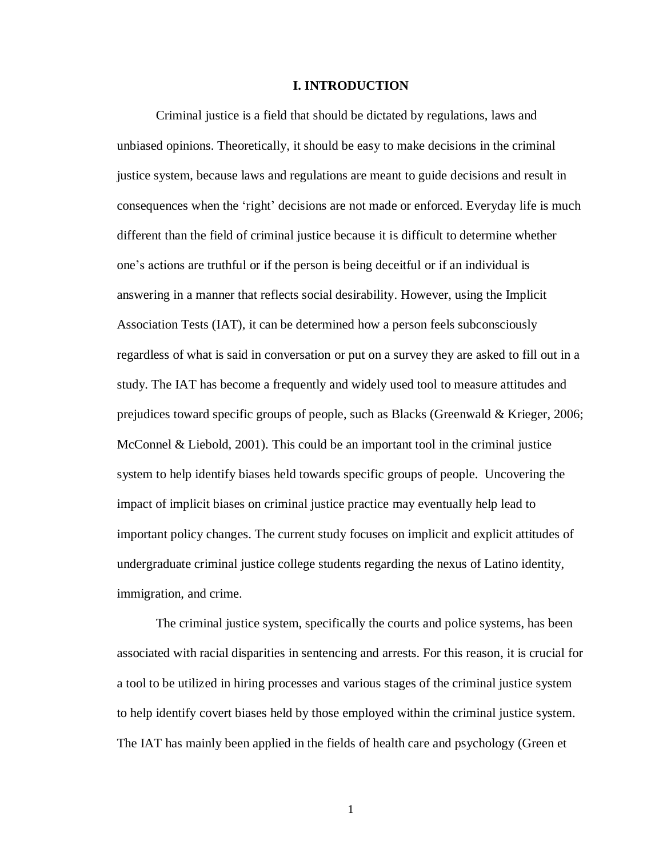## **I. INTRODUCTION**

Criminal justice is a field that should be dictated by regulations, laws and unbiased opinions. Theoretically, it should be easy to make decisions in the criminal justice system, because laws and regulations are meant to guide decisions and result in consequences when the 'right' decisions are not made or enforced. Everyday life is much different than the field of criminal justice because it is difficult to determine whether one's actions are truthful or if the person is being deceitful or if an individual is answering in a manner that reflects social desirability. However, using the Implicit Association Tests (IAT), it can be determined how a person feels subconsciously regardless of what is said in conversation or put on a survey they are asked to fill out in a study. The IAT has become a frequently and widely used tool to measure attitudes and prejudices toward specific groups of people, such as Blacks (Greenwald & Krieger, 2006; McConnel & Liebold, 2001). This could be an important tool in the criminal justice system to help identify biases held towards specific groups of people. Uncovering the impact of implicit biases on criminal justice practice may eventually help lead to important policy changes. The current study focuses on implicit and explicit attitudes of undergraduate criminal justice college students regarding the nexus of Latino identity, immigration, and crime.

The criminal justice system, specifically the courts and police systems, has been associated with racial disparities in sentencing and arrests. For this reason, it is crucial for a tool to be utilized in hiring processes and various stages of the criminal justice system to help identify covert biases held by those employed within the criminal justice system. The IAT has mainly been applied in the fields of health care and psychology (Green et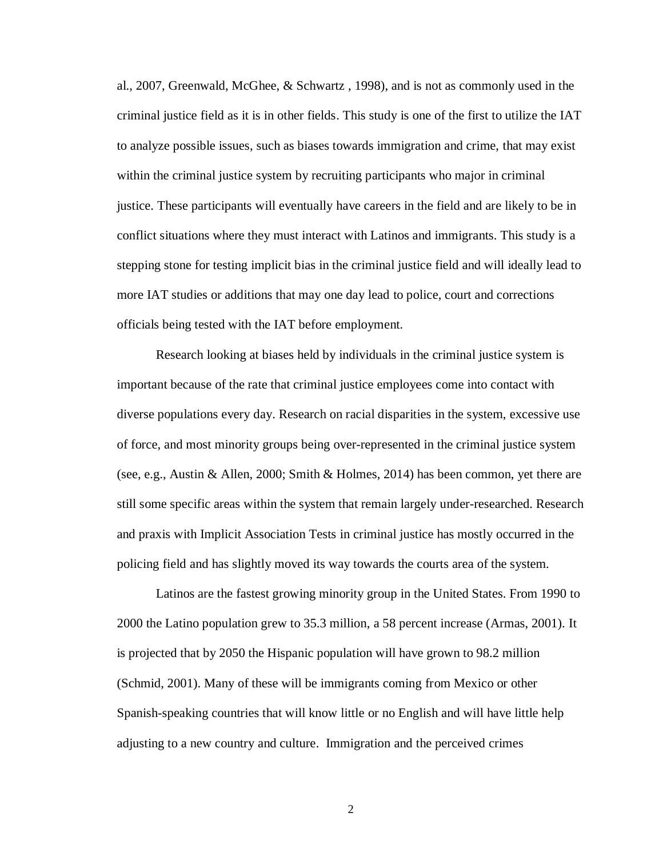al., 2007, Greenwald, McGhee, & Schwartz , 1998), and is not as commonly used in the criminal justice field as it is in other fields. This study is one of the first to utilize the IAT to analyze possible issues, such as biases towards immigration and crime, that may exist within the criminal justice system by recruiting participants who major in criminal justice. These participants will eventually have careers in the field and are likely to be in conflict situations where they must interact with Latinos and immigrants. This study is a stepping stone for testing implicit bias in the criminal justice field and will ideally lead to more IAT studies or additions that may one day lead to police, court and corrections officials being tested with the IAT before employment.

Research looking at biases held by individuals in the criminal justice system is important because of the rate that criminal justice employees come into contact with diverse populations every day. Research on racial disparities in the system, excessive use of force, and most minority groups being over-represented in the criminal justice system (see, e.g., Austin & Allen, 2000; Smith & Holmes, 2014) has been common, yet there are still some specific areas within the system that remain largely under-researched. Research and praxis with Implicit Association Tests in criminal justice has mostly occurred in the policing field and has slightly moved its way towards the courts area of the system.

Latinos are the fastest growing minority group in the United States. From 1990 to 2000 the Latino population grew to 35.3 million, a 58 percent increase (Armas, 2001). It is projected that by 2050 the Hispanic population will have grown to 98.2 million (Schmid, 2001). Many of these will be immigrants coming from Mexico or other Spanish-speaking countries that will know little or no English and will have little help adjusting to a new country and culture. Immigration and the perceived crimes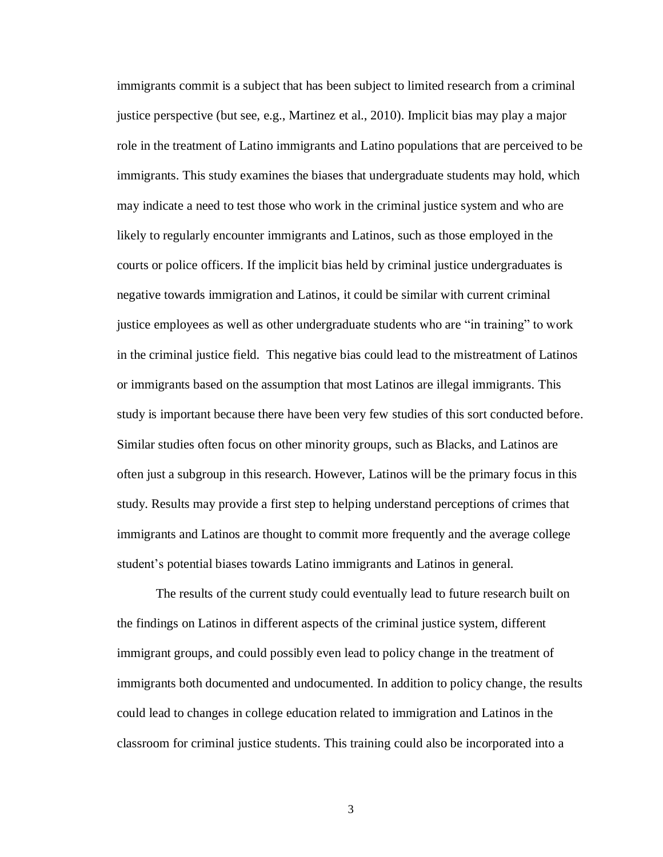immigrants commit is a subject that has been subject to limited research from a criminal justice perspective (but see, e.g., Martinez et al., 2010). Implicit bias may play a major role in the treatment of Latino immigrants and Latino populations that are perceived to be immigrants. This study examines the biases that undergraduate students may hold, which may indicate a need to test those who work in the criminal justice system and who are likely to regularly encounter immigrants and Latinos, such as those employed in the courts or police officers. If the implicit bias held by criminal justice undergraduates is negative towards immigration and Latinos, it could be similar with current criminal justice employees as well as other undergraduate students who are "in training" to work in the criminal justice field. This negative bias could lead to the mistreatment of Latinos or immigrants based on the assumption that most Latinos are illegal immigrants. This study is important because there have been very few studies of this sort conducted before. Similar studies often focus on other minority groups, such as Blacks, and Latinos are often just a subgroup in this research. However, Latinos will be the primary focus in this study. Results may provide a first step to helping understand perceptions of crimes that immigrants and Latinos are thought to commit more frequently and the average college student's potential biases towards Latino immigrants and Latinos in general.

The results of the current study could eventually lead to future research built on the findings on Latinos in different aspects of the criminal justice system, different immigrant groups, and could possibly even lead to policy change in the treatment of immigrants both documented and undocumented. In addition to policy change, the results could lead to changes in college education related to immigration and Latinos in the classroom for criminal justice students. This training could also be incorporated into a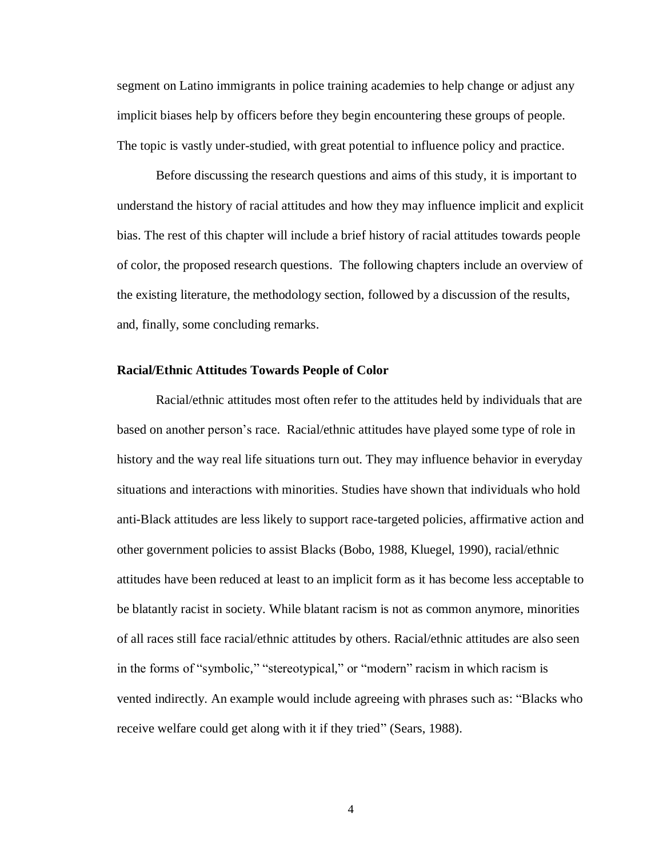segment on Latino immigrants in police training academies to help change or adjust any implicit biases help by officers before they begin encountering these groups of people. The topic is vastly under-studied, with great potential to influence policy and practice.

Before discussing the research questions and aims of this study, it is important to understand the history of racial attitudes and how they may influence implicit and explicit bias. The rest of this chapter will include a brief history of racial attitudes towards people of color, the proposed research questions. The following chapters include an overview of the existing literature, the methodology section, followed by a discussion of the results, and, finally, some concluding remarks.

## **Racial/Ethnic Attitudes Towards People of Color**

Racial/ethnic attitudes most often refer to the attitudes held by individuals that are based on another person's race. Racial/ethnic attitudes have played some type of role in history and the way real life situations turn out. They may influence behavior in everyday situations and interactions with minorities. Studies have shown that individuals who hold anti-Black attitudes are less likely to support race-targeted policies, affirmative action and other government policies to assist Blacks (Bobo, 1988, Kluegel, 1990), racial/ethnic attitudes have been reduced at least to an implicit form as it has become less acceptable to be blatantly racist in society. While blatant racism is not as common anymore, minorities of all races still face racial/ethnic attitudes by others. Racial/ethnic attitudes are also seen in the forms of "symbolic," "stereotypical," or "modern" racism in which racism is vented indirectly. An example would include agreeing with phrases such as: "Blacks who receive welfare could get along with it if they tried" (Sears, 1988).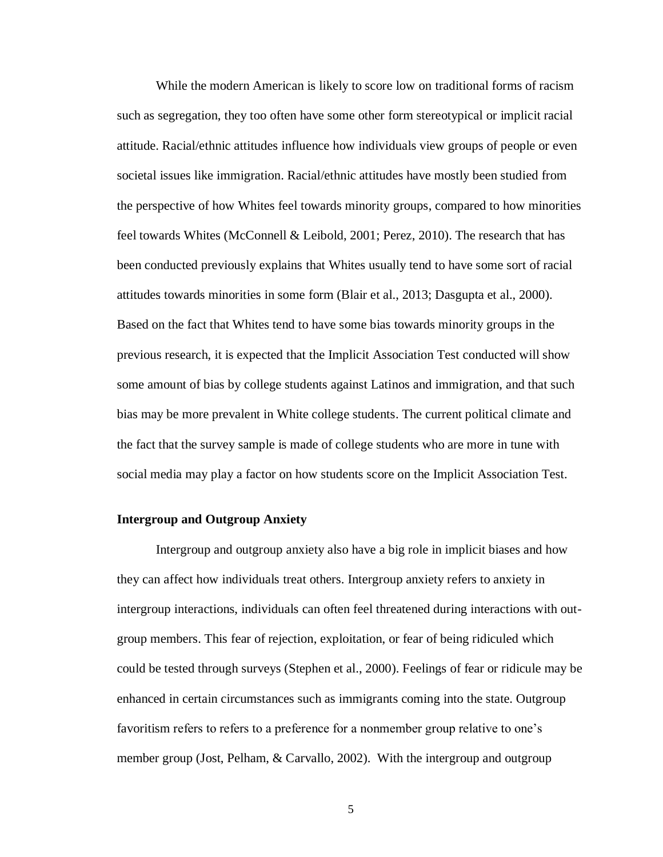While the modern American is likely to score low on traditional forms of racism such as segregation, they too often have some other form stereotypical or implicit racial attitude. Racial/ethnic attitudes influence how individuals view groups of people or even societal issues like immigration. Racial/ethnic attitudes have mostly been studied from the perspective of how Whites feel towards minority groups, compared to how minorities feel towards Whites (McConnell & Leibold, 2001; Perez, 2010). The research that has been conducted previously explains that Whites usually tend to have some sort of racial attitudes towards minorities in some form (Blair et al., 2013; Dasgupta et al., 2000). Based on the fact that Whites tend to have some bias towards minority groups in the previous research, it is expected that the Implicit Association Test conducted will show some amount of bias by college students against Latinos and immigration, and that such bias may be more prevalent in White college students. The current political climate and the fact that the survey sample is made of college students who are more in tune with social media may play a factor on how students score on the Implicit Association Test.

#### **Intergroup and Outgroup Anxiety**

Intergroup and outgroup anxiety also have a big role in implicit biases and how they can affect how individuals treat others. Intergroup anxiety refers to anxiety in intergroup interactions, individuals can often feel threatened during interactions with outgroup members. This fear of rejection, exploitation, or fear of being ridiculed which could be tested through surveys (Stephen et al., 2000). Feelings of fear or ridicule may be enhanced in certain circumstances such as immigrants coming into the state. Outgroup favoritism refers to refers to a preference for a nonmember group relative to one's member group (Jost, Pelham, & Carvallo, 2002). With the intergroup and outgroup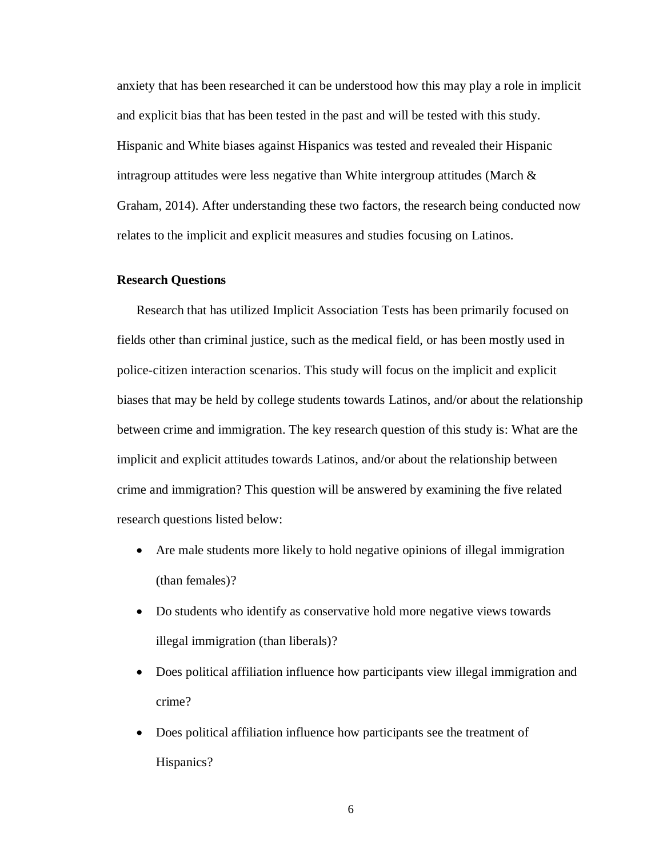anxiety that has been researched it can be understood how this may play a role in implicit and explicit bias that has been tested in the past and will be tested with this study. Hispanic and White biases against Hispanics was tested and revealed their Hispanic intragroup attitudes were less negative than White intergroup attitudes (March  $\&$ Graham, 2014). After understanding these two factors, the research being conducted now relates to the implicit and explicit measures and studies focusing on Latinos.

## **Research Questions**

Research that has utilized Implicit Association Tests has been primarily focused on fields other than criminal justice, such as the medical field, or has been mostly used in police-citizen interaction scenarios. This study will focus on the implicit and explicit biases that may be held by college students towards Latinos, and/or about the relationship between crime and immigration. The key research question of this study is: What are the implicit and explicit attitudes towards Latinos, and/or about the relationship between crime and immigration? This question will be answered by examining the five related research questions listed below:

- Are male students more likely to hold negative opinions of illegal immigration (than females)?
- Do students who identify as conservative hold more negative views towards illegal immigration (than liberals)?
- Does political affiliation influence how participants view illegal immigration and crime?
- Does political affiliation influence how participants see the treatment of Hispanics?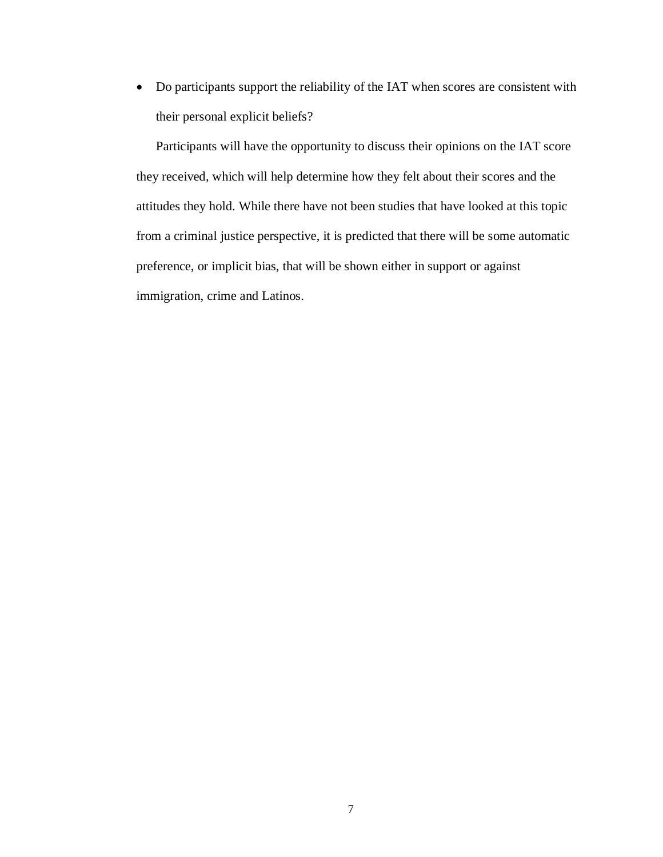• Do participants support the reliability of the IAT when scores are consistent with their personal explicit beliefs?

Participants will have the opportunity to discuss their opinions on the IAT score they received, which will help determine how they felt about their scores and the attitudes they hold. While there have not been studies that have looked at this topic from a criminal justice perspective, it is predicted that there will be some automatic preference, or implicit bias, that will be shown either in support or against immigration, crime and Latinos.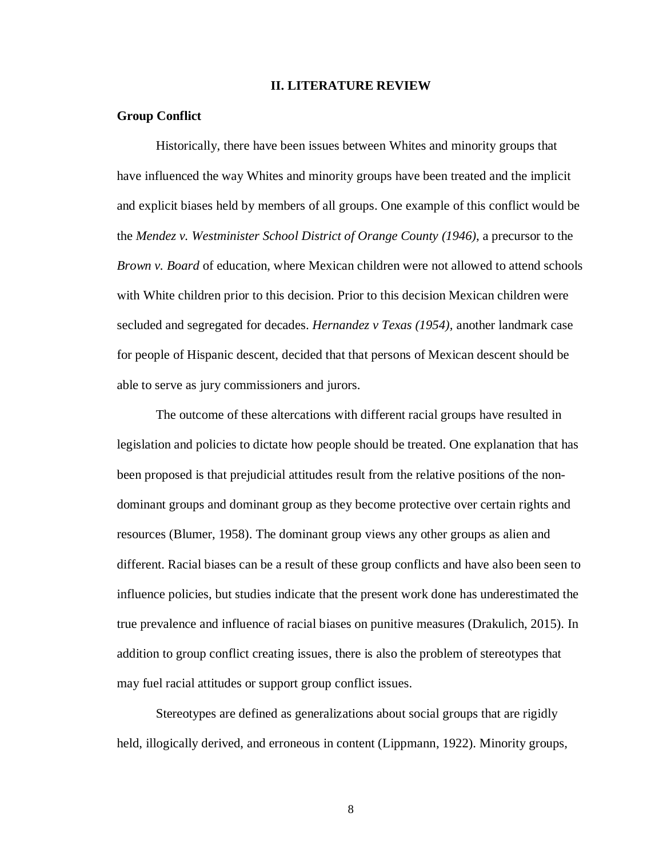#### **II. LITERATURE REVIEW**

## **Group Conflict**

Historically, there have been issues between Whites and minority groups that have influenced the way Whites and minority groups have been treated and the implicit and explicit biases held by members of all groups. One example of this conflict would be the *Mendez v. Westminister School District of Orange County (1946)*, a precursor to the *Brown v. Board* of education, where Mexican children were not allowed to attend schools with White children prior to this decision. Prior to this decision Mexican children were secluded and segregated for decades. *Hernandez v Texas (1954),* another landmark case for people of Hispanic descent, decided that that persons of Mexican descent should be able to serve as jury commissioners and jurors.

The outcome of these altercations with different racial groups have resulted in legislation and policies to dictate how people should be treated. One explanation that has been proposed is that prejudicial attitudes result from the relative positions of the nondominant groups and dominant group as they become protective over certain rights and resources (Blumer, 1958). The dominant group views any other groups as alien and different. Racial biases can be a result of these group conflicts and have also been seen to influence policies, but studies indicate that the present work done has underestimated the true prevalence and influence of racial biases on punitive measures (Drakulich, 2015). In addition to group conflict creating issues, there is also the problem of stereotypes that may fuel racial attitudes or support group conflict issues.

Stereotypes are defined as generalizations about social groups that are rigidly held, illogically derived, and erroneous in content (Lippmann, 1922). Minority groups,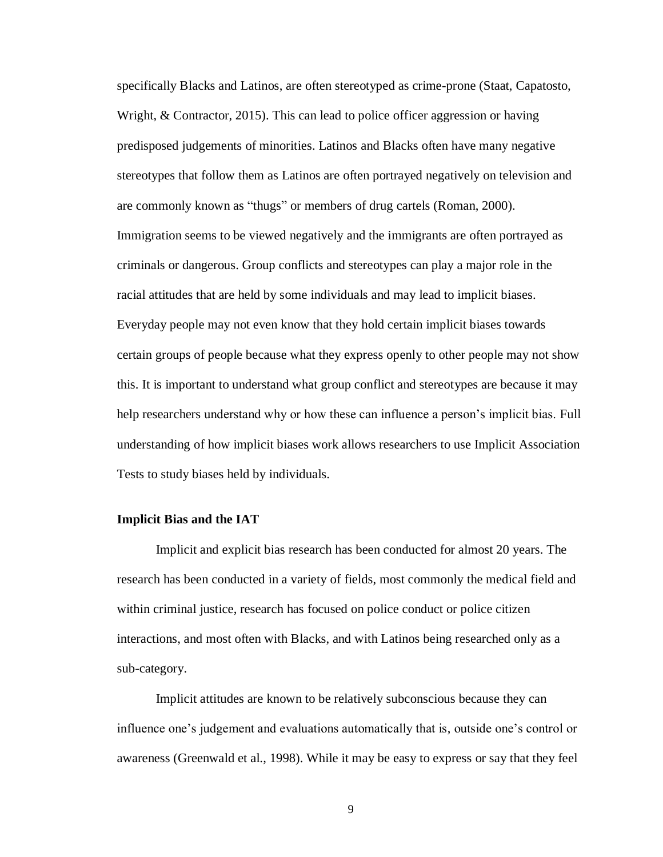specifically Blacks and Latinos, are often stereotyped as crime-prone (Staat, Capatosto, Wright, & Contractor, 2015). This can lead to police officer aggression or having predisposed judgements of minorities. Latinos and Blacks often have many negative stereotypes that follow them as Latinos are often portrayed negatively on television and are commonly known as "thugs" or members of drug cartels (Roman, 2000). Immigration seems to be viewed negatively and the immigrants are often portrayed as criminals or dangerous. Group conflicts and stereotypes can play a major role in the racial attitudes that are held by some individuals and may lead to implicit biases. Everyday people may not even know that they hold certain implicit biases towards certain groups of people because what they express openly to other people may not show this. It is important to understand what group conflict and stereotypes are because it may help researchers understand why or how these can influence a person's implicit bias. Full understanding of how implicit biases work allows researchers to use Implicit Association Tests to study biases held by individuals.

## **Implicit Bias and the IAT**

Implicit and explicit bias research has been conducted for almost 20 years. The research has been conducted in a variety of fields, most commonly the medical field and within criminal justice, research has focused on police conduct or police citizen interactions, and most often with Blacks, and with Latinos being researched only as a sub-category.

Implicit attitudes are known to be relatively subconscious because they can influence one's judgement and evaluations automatically that is, outside one's control or awareness (Greenwald et al., 1998). While it may be easy to express or say that they feel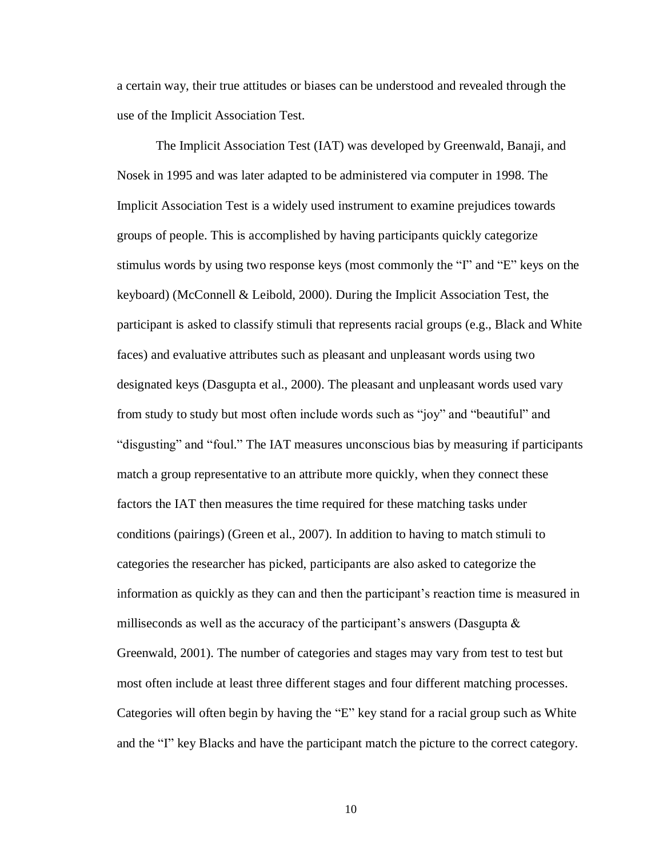a certain way, their true attitudes or biases can be understood and revealed through the use of the Implicit Association Test.

The Implicit Association Test (IAT) was developed by Greenwald, Banaji, and Nosek in 1995 and was later adapted to be administered via computer in 1998. The Implicit Association Test is a widely used instrument to examine prejudices towards groups of people. This is accomplished by having participants quickly categorize stimulus words by using two response keys (most commonly the "I" and "E" keys on the keyboard) (McConnell & Leibold, 2000). During the Implicit Association Test, the participant is asked to classify stimuli that represents racial groups (e.g., Black and White faces) and evaluative attributes such as pleasant and unpleasant words using two designated keys (Dasgupta et al., 2000). The pleasant and unpleasant words used vary from study to study but most often include words such as "joy" and "beautiful" and "disgusting" and "foul." The IAT measures unconscious bias by measuring if participants match a group representative to an attribute more quickly, when they connect these factors the IAT then measures the time required for these matching tasks under conditions (pairings) (Green et al., 2007). In addition to having to match stimuli to categories the researcher has picked, participants are also asked to categorize the information as quickly as they can and then the participant's reaction time is measured in milliseconds as well as the accuracy of the participant's answers (Dasgupta  $\&$ Greenwald, 2001). The number of categories and stages may vary from test to test but most often include at least three different stages and four different matching processes. Categories will often begin by having the "E" key stand for a racial group such as White and the "I" key Blacks and have the participant match the picture to the correct category.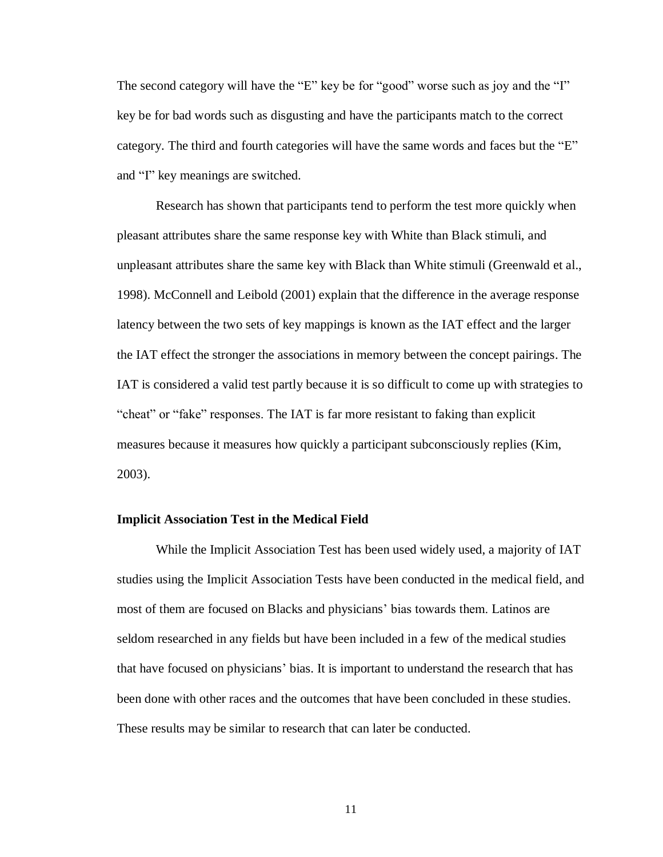The second category will have the "E" key be for "good" worse such as joy and the "I" key be for bad words such as disgusting and have the participants match to the correct category. The third and fourth categories will have the same words and faces but the "E" and "I" key meanings are switched.

Research has shown that participants tend to perform the test more quickly when pleasant attributes share the same response key with White than Black stimuli, and unpleasant attributes share the same key with Black than White stimuli (Greenwald et al., 1998). McConnell and Leibold (2001) explain that the difference in the average response latency between the two sets of key mappings is known as the IAT effect and the larger the IAT effect the stronger the associations in memory between the concept pairings. The IAT is considered a valid test partly because it is so difficult to come up with strategies to "cheat" or "fake" responses. The IAT is far more resistant to faking than explicit measures because it measures how quickly a participant subconsciously replies (Kim, 2003).

#### **Implicit Association Test in the Medical Field**

While the Implicit Association Test has been used widely used, a majority of IAT studies using the Implicit Association Tests have been conducted in the medical field, and most of them are focused on Blacks and physicians' bias towards them. Latinos are seldom researched in any fields but have been included in a few of the medical studies that have focused on physicians' bias. It is important to understand the research that has been done with other races and the outcomes that have been concluded in these studies. These results may be similar to research that can later be conducted.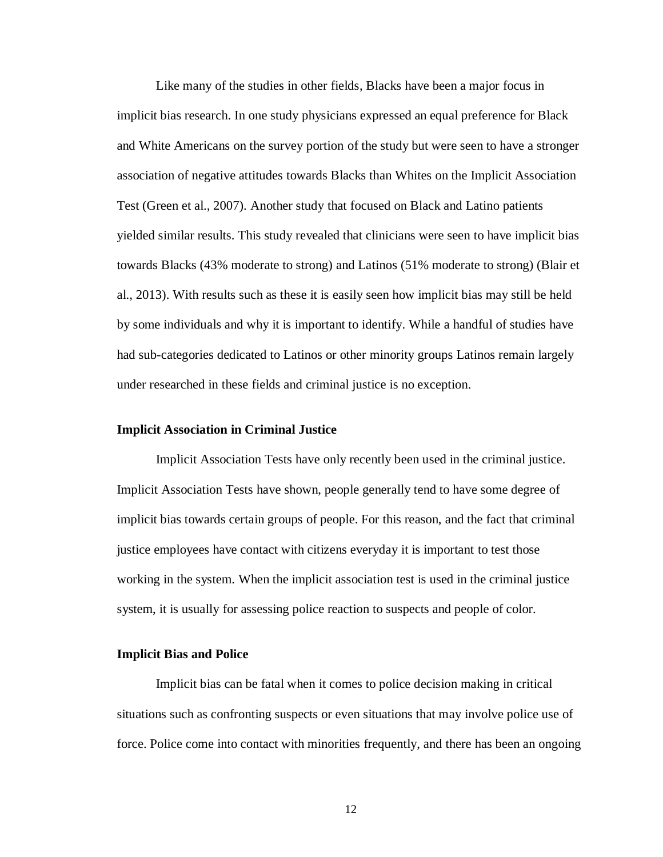Like many of the studies in other fields, Blacks have been a major focus in implicit bias research. In one study physicians expressed an equal preference for Black and White Americans on the survey portion of the study but were seen to have a stronger association of negative attitudes towards Blacks than Whites on the Implicit Association Test (Green et al., 2007). Another study that focused on Black and Latino patients yielded similar results. This study revealed that clinicians were seen to have implicit bias towards Blacks (43% moderate to strong) and Latinos (51% moderate to strong) (Blair et al., 2013). With results such as these it is easily seen how implicit bias may still be held by some individuals and why it is important to identify. While a handful of studies have had sub-categories dedicated to Latinos or other minority groups Latinos remain largely under researched in these fields and criminal justice is no exception.

### **Implicit Association in Criminal Justice**

Implicit Association Tests have only recently been used in the criminal justice. Implicit Association Tests have shown, people generally tend to have some degree of implicit bias towards certain groups of people. For this reason, and the fact that criminal justice employees have contact with citizens everyday it is important to test those working in the system. When the implicit association test is used in the criminal justice system, it is usually for assessing police reaction to suspects and people of color.

## **Implicit Bias and Police**

Implicit bias can be fatal when it comes to police decision making in critical situations such as confronting suspects or even situations that may involve police use of force. Police come into contact with minorities frequently, and there has been an ongoing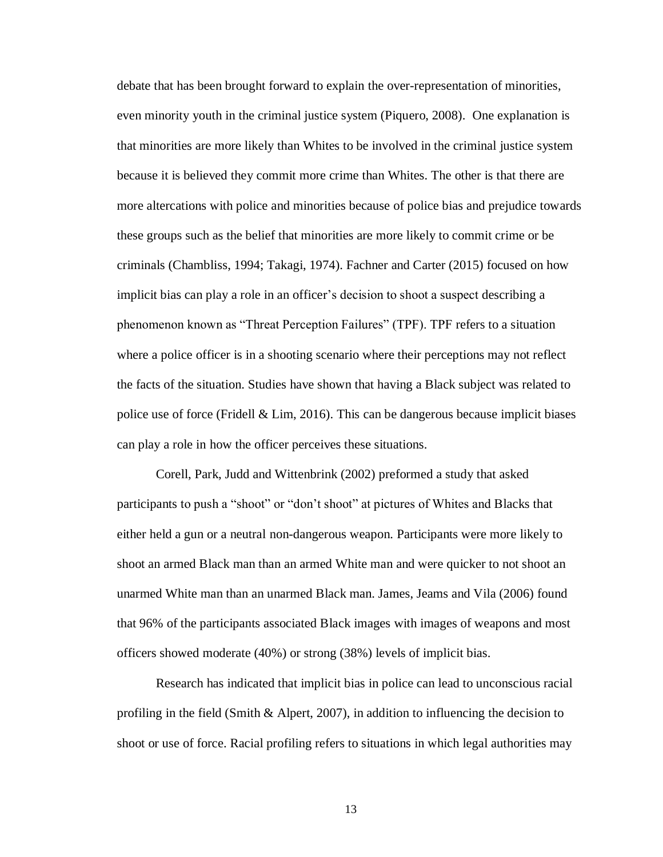debate that has been brought forward to explain the over-representation of minorities, even minority youth in the criminal justice system (Piquero, 2008). One explanation is that minorities are more likely than Whites to be involved in the criminal justice system because it is believed they commit more crime than Whites. The other is that there are more altercations with police and minorities because of police bias and prejudice towards these groups such as the belief that minorities are more likely to commit crime or be criminals (Chambliss, 1994; Takagi, 1974). Fachner and Carter (2015) focused on how implicit bias can play a role in an officer's decision to shoot a suspect describing a phenomenon known as "Threat Perception Failures" (TPF). TPF refers to a situation where a police officer is in a shooting scenario where their perceptions may not reflect the facts of the situation. Studies have shown that having a Black subject was related to police use of force (Fridell & Lim, 2016). This can be dangerous because implicit biases can play a role in how the officer perceives these situations.

Corell, Park, Judd and Wittenbrink (2002) preformed a study that asked participants to push a "shoot" or "don't shoot" at pictures of Whites and Blacks that either held a gun or a neutral non-dangerous weapon. Participants were more likely to shoot an armed Black man than an armed White man and were quicker to not shoot an unarmed White man than an unarmed Black man. James, Jeams and Vila (2006) found that 96% of the participants associated Black images with images of weapons and most officers showed moderate (40%) or strong (38%) levels of implicit bias.

Research has indicated that implicit bias in police can lead to unconscious racial profiling in the field (Smith & Alpert, 2007), in addition to influencing the decision to shoot or use of force. Racial profiling refers to situations in which legal authorities may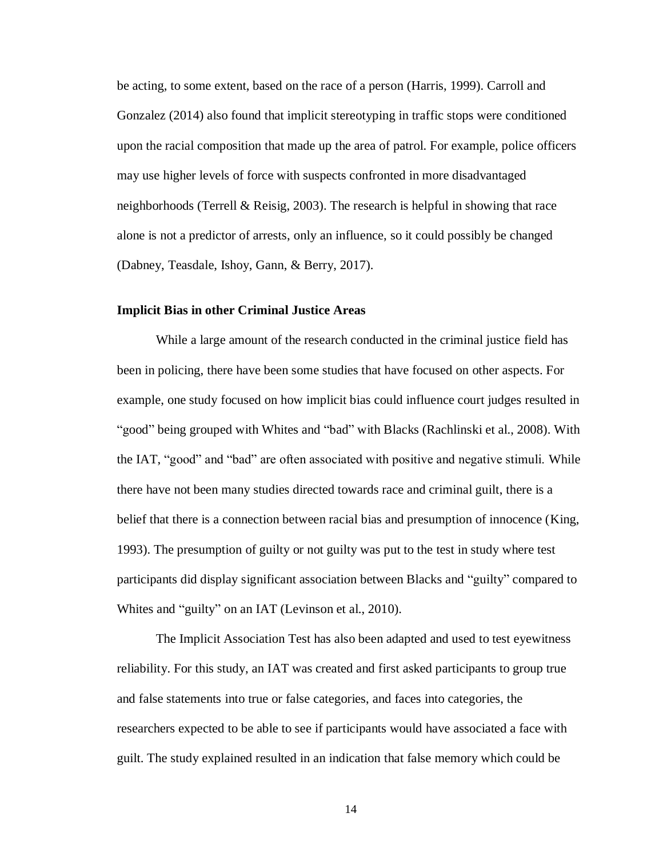be acting, to some extent, based on the race of a person (Harris, 1999). Carroll and Gonzalez (2014) also found that implicit stereotyping in traffic stops were conditioned upon the racial composition that made up the area of patrol. For example, police officers may use higher levels of force with suspects confronted in more disadvantaged neighborhoods (Terrell & Reisig, 2003). The research is helpful in showing that race alone is not a predictor of arrests, only an influence, so it could possibly be changed (Dabney, Teasdale, Ishoy, Gann, & Berry, 2017).

## **Implicit Bias in other Criminal Justice Areas**

While a large amount of the research conducted in the criminal justice field has been in policing, there have been some studies that have focused on other aspects. For example, one study focused on how implicit bias could influence court judges resulted in "good" being grouped with Whites and "bad" with Blacks (Rachlinski et al., 2008). With the IAT, "good" and "bad" are often associated with positive and negative stimuli. While there have not been many studies directed towards race and criminal guilt, there is a belief that there is a connection between racial bias and presumption of innocence (King, 1993). The presumption of guilty or not guilty was put to the test in study where test participants did display significant association between Blacks and "guilty" compared to Whites and "guilty" on an IAT (Levinson et al., 2010).

The Implicit Association Test has also been adapted and used to test eyewitness reliability. For this study, an IAT was created and first asked participants to group true and false statements into true or false categories, and faces into categories, the researchers expected to be able to see if participants would have associated a face with guilt. The study explained resulted in an indication that false memory which could be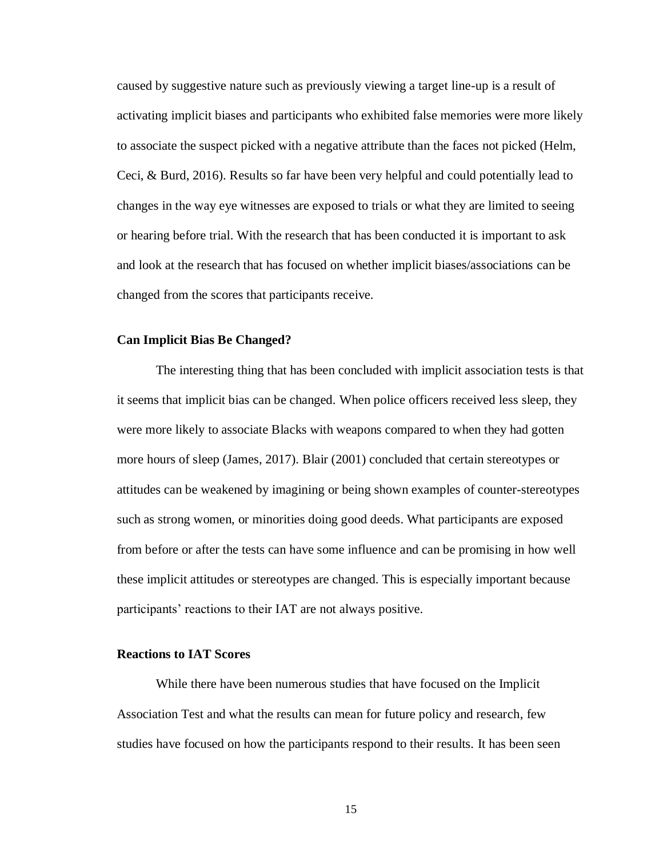caused by suggestive nature such as previously viewing a target line-up is a result of activating implicit biases and participants who exhibited false memories were more likely to associate the suspect picked with a negative attribute than the faces not picked (Helm, Ceci, & Burd, 2016). Results so far have been very helpful and could potentially lead to changes in the way eye witnesses are exposed to trials or what they are limited to seeing or hearing before trial. With the research that has been conducted it is important to ask and look at the research that has focused on whether implicit biases/associations can be changed from the scores that participants receive.

## **Can Implicit Bias Be Changed?**

The interesting thing that has been concluded with implicit association tests is that it seems that implicit bias can be changed. When police officers received less sleep, they were more likely to associate Blacks with weapons compared to when they had gotten more hours of sleep (James, 2017). Blair (2001) concluded that certain stereotypes or attitudes can be weakened by imagining or being shown examples of counter-stereotypes such as strong women, or minorities doing good deeds. What participants are exposed from before or after the tests can have some influence and can be promising in how well these implicit attitudes or stereotypes are changed. This is especially important because participants' reactions to their IAT are not always positive.

## **Reactions to IAT Scores**

While there have been numerous studies that have focused on the Implicit Association Test and what the results can mean for future policy and research, few studies have focused on how the participants respond to their results. It has been seen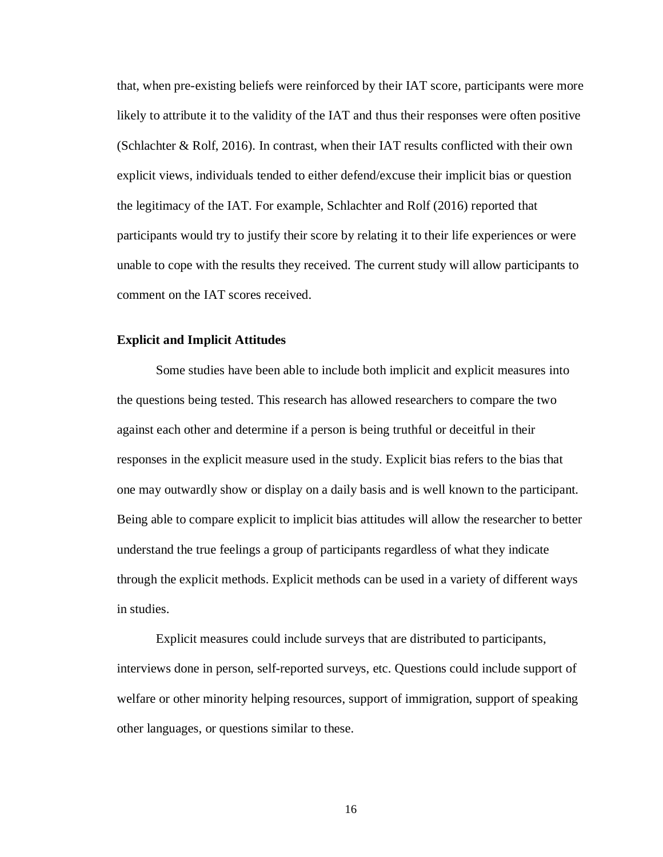that, when pre-existing beliefs were reinforced by their IAT score, participants were more likely to attribute it to the validity of the IAT and thus their responses were often positive (Schlachter & Rolf, 2016). In contrast, when their IAT results conflicted with their own explicit views, individuals tended to either defend/excuse their implicit bias or question the legitimacy of the IAT. For example, Schlachter and Rolf (2016) reported that participants would try to justify their score by relating it to their life experiences or were unable to cope with the results they received. The current study will allow participants to comment on the IAT scores received.

## **Explicit and Implicit Attitudes**

Some studies have been able to include both implicit and explicit measures into the questions being tested. This research has allowed researchers to compare the two against each other and determine if a person is being truthful or deceitful in their responses in the explicit measure used in the study. Explicit bias refers to the bias that one may outwardly show or display on a daily basis and is well known to the participant. Being able to compare explicit to implicit bias attitudes will allow the researcher to better understand the true feelings a group of participants regardless of what they indicate through the explicit methods. Explicit methods can be used in a variety of different ways in studies.

Explicit measures could include surveys that are distributed to participants, interviews done in person, self-reported surveys, etc. Questions could include support of welfare or other minority helping resources, support of immigration, support of speaking other languages, or questions similar to these.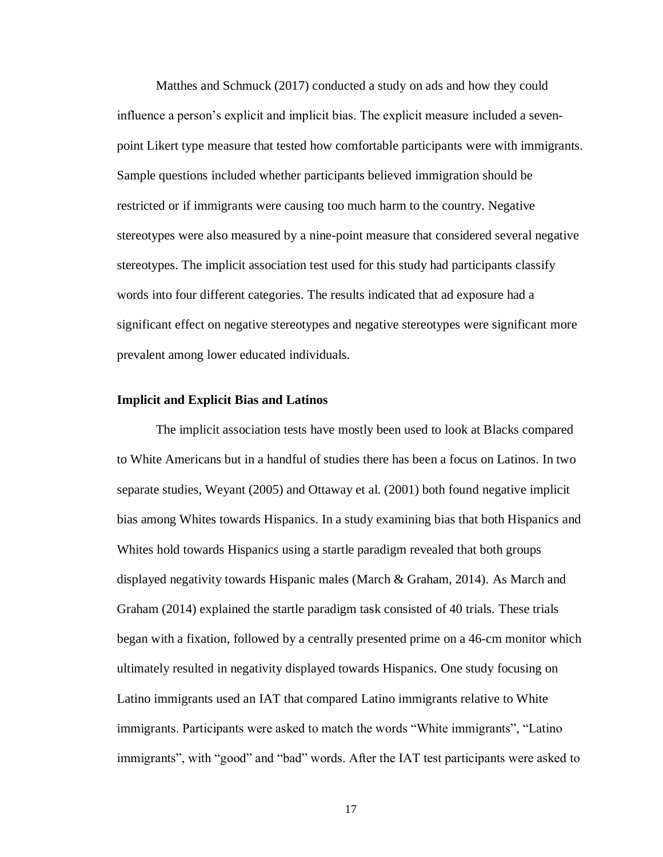Matthes and Schmuck (2017) conducted a study on ads and how they could influence a person's explicit and implicit bias. The explicit measure included a sevenpoint Likert type measure that tested how comfortable participants were with immigrants. Sample questions included whether participants believed immigration should be restricted or if immigrants were causing too much harm to the country. Negative stereotypes were also measured by a nine-point measure that considered several negative stereotypes. The implicit association test used for this study had participants classify words into four different categories. The results indicated that ad exposure had a significant effect on negative stereotypes and negative stereotypes were significant more prevalent among lower educated individuals.

## **Implicit and Explicit Bias and Latinos**

The implicit association tests have mostly been used to look at Blacks compared to White Americans but in a handful of studies there has been a focus on Latinos. In two separate studies, Weyant (2005) and Ottaway et al. (2001) both found negative implicit bias among Whites towards Hispanics. In a study examining bias that both Hispanics and Whites hold towards Hispanics using a startle paradigm revealed that both groups displayed negativity towards Hispanic males (March & Graham, 2014). As March and Graham (2014) explained the startle paradigm task consisted of 40 trials. These trials began with a fixation, followed by a centrally presented prime on a 46-cm monitor which ultimately resulted in negativity displayed towards Hispanics. One study focusing on Latino immigrants used an IAT that compared Latino immigrants relative to White immigrants. Participants were asked to match the words "White immigrants", "Latino immigrants", with "good" and "bad" words. After the IAT test participants were asked to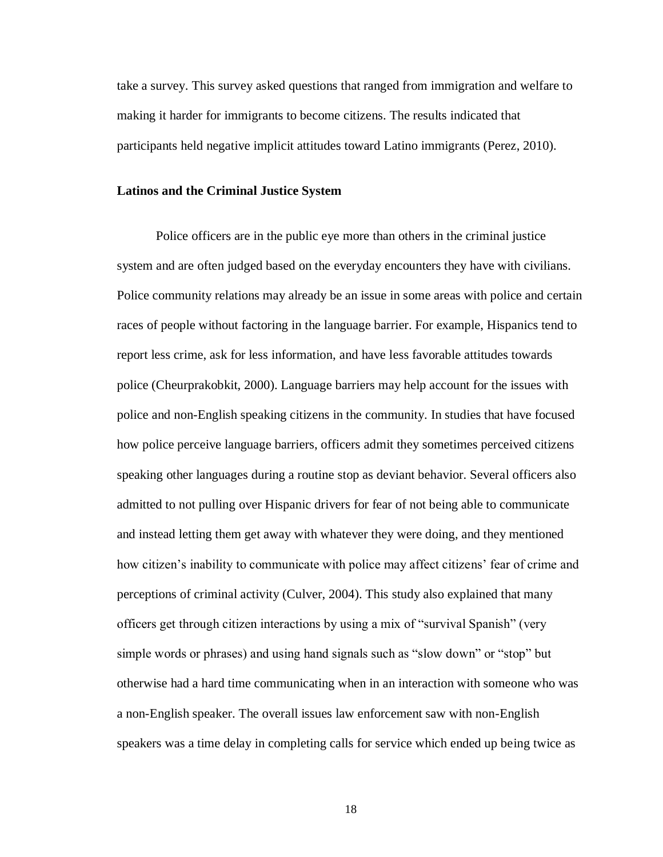take a survey. This survey asked questions that ranged from immigration and welfare to making it harder for immigrants to become citizens. The results indicated that participants held negative implicit attitudes toward Latino immigrants (Perez, 2010).

## **Latinos and the Criminal Justice System**

Police officers are in the public eye more than others in the criminal justice system and are often judged based on the everyday encounters they have with civilians. Police community relations may already be an issue in some areas with police and certain races of people without factoring in the language barrier. For example, Hispanics tend to report less crime, ask for less information, and have less favorable attitudes towards police (Cheurprakobkit, 2000). Language barriers may help account for the issues with police and non-English speaking citizens in the community. In studies that have focused how police perceive language barriers, officers admit they sometimes perceived citizens speaking other languages during a routine stop as deviant behavior. Several officers also admitted to not pulling over Hispanic drivers for fear of not being able to communicate and instead letting them get away with whatever they were doing, and they mentioned how citizen's inability to communicate with police may affect citizens' fear of crime and perceptions of criminal activity (Culver, 2004). This study also explained that many officers get through citizen interactions by using a mix of "survival Spanish" (very simple words or phrases) and using hand signals such as "slow down" or "stop" but otherwise had a hard time communicating when in an interaction with someone who was a non-English speaker. The overall issues law enforcement saw with non-English speakers was a time delay in completing calls for service which ended up being twice as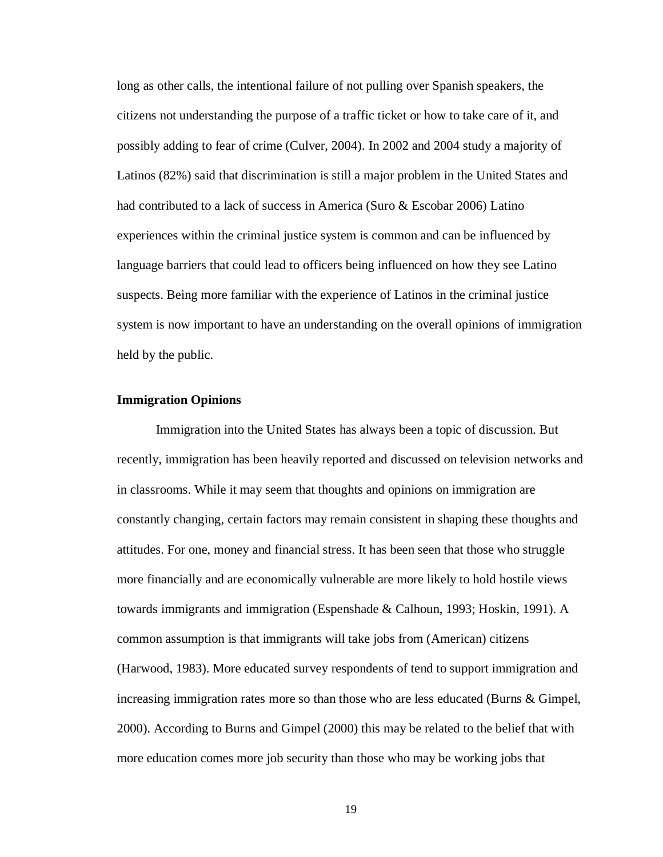long as other calls, the intentional failure of not pulling over Spanish speakers, the citizens not understanding the purpose of a traffic ticket or how to take care of it, and possibly adding to fear of crime (Culver, 2004). In 2002 and 2004 study a majority of Latinos (82%) said that discrimination is still a major problem in the United States and had contributed to a lack of success in America (Suro & Escobar 2006) Latino experiences within the criminal justice system is common and can be influenced by language barriers that could lead to officers being influenced on how they see Latino suspects. Being more familiar with the experience of Latinos in the criminal justice system is now important to have an understanding on the overall opinions of immigration held by the public.

## **Immigration Opinions**

Immigration into the United States has always been a topic of discussion. But recently, immigration has been heavily reported and discussed on television networks and in classrooms. While it may seem that thoughts and opinions on immigration are constantly changing, certain factors may remain consistent in shaping these thoughts and attitudes. For one, money and financial stress. It has been seen that those who struggle more financially and are economically vulnerable are more likely to hold hostile views towards immigrants and immigration (Espenshade & Calhoun, 1993; Hoskin, 1991). A common assumption is that immigrants will take jobs from (American) citizens (Harwood, 1983). More educated survey respondents of tend to support immigration and increasing immigration rates more so than those who are less educated (Burns & Gimpel, 2000). According to Burns and Gimpel (2000) this may be related to the belief that with more education comes more job security than those who may be working jobs that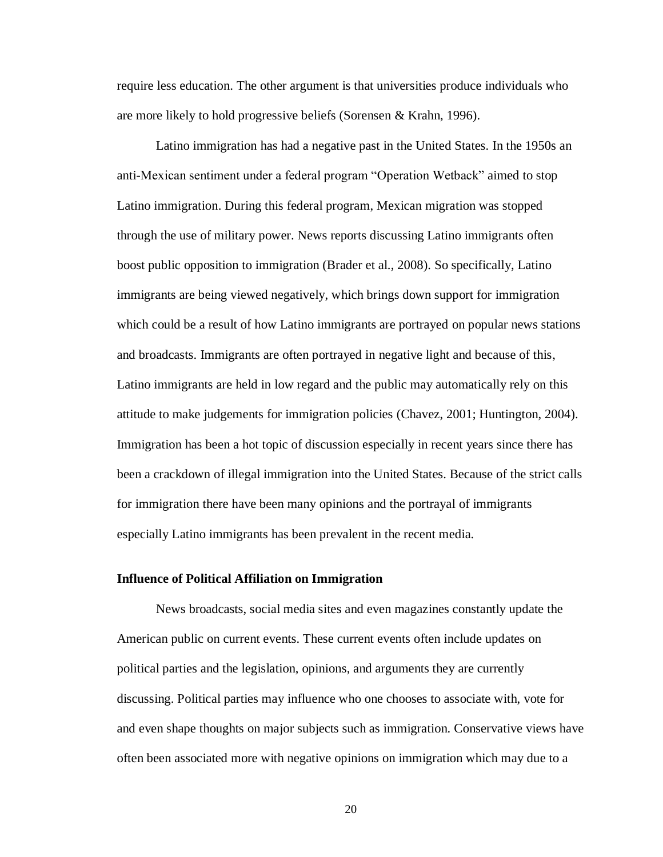require less education. The other argument is that universities produce individuals who are more likely to hold progressive beliefs (Sorensen & Krahn, 1996).

Latino immigration has had a negative past in the United States. In the 1950s an anti-Mexican sentiment under a federal program "Operation Wetback" aimed to stop Latino immigration. During this federal program, Mexican migration was stopped through the use of military power. News reports discussing Latino immigrants often boost public opposition to immigration (Brader et al., 2008). So specifically, Latino immigrants are being viewed negatively, which brings down support for immigration which could be a result of how Latino immigrants are portrayed on popular news stations and broadcasts. Immigrants are often portrayed in negative light and because of this, Latino immigrants are held in low regard and the public may automatically rely on this attitude to make judgements for immigration policies (Chavez, 2001; Huntington, 2004). Immigration has been a hot topic of discussion especially in recent years since there has been a crackdown of illegal immigration into the United States. Because of the strict calls for immigration there have been many opinions and the portrayal of immigrants especially Latino immigrants has been prevalent in the recent media.

## **Influence of Political Affiliation on Immigration**

News broadcasts, social media sites and even magazines constantly update the American public on current events. These current events often include updates on political parties and the legislation, opinions, and arguments they are currently discussing. Political parties may influence who one chooses to associate with, vote for and even shape thoughts on major subjects such as immigration. Conservative views have often been associated more with negative opinions on immigration which may due to a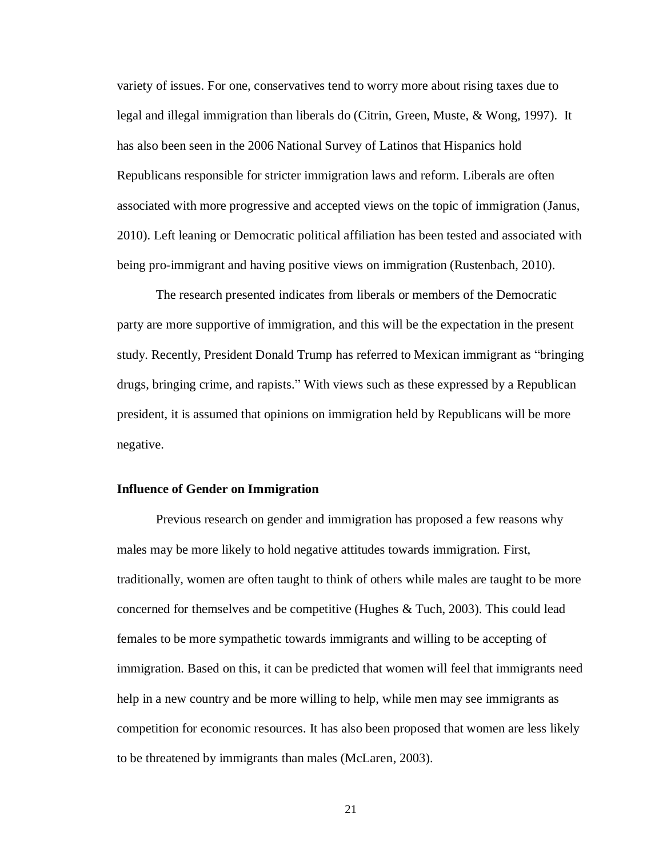variety of issues. For one, conservatives tend to worry more about rising taxes due to legal and illegal immigration than liberals do (Citrin, Green, Muste, & Wong, 1997). It has also been seen in the 2006 National Survey of Latinos that Hispanics hold Republicans responsible for stricter immigration laws and reform. Liberals are often associated with more progressive and accepted views on the topic of immigration (Janus, 2010). Left leaning or Democratic political affiliation has been tested and associated with being pro-immigrant and having positive views on immigration (Rustenbach, 2010).

The research presented indicates from liberals or members of the Democratic party are more supportive of immigration, and this will be the expectation in the present study. Recently, President Donald Trump has referred to Mexican immigrant as "bringing drugs, bringing crime, and rapists." With views such as these expressed by a Republican president, it is assumed that opinions on immigration held by Republicans will be more negative.

## **Influence of Gender on Immigration**

Previous research on gender and immigration has proposed a few reasons why males may be more likely to hold negative attitudes towards immigration. First, traditionally, women are often taught to think of others while males are taught to be more concerned for themselves and be competitive (Hughes & Tuch, 2003). This could lead females to be more sympathetic towards immigrants and willing to be accepting of immigration. Based on this, it can be predicted that women will feel that immigrants need help in a new country and be more willing to help, while men may see immigrants as competition for economic resources. It has also been proposed that women are less likely to be threatened by immigrants than males (McLaren, 2003).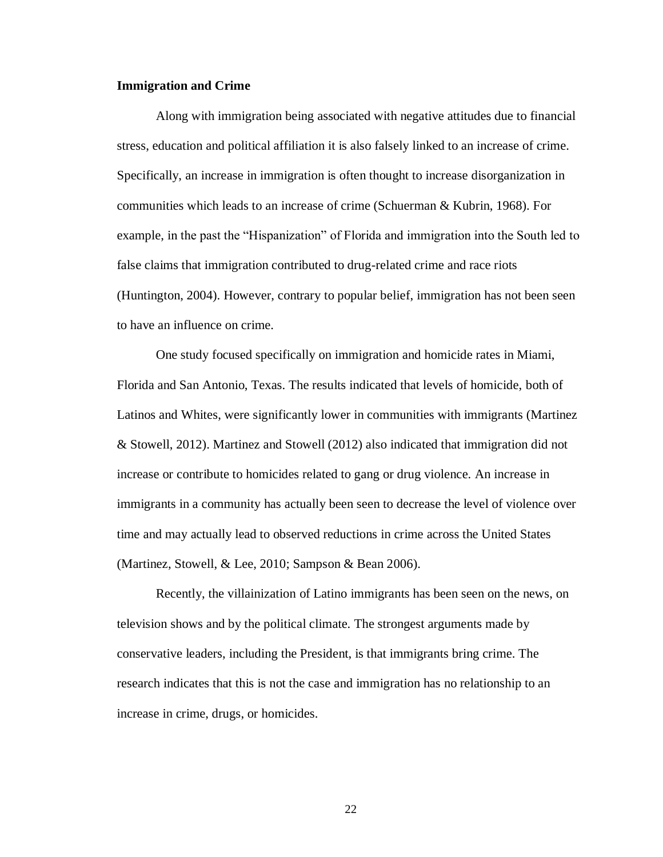#### **Immigration and Crime**

Along with immigration being associated with negative attitudes due to financial stress, education and political affiliation it is also falsely linked to an increase of crime. Specifically, an increase in immigration is often thought to increase disorganization in communities which leads to an increase of crime (Schuerman & Kubrin, 1968). For example, in the past the "Hispanization" of Florida and immigration into the South led to false claims that immigration contributed to drug-related crime and race riots (Huntington, 2004). However, contrary to popular belief, immigration has not been seen to have an influence on crime.

One study focused specifically on immigration and homicide rates in Miami, Florida and San Antonio, Texas. The results indicated that levels of homicide, both of Latinos and Whites, were significantly lower in communities with immigrants (Martinez & Stowell, 2012). Martinez and Stowell (2012) also indicated that immigration did not increase or contribute to homicides related to gang or drug violence. An increase in immigrants in a community has actually been seen to decrease the level of violence over time and may actually lead to observed reductions in crime across the United States (Martinez, Stowell, & Lee, 2010; Sampson & Bean 2006).

Recently, the villainization of Latino immigrants has been seen on the news, on television shows and by the political climate. The strongest arguments made by conservative leaders, including the President, is that immigrants bring crime. The research indicates that this is not the case and immigration has no relationship to an increase in crime, drugs, or homicides.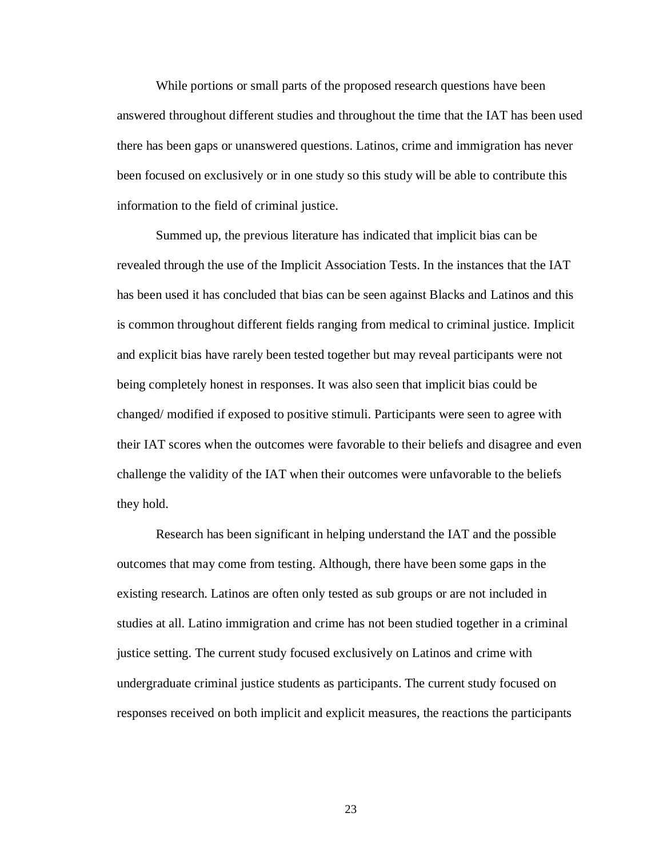While portions or small parts of the proposed research questions have been answered throughout different studies and throughout the time that the IAT has been used there has been gaps or unanswered questions. Latinos, crime and immigration has never been focused on exclusively or in one study so this study will be able to contribute this information to the field of criminal justice.

Summed up, the previous literature has indicated that implicit bias can be revealed through the use of the Implicit Association Tests. In the instances that the IAT has been used it has concluded that bias can be seen against Blacks and Latinos and this is common throughout different fields ranging from medical to criminal justice. Implicit and explicit bias have rarely been tested together but may reveal participants were not being completely honest in responses. It was also seen that implicit bias could be changed/ modified if exposed to positive stimuli. Participants were seen to agree with their IAT scores when the outcomes were favorable to their beliefs and disagree and even challenge the validity of the IAT when their outcomes were unfavorable to the beliefs they hold.

Research has been significant in helping understand the IAT and the possible outcomes that may come from testing. Although, there have been some gaps in the existing research. Latinos are often only tested as sub groups or are not included in studies at all. Latino immigration and crime has not been studied together in a criminal justice setting. The current study focused exclusively on Latinos and crime with undergraduate criminal justice students as participants. The current study focused on responses received on both implicit and explicit measures, the reactions the participants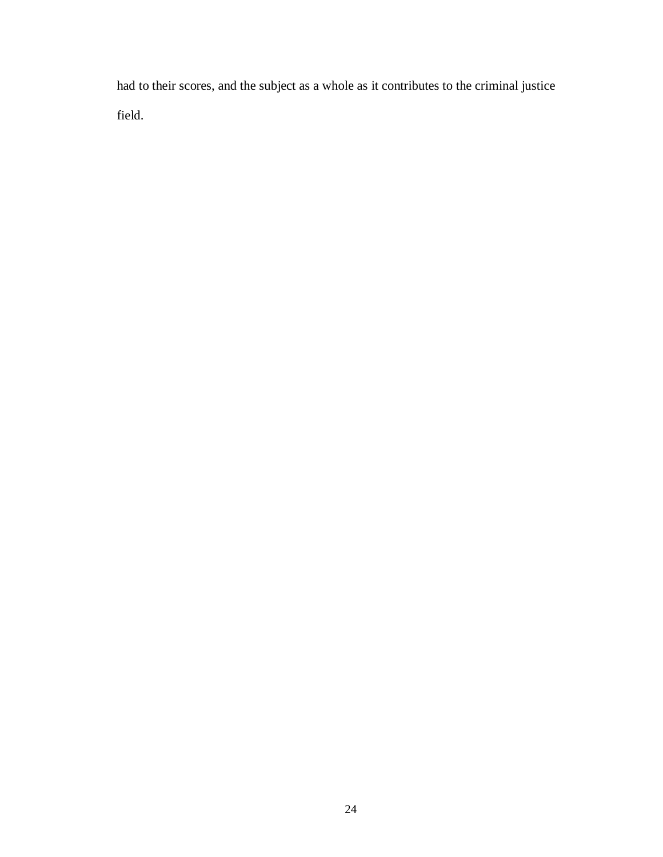had to their scores, and the subject as a whole as it contributes to the criminal justice field.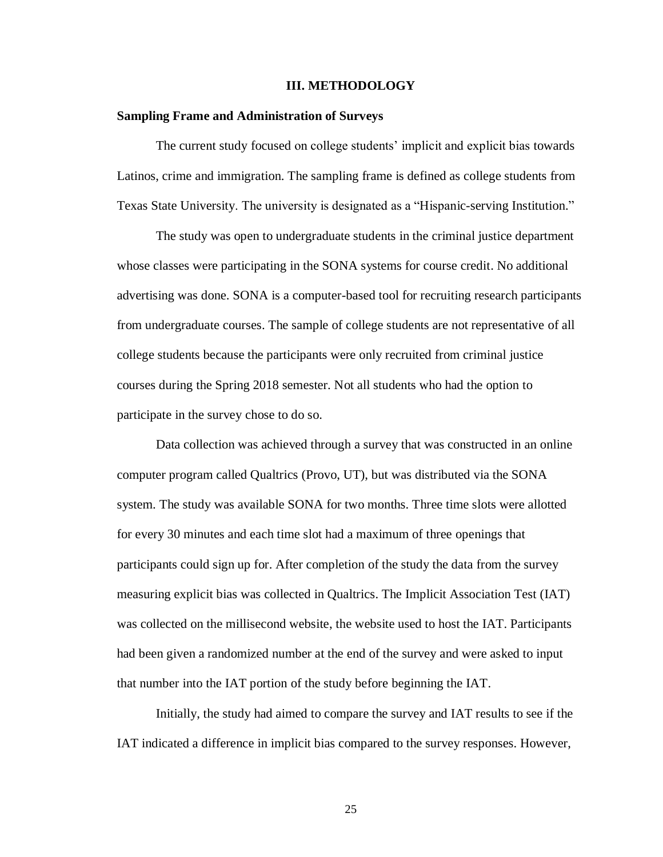#### **III. METHODOLOGY**

## **Sampling Frame and Administration of Surveys**

The current study focused on college students' implicit and explicit bias towards Latinos, crime and immigration. The sampling frame is defined as college students from Texas State University. The university is designated as a "Hispanic-serving Institution."

The study was open to undergraduate students in the criminal justice department whose classes were participating in the SONA systems for course credit. No additional advertising was done. SONA is a computer-based tool for recruiting research participants from undergraduate courses. The sample of college students are not representative of all college students because the participants were only recruited from criminal justice courses during the Spring 2018 semester. Not all students who had the option to participate in the survey chose to do so.

Data collection was achieved through a survey that was constructed in an online computer program called Qualtrics (Provo, UT), but was distributed via the SONA system. The study was available SONA for two months. Three time slots were allotted for every 30 minutes and each time slot had a maximum of three openings that participants could sign up for. After completion of the study the data from the survey measuring explicit bias was collected in Qualtrics. The Implicit Association Test (IAT) was collected on the millisecond website, the website used to host the IAT. Participants had been given a randomized number at the end of the survey and were asked to input that number into the IAT portion of the study before beginning the IAT.

Initially, the study had aimed to compare the survey and IAT results to see if the IAT indicated a difference in implicit bias compared to the survey responses. However,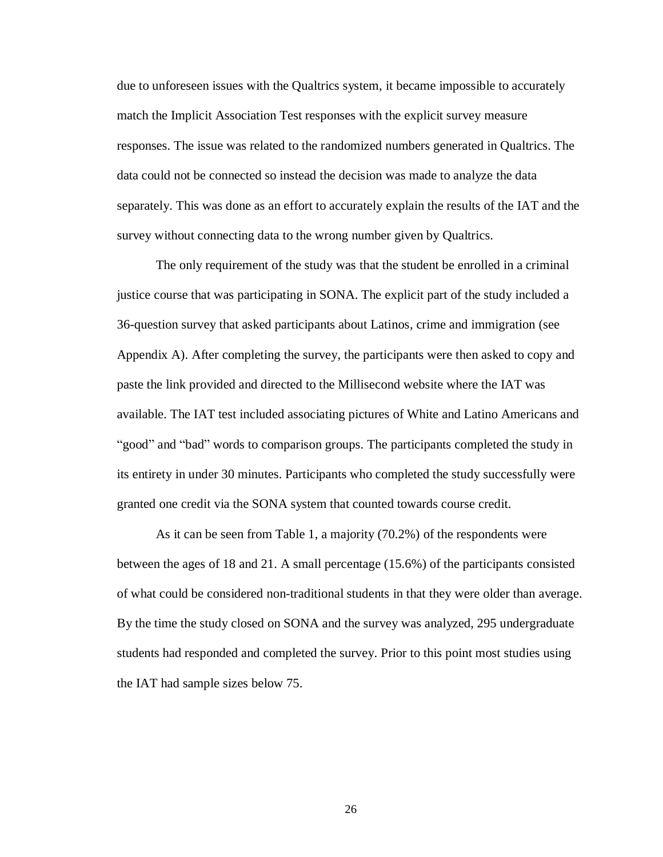due to unforeseen issues with the Qualtrics system, it became impossible to accurately match the Implicit Association Test responses with the explicit survey measure responses. The issue was related to the randomized numbers generated in Qualtrics. The data could not be connected so instead the decision was made to analyze the data separately. This was done as an effort to accurately explain the results of the IAT and the survey without connecting data to the wrong number given by Qualtrics.

The only requirement of the study was that the student be enrolled in a criminal justice course that was participating in SONA. The explicit part of the study included a 36-question survey that asked participants about Latinos, crime and immigration (see Appendix A). After completing the survey, the participants were then asked to copy and paste the link provided and directed to the Millisecond website where the IAT was available. The IAT test included associating pictures of White and Latino Americans and "good" and "bad" words to comparison groups. The participants completed the study in its entirety in under 30 minutes. Participants who completed the study successfully were granted one credit via the SONA system that counted towards course credit.

As it can be seen from Table 1, a majority (70.2%) of the respondents were between the ages of 18 and 21. A small percentage (15.6%) of the participants consisted of what could be considered non-traditional students in that they were older than average. By the time the study closed on SONA and the survey was analyzed, 295 undergraduate students had responded and completed the survey. Prior to this point most studies using the IAT had sample sizes below 75.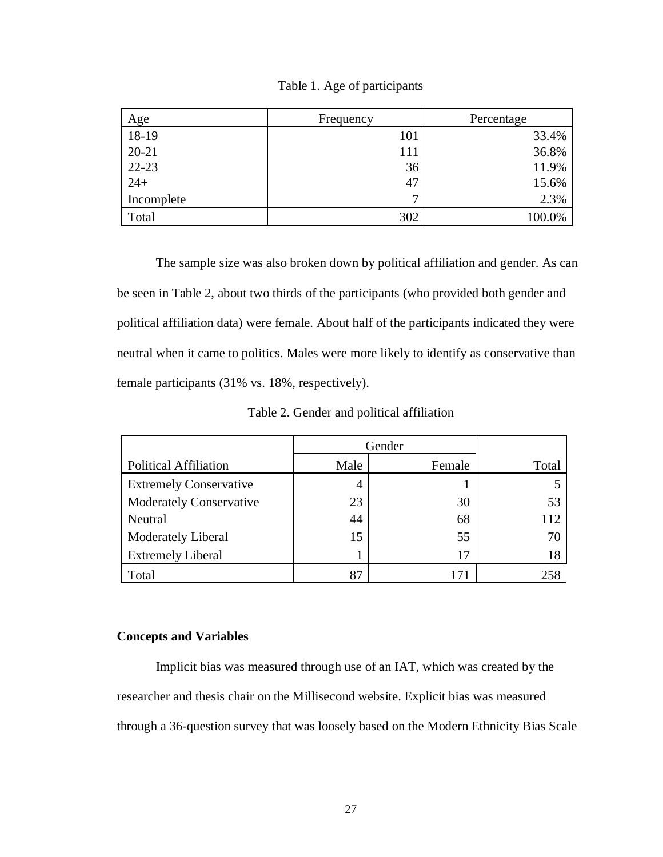| Age        | Frequency | Percentage |  |
|------------|-----------|------------|--|
| 18-19      | 101       | 33.4%      |  |
| $20 - 21$  | 111       | 36.8%      |  |
| $22 - 23$  | 36        | 11.9%      |  |
| $24+$      | 47        | 15.6%      |  |
| Incomplete | ⇁         | 2.3%       |  |
| Total      | 302       | 100.0%     |  |

Table 1. Age of participants

The sample size was also broken down by political affiliation and gender. As can be seen in Table 2, about two thirds of the participants (who provided both gender and political affiliation data) were female. About half of the participants indicated they were neutral when it came to politics. Males were more likely to identify as conservative than female participants (31% vs. 18%, respectively).

Table 2. Gender and political affiliation

|                                | Gender |        |       |
|--------------------------------|--------|--------|-------|
| <b>Political Affiliation</b>   | Male   | Female | Total |
| <b>Extremely Conservative</b>  | 4      |        |       |
| <b>Moderately Conservative</b> | 23     | 30     | 53    |
| Neutral                        | 44     | 68     | 112   |
| Moderately Liberal             | 15     | 55     | 70    |
| <b>Extremely Liberal</b>       |        | 17     | 18    |
| Total                          | 87     |        | 258   |

## **Concepts and Variables**

Implicit bias was measured through use of an IAT, which was created by the researcher and thesis chair on the Millisecond website. Explicit bias was measured through a 36-question survey that was loosely based on the Modern Ethnicity Bias Scale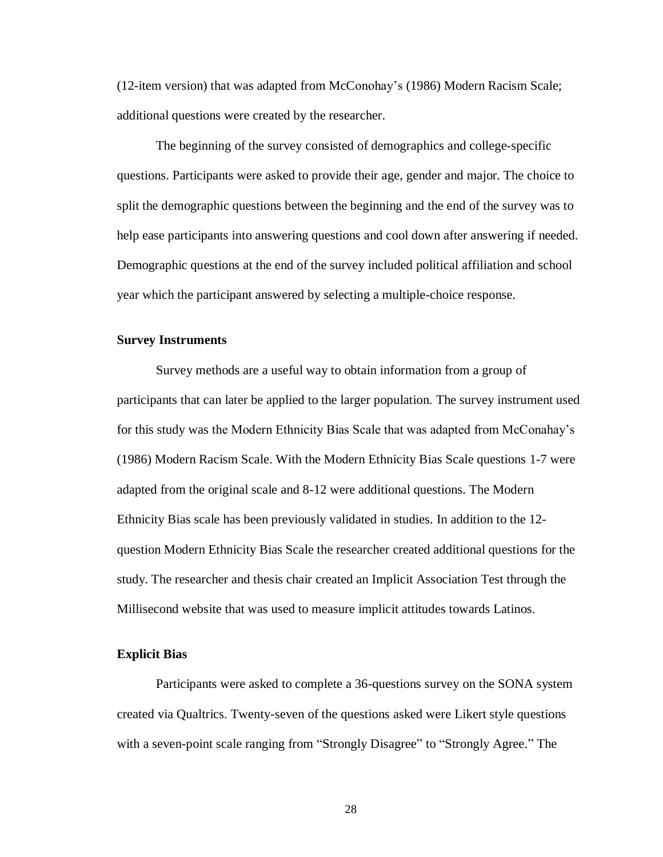(12-item version) that was adapted from McConohay's (1986) Modern Racism Scale; additional questions were created by the researcher.

The beginning of the survey consisted of demographics and college-specific questions. Participants were asked to provide their age, gender and major. The choice to split the demographic questions between the beginning and the end of the survey was to help ease participants into answering questions and cool down after answering if needed. Demographic questions at the end of the survey included political affiliation and school year which the participant answered by selecting a multiple-choice response.

#### **Survey Instruments**

Survey methods are a useful way to obtain information from a group of participants that can later be applied to the larger population. The survey instrument used for this study was the Modern Ethnicity Bias Scale that was adapted from McConahay's (1986) Modern Racism Scale. With the Modern Ethnicity Bias Scale questions 1-7 were adapted from the original scale and 8-12 were additional questions. The Modern Ethnicity Bias scale has been previously validated in studies. In addition to the 12 question Modern Ethnicity Bias Scale the researcher created additional questions for the study. The researcher and thesis chair created an Implicit Association Test through the Millisecond website that was used to measure implicit attitudes towards Latinos.

#### **Explicit Bias**

Participants were asked to complete a 36-questions survey on the SONA system created via Qualtrics. Twenty-seven of the questions asked were Likert style questions with a seven-point scale ranging from "Strongly Disagree" to "Strongly Agree." The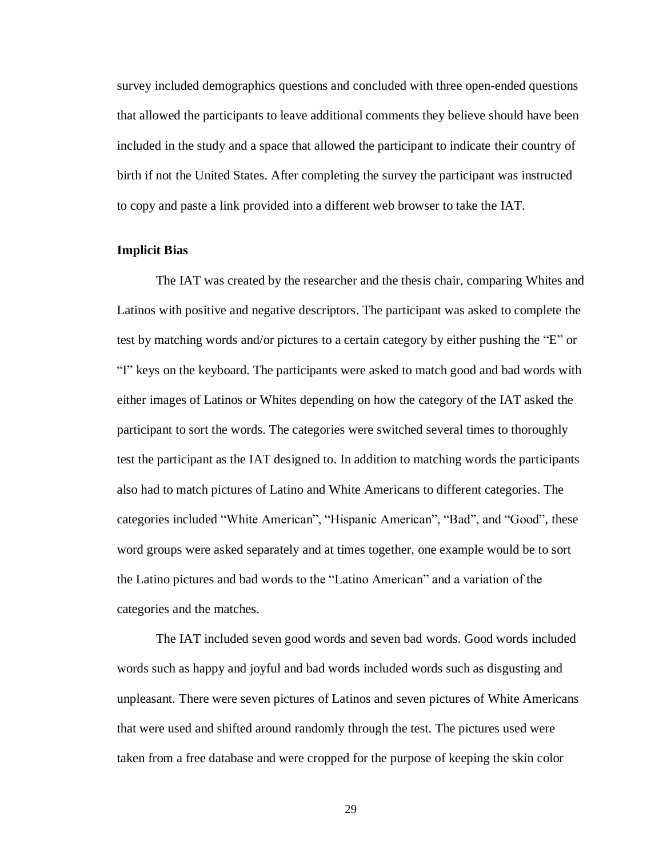survey included demographics questions and concluded with three open-ended questions that allowed the participants to leave additional comments they believe should have been included in the study and a space that allowed the participant to indicate their country of birth if not the United States. After completing the survey the participant was instructed to copy and paste a link provided into a different web browser to take the IAT.

# **Implicit Bias**

The IAT was created by the researcher and the thesis chair, comparing Whites and Latinos with positive and negative descriptors. The participant was asked to complete the test by matching words and/or pictures to a certain category by either pushing the "E" or "I" keys on the keyboard. The participants were asked to match good and bad words with either images of Latinos or Whites depending on how the category of the IAT asked the participant to sort the words. The categories were switched several times to thoroughly test the participant as the IAT designed to. In addition to matching words the participants also had to match pictures of Latino and White Americans to different categories. The categories included "White American", "Hispanic American", "Bad", and "Good", these word groups were asked separately and at times together, one example would be to sort the Latino pictures and bad words to the "Latino American" and a variation of the categories and the matches.

The IAT included seven good words and seven bad words. Good words included words such as happy and joyful and bad words included words such as disgusting and unpleasant. There were seven pictures of Latinos and seven pictures of White Americans that were used and shifted around randomly through the test. The pictures used were taken from a free database and were cropped for the purpose of keeping the skin color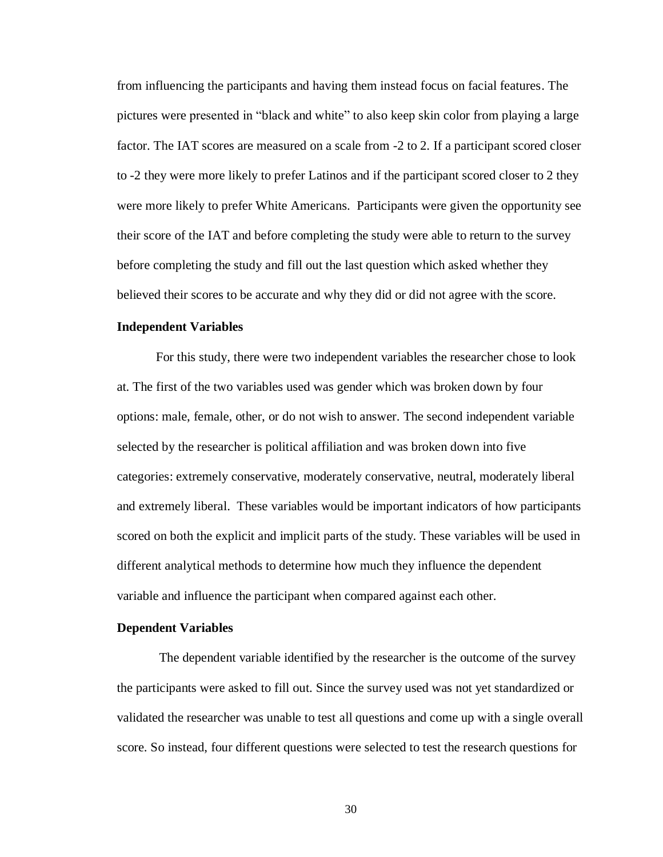from influencing the participants and having them instead focus on facial features. The pictures were presented in "black and white" to also keep skin color from playing a large factor. The IAT scores are measured on a scale from -2 to 2. If a participant scored closer to -2 they were more likely to prefer Latinos and if the participant scored closer to 2 they were more likely to prefer White Americans. Participants were given the opportunity see their score of the IAT and before completing the study were able to return to the survey before completing the study and fill out the last question which asked whether they believed their scores to be accurate and why they did or did not agree with the score.

#### **Independent Variables**

For this study, there were two independent variables the researcher chose to look at. The first of the two variables used was gender which was broken down by four options: male, female, other, or do not wish to answer. The second independent variable selected by the researcher is political affiliation and was broken down into five categories: extremely conservative, moderately conservative, neutral, moderately liberal and extremely liberal. These variables would be important indicators of how participants scored on both the explicit and implicit parts of the study. These variables will be used in different analytical methods to determine how much they influence the dependent variable and influence the participant when compared against each other.

#### **Dependent Variables**

The dependent variable identified by the researcher is the outcome of the survey the participants were asked to fill out. Since the survey used was not yet standardized or validated the researcher was unable to test all questions and come up with a single overall score. So instead, four different questions were selected to test the research questions for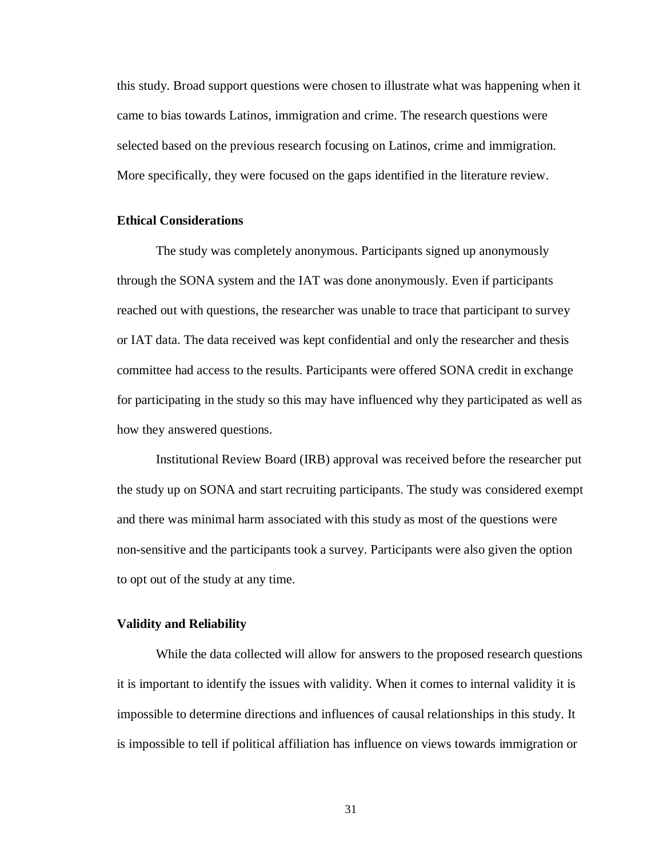this study. Broad support questions were chosen to illustrate what was happening when it came to bias towards Latinos, immigration and crime. The research questions were selected based on the previous research focusing on Latinos, crime and immigration. More specifically, they were focused on the gaps identified in the literature review.

## **Ethical Considerations**

The study was completely anonymous. Participants signed up anonymously through the SONA system and the IAT was done anonymously. Even if participants reached out with questions, the researcher was unable to trace that participant to survey or IAT data. The data received was kept confidential and only the researcher and thesis committee had access to the results. Participants were offered SONA credit in exchange for participating in the study so this may have influenced why they participated as well as how they answered questions.

Institutional Review Board (IRB) approval was received before the researcher put the study up on SONA and start recruiting participants. The study was considered exempt and there was minimal harm associated with this study as most of the questions were non-sensitive and the participants took a survey. Participants were also given the option to opt out of the study at any time.

#### **Validity and Reliability**

While the data collected will allow for answers to the proposed research questions it is important to identify the issues with validity. When it comes to internal validity it is impossible to determine directions and influences of causal relationships in this study. It is impossible to tell if political affiliation has influence on views towards immigration or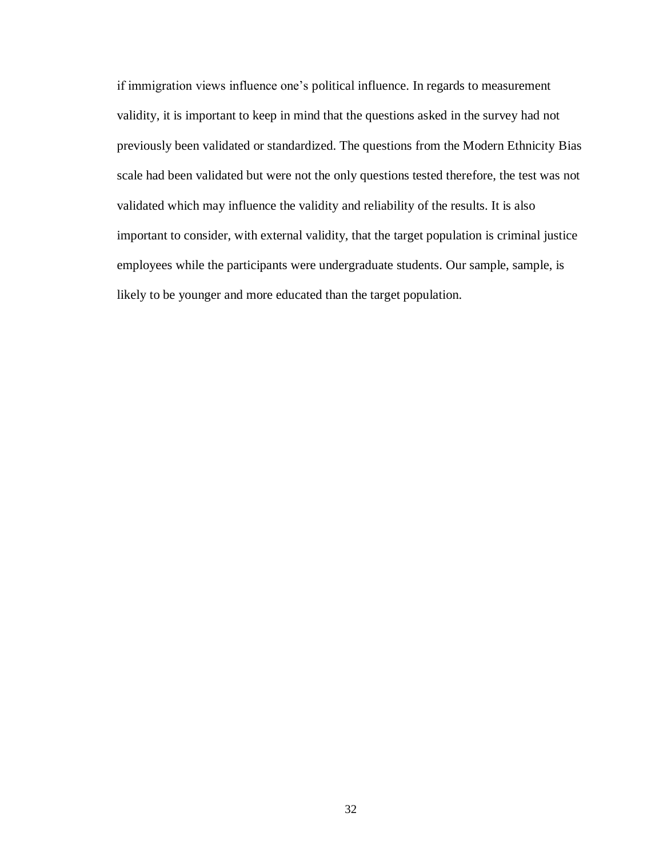if immigration views influence one's political influence. In regards to measurement validity, it is important to keep in mind that the questions asked in the survey had not previously been validated or standardized. The questions from the Modern Ethnicity Bias scale had been validated but were not the only questions tested therefore, the test was not validated which may influence the validity and reliability of the results. It is also important to consider, with external validity, that the target population is criminal justice employees while the participants were undergraduate students. Our sample, sample, is likely to be younger and more educated than the target population.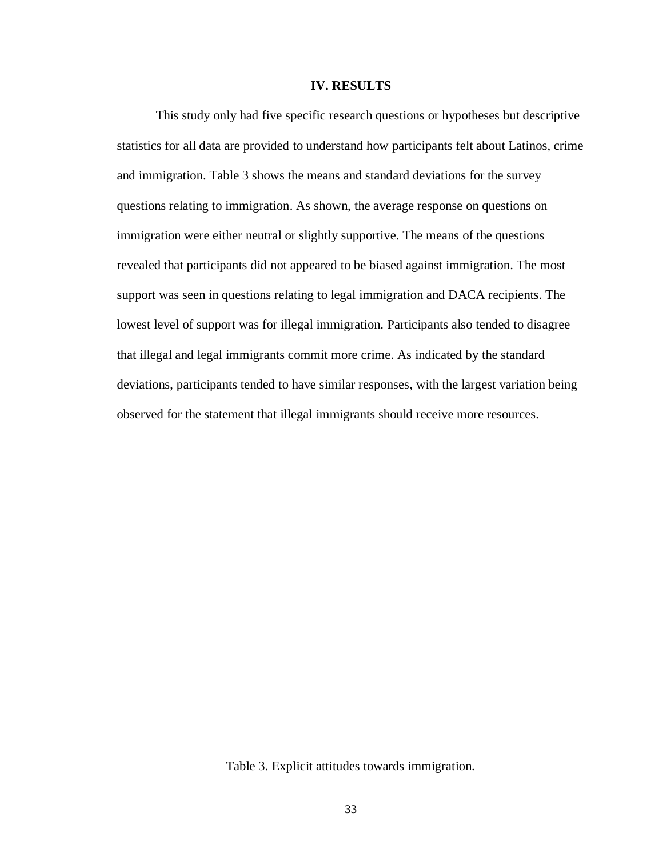#### **IV. RESULTS**

This study only had five specific research questions or hypotheses but descriptive statistics for all data are provided to understand how participants felt about Latinos, crime and immigration. Table 3 shows the means and standard deviations for the survey questions relating to immigration. As shown, the average response on questions on immigration were either neutral or slightly supportive. The means of the questions revealed that participants did not appeared to be biased against immigration. The most support was seen in questions relating to legal immigration and DACA recipients. The lowest level of support was for illegal immigration. Participants also tended to disagree that illegal and legal immigrants commit more crime. As indicated by the standard deviations, participants tended to have similar responses, with the largest variation being observed for the statement that illegal immigrants should receive more resources.

Table 3. Explicit attitudes towards immigration.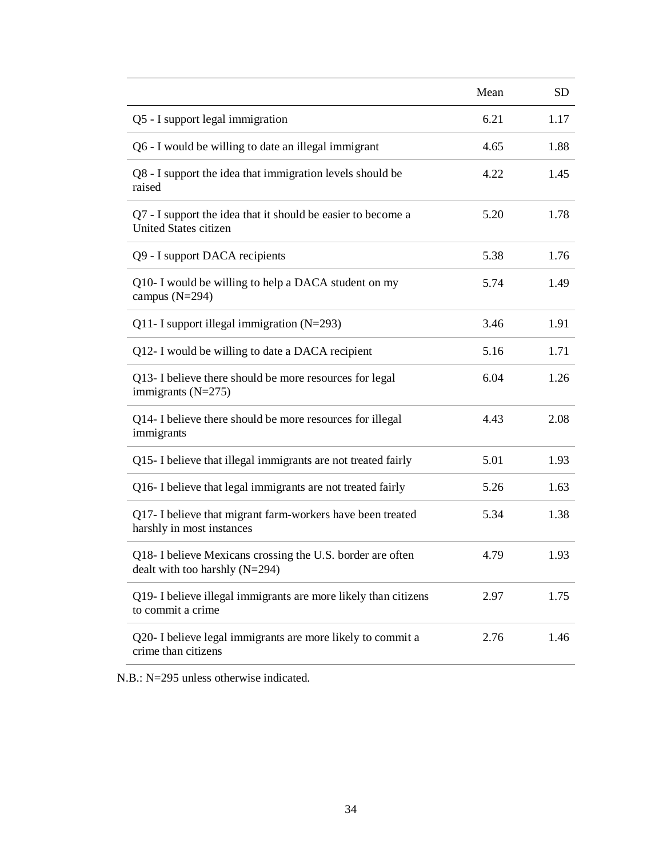|                                                                                                | Mean | <b>SD</b> |
|------------------------------------------------------------------------------------------------|------|-----------|
| Q5 - I support legal immigration                                                               | 6.21 | 1.17      |
| Q6 - I would be willing to date an illegal immigrant                                           | 4.65 | 1.88      |
| Q8 - I support the idea that immigration levels should be<br>raised                            | 4.22 | 1.45      |
| Q7 - I support the idea that it should be easier to become a<br><b>United States citizen</b>   | 5.20 | 1.78      |
| Q9 - I support DACA recipients                                                                 | 5.38 | 1.76      |
| Q10- I would be willing to help a DACA student on my<br>campus $(N=294)$                       | 5.74 | 1.49      |
| Q11- I support illegal immigration $(N=293)$                                                   | 3.46 | 1.91      |
| Q12- I would be willing to date a DACA recipient                                               | 5.16 | 1.71      |
| Q13- I believe there should be more resources for legal<br>immigrants $(N=275)$                | 6.04 | 1.26      |
| Q14- I believe there should be more resources for illegal<br>immigrants                        | 4.43 | 2.08      |
| Q15- I believe that illegal immigrants are not treated fairly                                  | 5.01 | 1.93      |
| Q16- I believe that legal immigrants are not treated fairly                                    | 5.26 | 1.63      |
| Q17- I believe that migrant farm-workers have been treated<br>harshly in most instances        | 5.34 | 1.38      |
| Q18- I believe Mexicans crossing the U.S. border are often<br>dealt with too harshly $(N=294)$ | 4.79 | 1.93      |
| Q19- I believe illegal immigrants are more likely than citizens<br>to commit a crime           | 2.97 | 1.75      |
| Q20- I believe legal immigrants are more likely to commit a<br>crime than citizens             | 2.76 | 1.46      |

N.B.: N=295 unless otherwise indicated.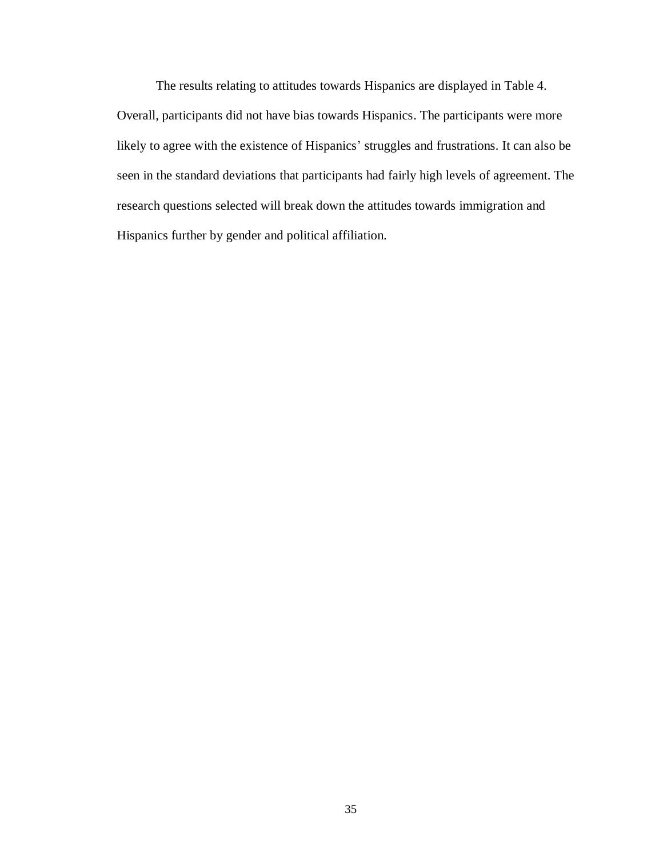The results relating to attitudes towards Hispanics are displayed in Table 4. Overall, participants did not have bias towards Hispanics. The participants were more likely to agree with the existence of Hispanics' struggles and frustrations. It can also be seen in the standard deviations that participants had fairly high levels of agreement. The research questions selected will break down the attitudes towards immigration and Hispanics further by gender and political affiliation.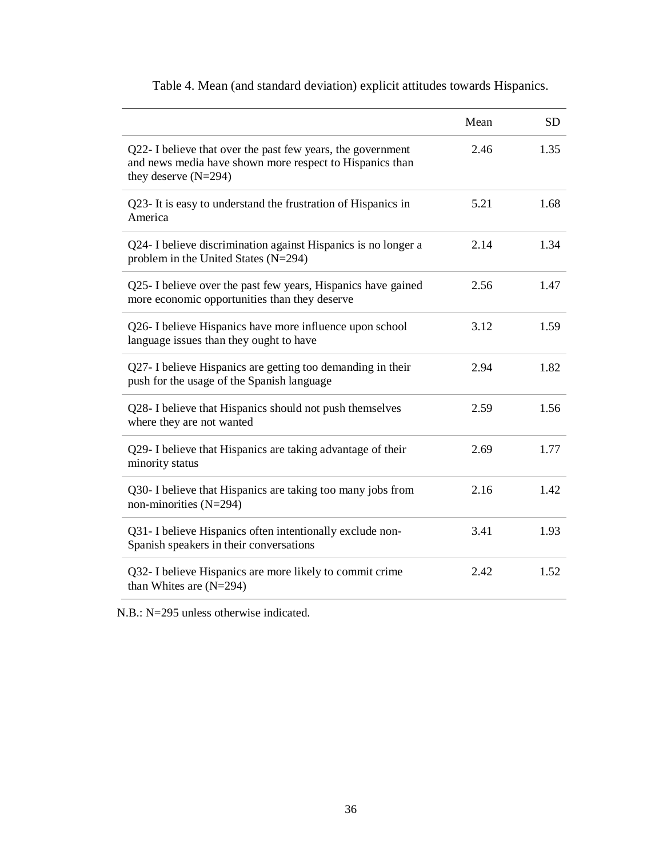|                                                                                                                                                   | Mean | <b>SD</b> |
|---------------------------------------------------------------------------------------------------------------------------------------------------|------|-----------|
| Q22- I believe that over the past few years, the government<br>and news media have shown more respect to Hispanics than<br>they deserve $(N=294)$ | 2.46 | 1.35      |
| Q23- It is easy to understand the frustration of Hispanics in<br>America                                                                          | 5.21 | 1.68      |
| Q24- I believe discrimination against Hispanics is no longer a<br>problem in the United States (N=294)                                            | 2.14 | 1.34      |
| Q25- I believe over the past few years, Hispanics have gained<br>more economic opportunities than they deserve                                    | 2.56 | 1.47      |
| Q26- I believe Hispanics have more influence upon school<br>language issues than they ought to have                                               | 3.12 | 1.59      |
| Q27- I believe Hispanics are getting too demanding in their<br>push for the usage of the Spanish language                                         | 2.94 | 1.82      |
| Q28- I believe that Hispanics should not push themselves<br>where they are not wanted                                                             | 2.59 | 1.56      |
| Q29- I believe that Hispanics are taking advantage of their<br>minority status                                                                    | 2.69 | 1.77      |
| Q30- I believe that Hispanics are taking too many jobs from<br>non-minorities $(N=294)$                                                           | 2.16 | 1.42      |
| Q31- I believe Hispanics often intentionally exclude non-<br>Spanish speakers in their conversations                                              | 3.41 | 1.93      |
| Q32- I believe Hispanics are more likely to commit crime<br>than Whites are $(N=294)$                                                             | 2.42 | 1.52      |

Table 4. Mean (and standard deviation) explicit attitudes towards Hispanics.

N.B.: N=295 unless otherwise indicated.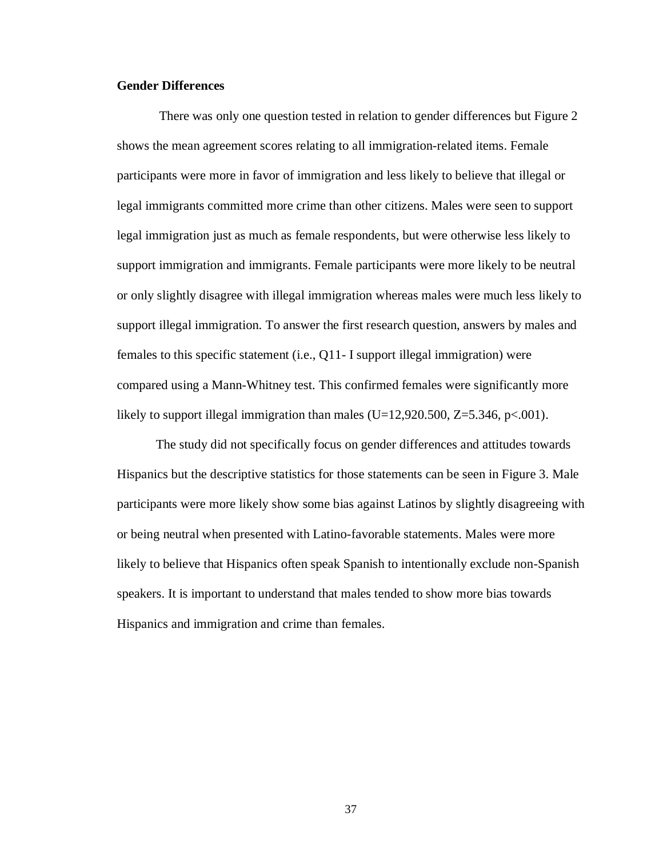#### **Gender Differences**

There was only one question tested in relation to gender differences but Figure 2 shows the mean agreement scores relating to all immigration-related items. Female participants were more in favor of immigration and less likely to believe that illegal or legal immigrants committed more crime than other citizens. Males were seen to support legal immigration just as much as female respondents, but were otherwise less likely to support immigration and immigrants. Female participants were more likely to be neutral or only slightly disagree with illegal immigration whereas males were much less likely to support illegal immigration. To answer the first research question, answers by males and females to this specific statement (i.e., Q11- I support illegal immigration) were compared using a Mann-Whitney test. This confirmed females were significantly more likely to support illegal immigration than males  $(U=12,920.500, Z=5.346, p<.001)$ .

The study did not specifically focus on gender differences and attitudes towards Hispanics but the descriptive statistics for those statements can be seen in Figure 3. Male participants were more likely show some bias against Latinos by slightly disagreeing with or being neutral when presented with Latino-favorable statements. Males were more likely to believe that Hispanics often speak Spanish to intentionally exclude non-Spanish speakers. It is important to understand that males tended to show more bias towards Hispanics and immigration and crime than females.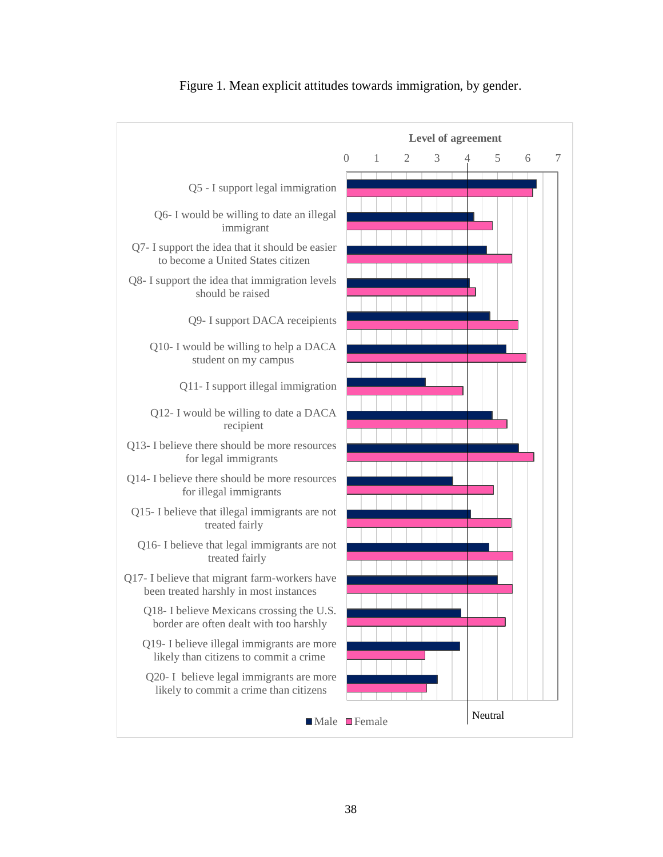

## Figure 1. Mean explicit attitudes towards immigration, by gender.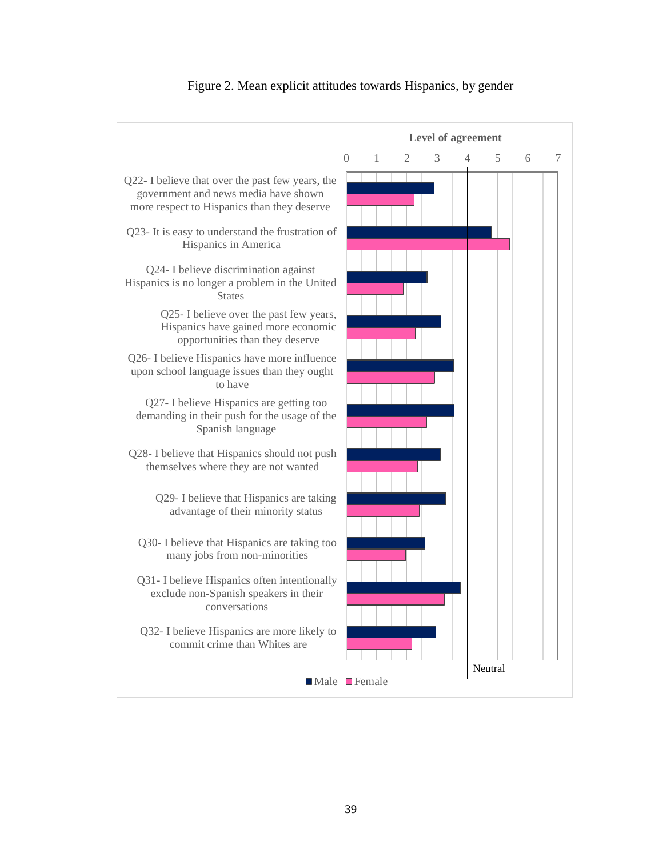

## Figure 2. Mean explicit attitudes towards Hispanics, by gender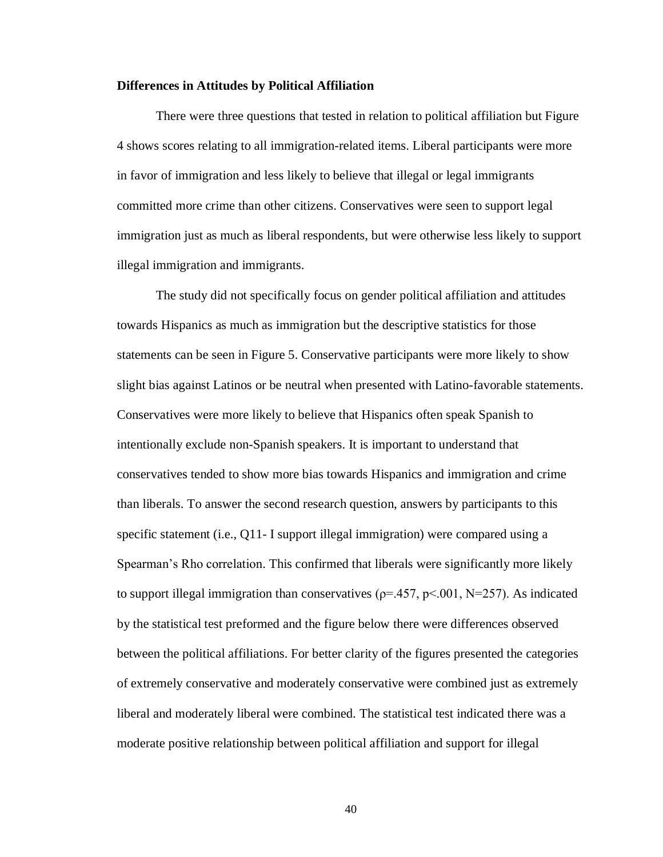#### **Differences in Attitudes by Political Affiliation**

There were three questions that tested in relation to political affiliation but Figure 4 shows scores relating to all immigration-related items. Liberal participants were more in favor of immigration and less likely to believe that illegal or legal immigrants committed more crime than other citizens. Conservatives were seen to support legal immigration just as much as liberal respondents, but were otherwise less likely to support illegal immigration and immigrants.

The study did not specifically focus on gender political affiliation and attitudes towards Hispanics as much as immigration but the descriptive statistics for those statements can be seen in Figure 5. Conservative participants were more likely to show slight bias against Latinos or be neutral when presented with Latino-favorable statements. Conservatives were more likely to believe that Hispanics often speak Spanish to intentionally exclude non-Spanish speakers. It is important to understand that conservatives tended to show more bias towards Hispanics and immigration and crime than liberals. To answer the second research question, answers by participants to this specific statement (i.e., Q11- I support illegal immigration) were compared using a Spearman's Rho correlation. This confirmed that liberals were significantly more likely to support illegal immigration than conservatives ( $p=457$ ,  $p<.001$ , N=257). As indicated by the statistical test preformed and the figure below there were differences observed between the political affiliations. For better clarity of the figures presented the categories of extremely conservative and moderately conservative were combined just as extremely liberal and moderately liberal were combined. The statistical test indicated there was a moderate positive relationship between political affiliation and support for illegal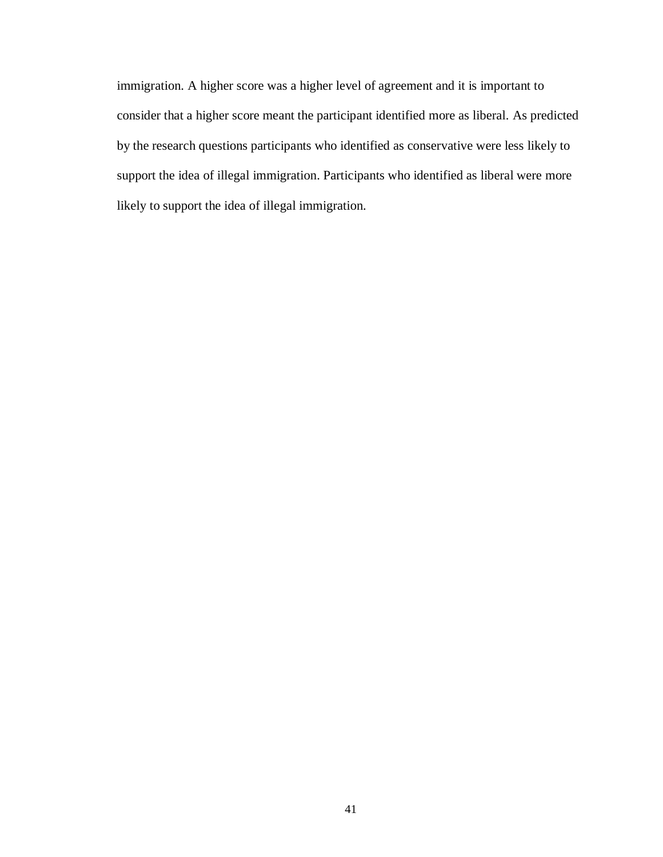immigration. A higher score was a higher level of agreement and it is important to consider that a higher score meant the participant identified more as liberal. As predicted by the research questions participants who identified as conservative were less likely to support the idea of illegal immigration. Participants who identified as liberal were more likely to support the idea of illegal immigration.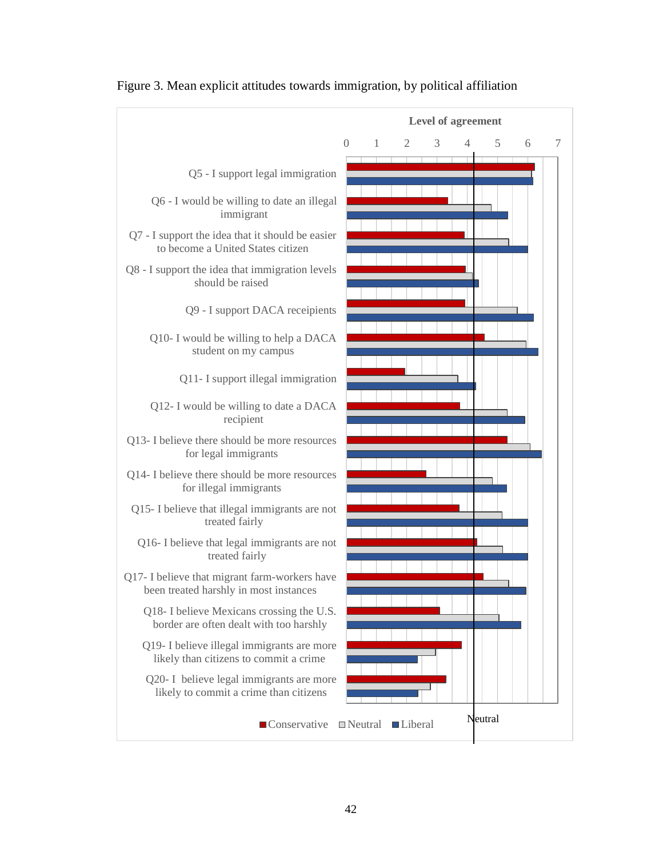

Figure 3. Mean explicit attitudes towards immigration, by political affiliation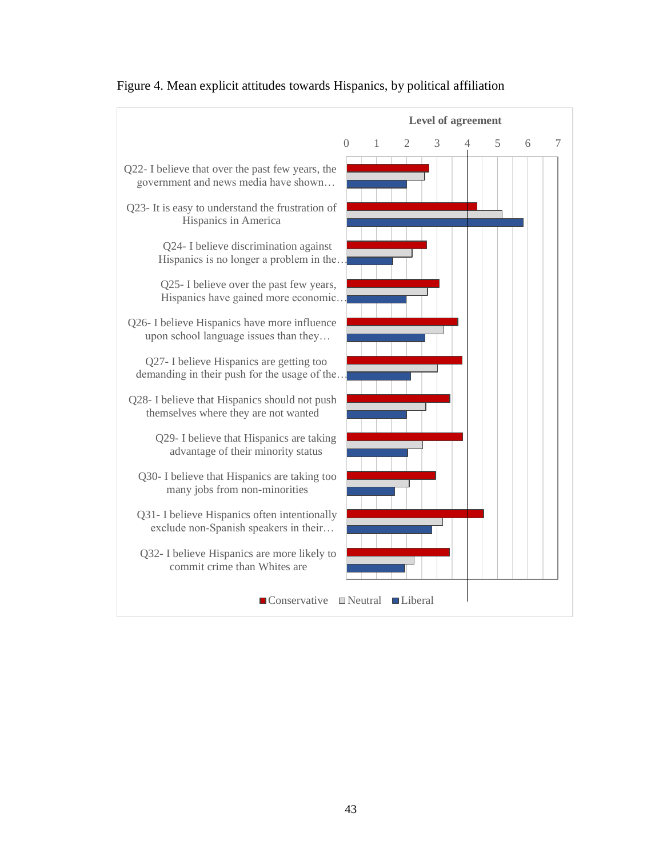

# Figure 4. Mean explicit attitudes towards Hispanics, by political affiliation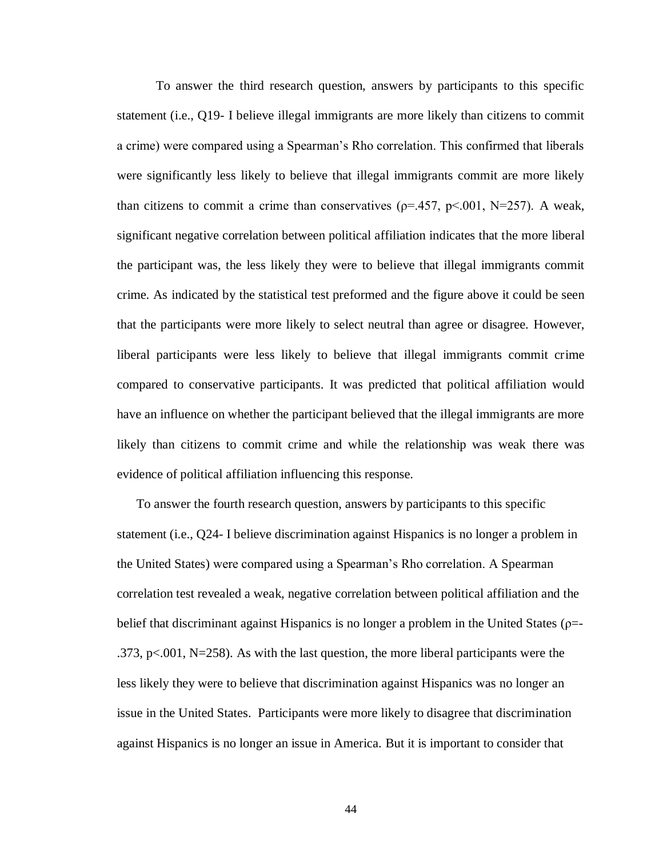To answer the third research question, answers by participants to this specific statement (i.e., Q19- I believe illegal immigrants are more likely than citizens to commit a crime) were compared using a Spearman's Rho correlation. This confirmed that liberals were significantly less likely to believe that illegal immigrants commit are more likely than citizens to commit a crime than conservatives ( $\rho$ =.457,  $p$ <.001, N=257). A weak, significant negative correlation between political affiliation indicates that the more liberal the participant was, the less likely they were to believe that illegal immigrants commit crime. As indicated by the statistical test preformed and the figure above it could be seen that the participants were more likely to select neutral than agree or disagree. However, liberal participants were less likely to believe that illegal immigrants commit crime compared to conservative participants. It was predicted that political affiliation would have an influence on whether the participant believed that the illegal immigrants are more likely than citizens to commit crime and while the relationship was weak there was evidence of political affiliation influencing this response.

To answer the fourth research question, answers by participants to this specific statement (i.e., Q24- I believe discrimination against Hispanics is no longer a problem in the United States) were compared using a Spearman's Rho correlation. A Spearman correlation test revealed a weak, negative correlation between political affiliation and the belief that discriminant against Hispanics is no longer a problem in the United States ( $\rho$ =-.373, p $\lt$ .001, N=258). As with the last question, the more liberal participants were the less likely they were to believe that discrimination against Hispanics was no longer an issue in the United States. Participants were more likely to disagree that discrimination against Hispanics is no longer an issue in America. But it is important to consider that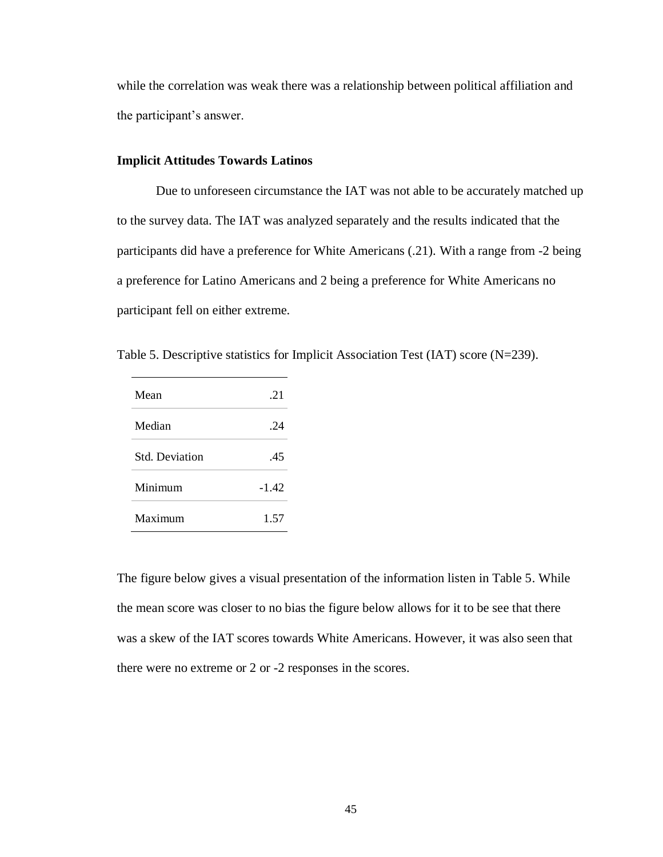while the correlation was weak there was a relationship between political affiliation and the participant's answer.

# **Implicit Attitudes Towards Latinos**

Due to unforeseen circumstance the IAT was not able to be accurately matched up to the survey data. The IAT was analyzed separately and the results indicated that the participants did have a preference for White Americans (.21). With a range from -2 being a preference for Latino Americans and 2 being a preference for White Americans no participant fell on either extreme.

Table 5. Descriptive statistics for Implicit Association Test (IAT) score (N=239).

| Mean                  | .21     |
|-----------------------|---------|
| Median                | 24      |
| <b>Std. Deviation</b> | .45     |
| Minimum               | $-1.42$ |
| Maximum               | 1.57    |

The figure below gives a visual presentation of the information listen in Table 5. While the mean score was closer to no bias the figure below allows for it to be see that there was a skew of the IAT scores towards White Americans. However, it was also seen that there were no extreme or 2 or -2 responses in the scores.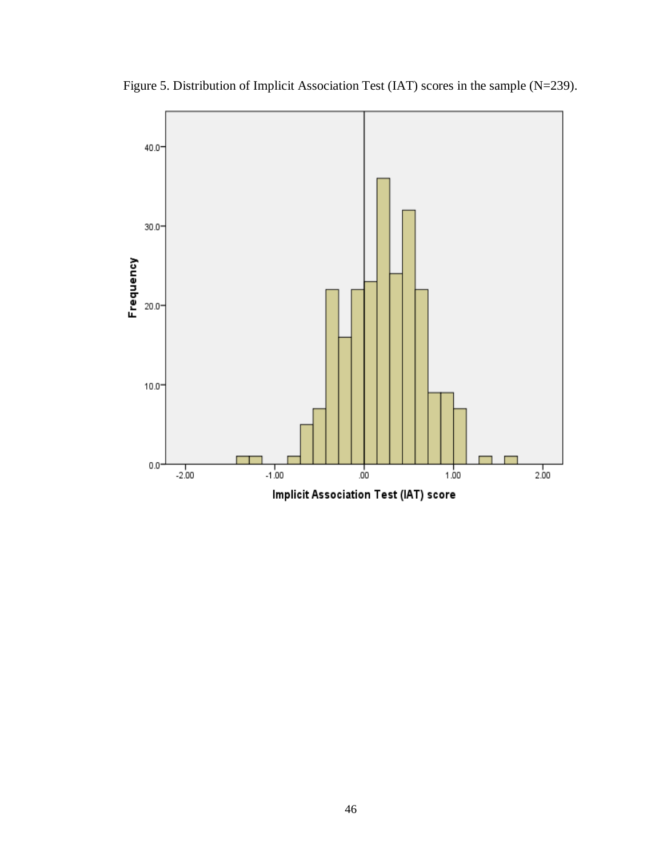

Figure 5. Distribution of Implicit Association Test (IAT) scores in the sample (N=239).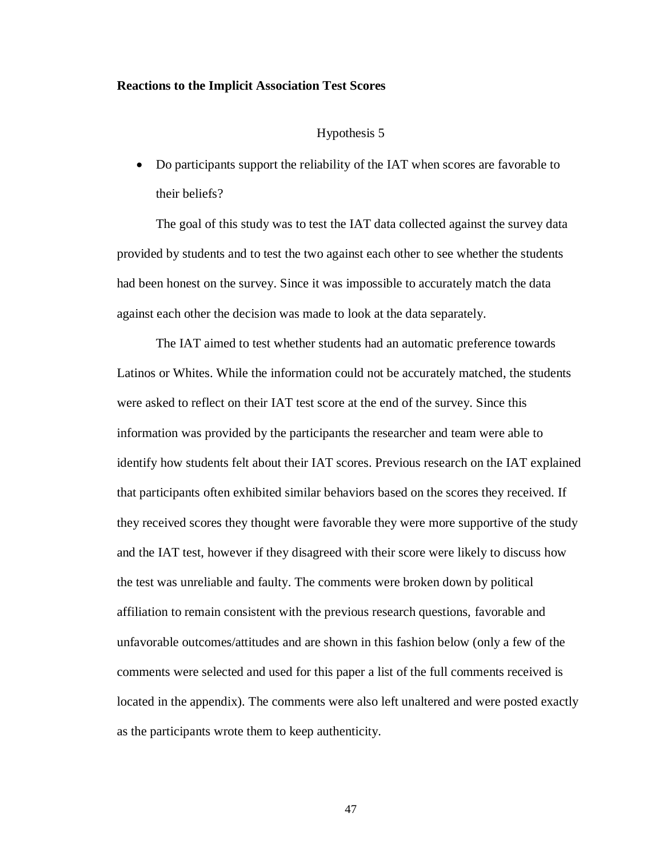#### **Reactions to the Implicit Association Test Scores**

#### Hypothesis 5

• Do participants support the reliability of the IAT when scores are favorable to their beliefs?

The goal of this study was to test the IAT data collected against the survey data provided by students and to test the two against each other to see whether the students had been honest on the survey. Since it was impossible to accurately match the data against each other the decision was made to look at the data separately.

The IAT aimed to test whether students had an automatic preference towards Latinos or Whites. While the information could not be accurately matched, the students were asked to reflect on their IAT test score at the end of the survey. Since this information was provided by the participants the researcher and team were able to identify how students felt about their IAT scores. Previous research on the IAT explained that participants often exhibited similar behaviors based on the scores they received. If they received scores they thought were favorable they were more supportive of the study and the IAT test, however if they disagreed with their score were likely to discuss how the test was unreliable and faulty. The comments were broken down by political affiliation to remain consistent with the previous research questions, favorable and unfavorable outcomes/attitudes and are shown in this fashion below (only a few of the comments were selected and used for this paper a list of the full comments received is located in the appendix). The comments were also left unaltered and were posted exactly as the participants wrote them to keep authenticity.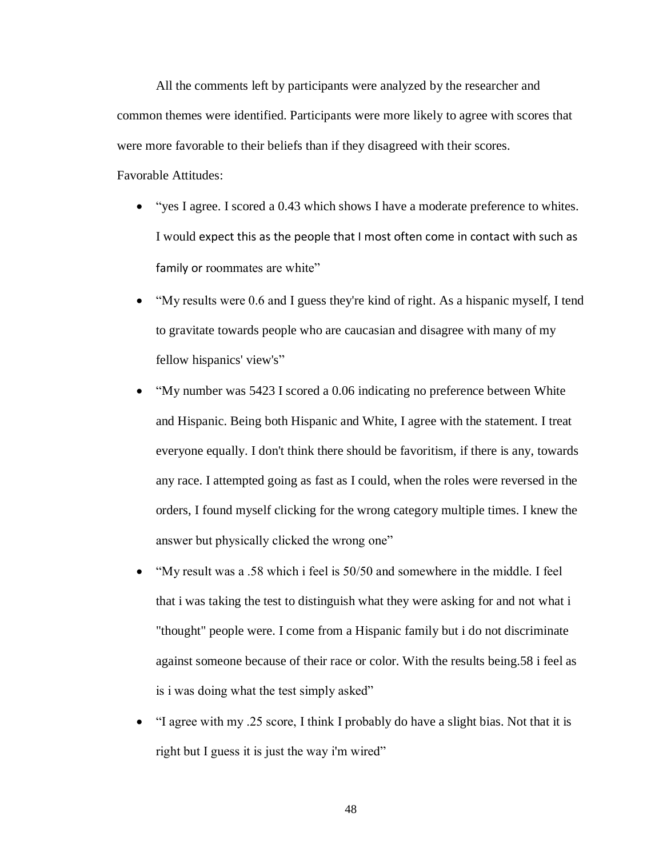All the comments left by participants were analyzed by the researcher and common themes were identified. Participants were more likely to agree with scores that were more favorable to their beliefs than if they disagreed with their scores. Favorable Attitudes:

- "yes I agree. I scored a 0.43 which shows I have a moderate preference to whites. I would expect this as the people that I most often come in contact with such as family or roommates are white"
- "My results were 0.6 and I guess they're kind of right. As a hispanic myself, I tend to gravitate towards people who are caucasian and disagree with many of my fellow hispanics' view's"
- "My number was 5423 I scored a 0.06 indicating no preference between White and Hispanic. Being both Hispanic and White, I agree with the statement. I treat everyone equally. I don't think there should be favoritism, if there is any, towards any race. I attempted going as fast as I could, when the roles were reversed in the orders, I found myself clicking for the wrong category multiple times. I knew the answer but physically clicked the wrong one"
- "My result was a .58 which i feel is 50/50 and somewhere in the middle. I feel that i was taking the test to distinguish what they were asking for and not what i "thought" people were. I come from a Hispanic family but i do not discriminate against someone because of their race or color. With the results being.58 i feel as is i was doing what the test simply asked"
- "I agree with my .25 score, I think I probably do have a slight bias. Not that it is right but I guess it is just the way i'm wired"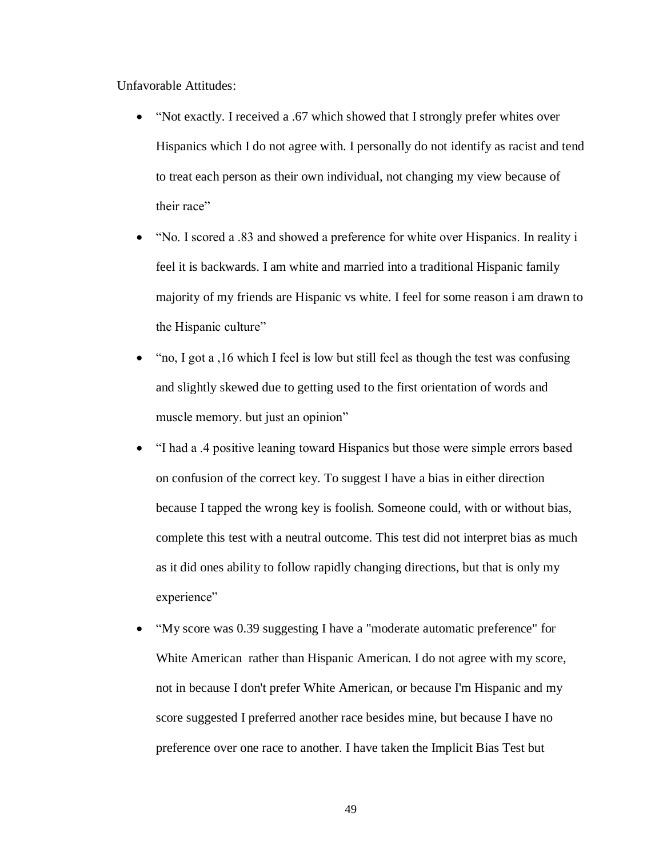Unfavorable Attitudes:

- "Not exactly. I received a .67 which showed that I strongly prefer whites over Hispanics which I do not agree with. I personally do not identify as racist and tend to treat each person as their own individual, not changing my view because of their race"
- "No. I scored a .83 and showed a preference for white over Hispanics. In reality i feel it is backwards. I am white and married into a traditional Hispanic family majority of my friends are Hispanic vs white. I feel for some reason i am drawn to the Hispanic culture"
- "no, I got a , 16 which I feel is low but still feel as though the test was confusing and slightly skewed due to getting used to the first orientation of words and muscle memory. but just an opinion"
- "I had a .4 positive leaning toward Hispanics but those were simple errors based on confusion of the correct key. To suggest I have a bias in either direction because I tapped the wrong key is foolish. Someone could, with or without bias, complete this test with a neutral outcome. This test did not interpret bias as much as it did ones ability to follow rapidly changing directions, but that is only my experience"
- "My score was 0.39 suggesting I have a "moderate automatic preference" for White American rather than Hispanic American. I do not agree with my score, not in because I don't prefer White American, or because I'm Hispanic and my score suggested I preferred another race besides mine, but because I have no preference over one race to another. I have taken the Implicit Bias Test but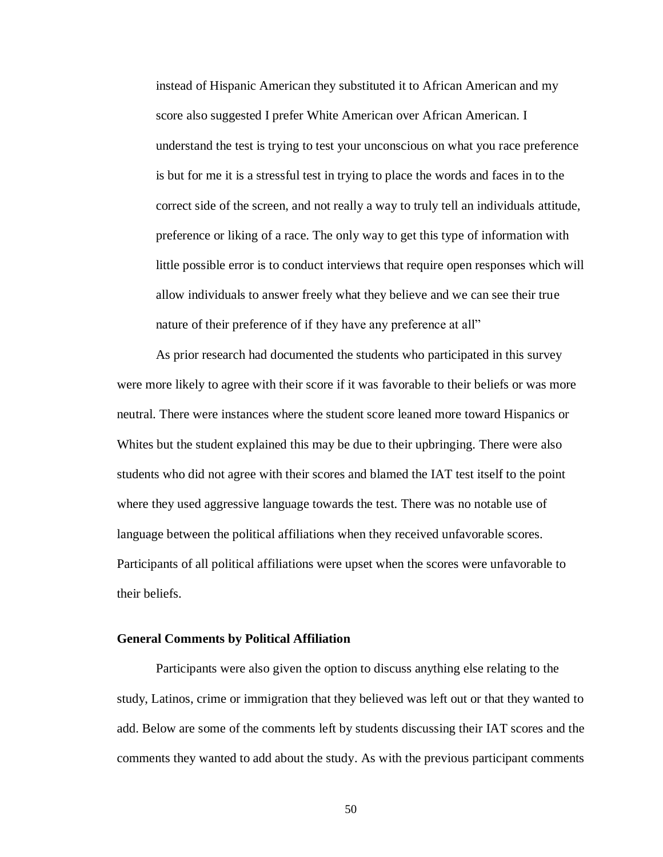instead of Hispanic American they substituted it to African American and my score also suggested I prefer White American over African American. I understand the test is trying to test your unconscious on what you race preference is but for me it is a stressful test in trying to place the words and faces in to the correct side of the screen, and not really a way to truly tell an individuals attitude, preference or liking of a race. The only way to get this type of information with little possible error is to conduct interviews that require open responses which will allow individuals to answer freely what they believe and we can see their true nature of their preference of if they have any preference at all"

As prior research had documented the students who participated in this survey were more likely to agree with their score if it was favorable to their beliefs or was more neutral. There were instances where the student score leaned more toward Hispanics or Whites but the student explained this may be due to their upbringing. There were also students who did not agree with their scores and blamed the IAT test itself to the point where they used aggressive language towards the test. There was no notable use of language between the political affiliations when they received unfavorable scores. Participants of all political affiliations were upset when the scores were unfavorable to their beliefs.

## **General Comments by Political Affiliation**

Participants were also given the option to discuss anything else relating to the study, Latinos, crime or immigration that they believed was left out or that they wanted to add. Below are some of the comments left by students discussing their IAT scores and the comments they wanted to add about the study. As with the previous participant comments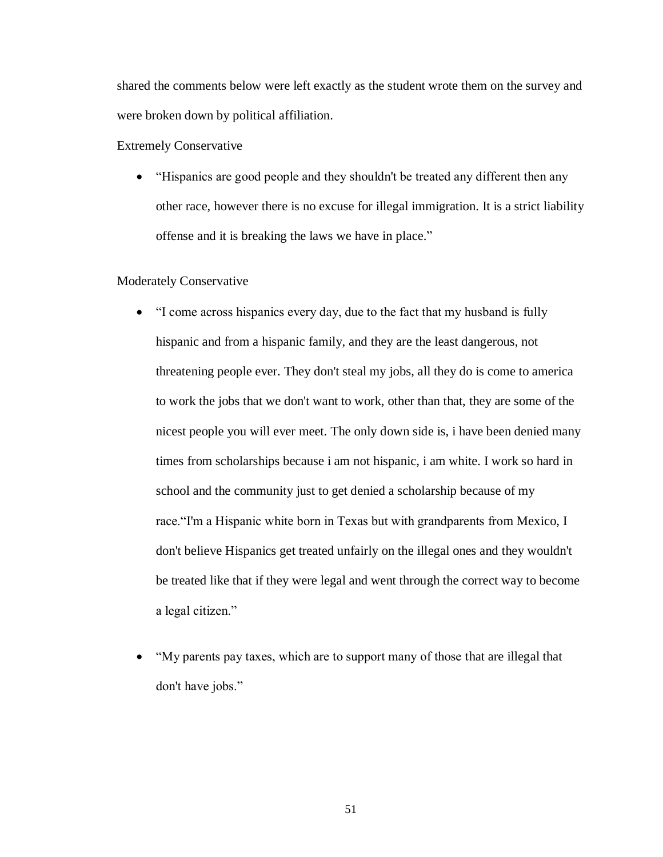shared the comments below were left exactly as the student wrote them on the survey and were broken down by political affiliation.

Extremely Conservative

• "Hispanics are good people and they shouldn't be treated any different then any other race, however there is no excuse for illegal immigration. It is a strict liability offense and it is breaking the laws we have in place."

## Moderately Conservative

- "I come across hispanics every day, due to the fact that my husband is fully hispanic and from a hispanic family, and they are the least dangerous, not threatening people ever. They don't steal my jobs, all they do is come to america to work the jobs that we don't want to work, other than that, they are some of the nicest people you will ever meet. The only down side is, i have been denied many times from scholarships because i am not hispanic, i am white. I work so hard in school and the community just to get denied a scholarship because of my race."I'm a Hispanic white born in Texas but with grandparents from Mexico, I don't believe Hispanics get treated unfairly on the illegal ones and they wouldn't be treated like that if they were legal and went through the correct way to become a legal citizen."
- "My parents pay taxes, which are to support many of those that are illegal that don't have jobs."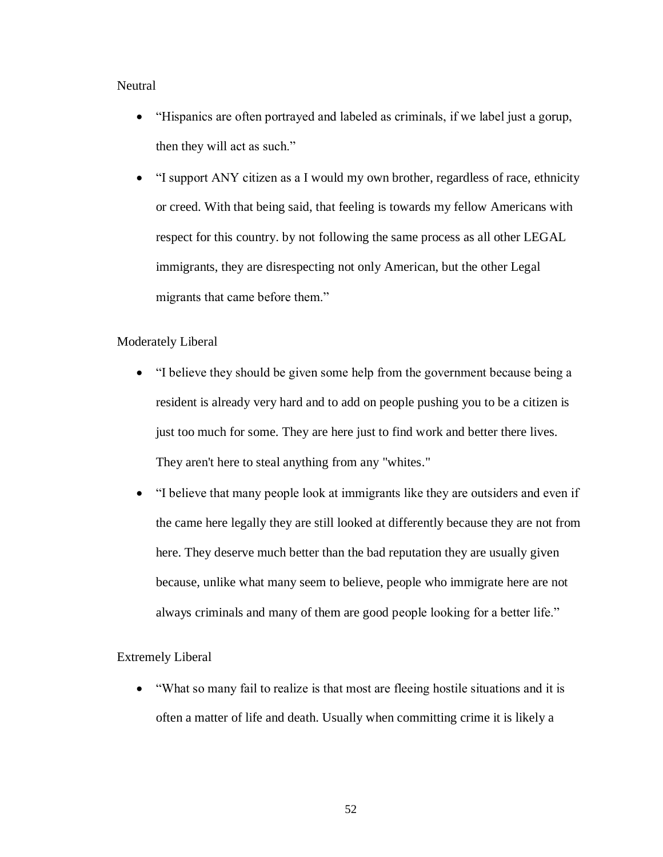# **Neutral**

- "Hispanics are often portrayed and labeled as criminals, if we label just a gorup, then they will act as such."
- "I support ANY citizen as a I would my own brother, regardless of race, ethnicity or creed. With that being said, that feeling is towards my fellow Americans with respect for this country. by not following the same process as all other LEGAL immigrants, they are disrespecting not only American, but the other Legal migrants that came before them."

## Moderately Liberal

- "I believe they should be given some help from the government because being a resident is already very hard and to add on people pushing you to be a citizen is just too much for some. They are here just to find work and better there lives. They aren't here to steal anything from any "whites."
- "I believe that many people look at immigrants like they are outsiders and even if the came here legally they are still looked at differently because they are not from here. They deserve much better than the bad reputation they are usually given because, unlike what many seem to believe, people who immigrate here are not always criminals and many of them are good people looking for a better life."

#### Extremely Liberal

• "What so many fail to realize is that most are fleeing hostile situations and it is often a matter of life and death. Usually when committing crime it is likely a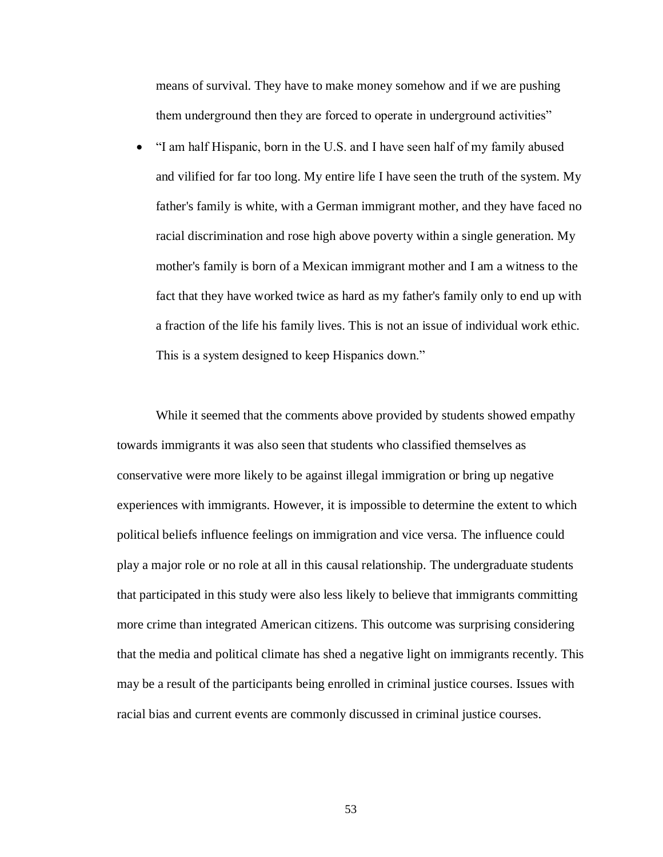means of survival. They have to make money somehow and if we are pushing them underground then they are forced to operate in underground activities"

• "I am half Hispanic, born in the U.S. and I have seen half of my family abused and vilified for far too long. My entire life I have seen the truth of the system. My father's family is white, with a German immigrant mother, and they have faced no racial discrimination and rose high above poverty within a single generation. My mother's family is born of a Mexican immigrant mother and I am a witness to the fact that they have worked twice as hard as my father's family only to end up with a fraction of the life his family lives. This is not an issue of individual work ethic. This is a system designed to keep Hispanics down."

While it seemed that the comments above provided by students showed empathy towards immigrants it was also seen that students who classified themselves as conservative were more likely to be against illegal immigration or bring up negative experiences with immigrants. However, it is impossible to determine the extent to which political beliefs influence feelings on immigration and vice versa. The influence could play a major role or no role at all in this causal relationship. The undergraduate students that participated in this study were also less likely to believe that immigrants committing more crime than integrated American citizens. This outcome was surprising considering that the media and political climate has shed a negative light on immigrants recently. This may be a result of the participants being enrolled in criminal justice courses. Issues with racial bias and current events are commonly discussed in criminal justice courses.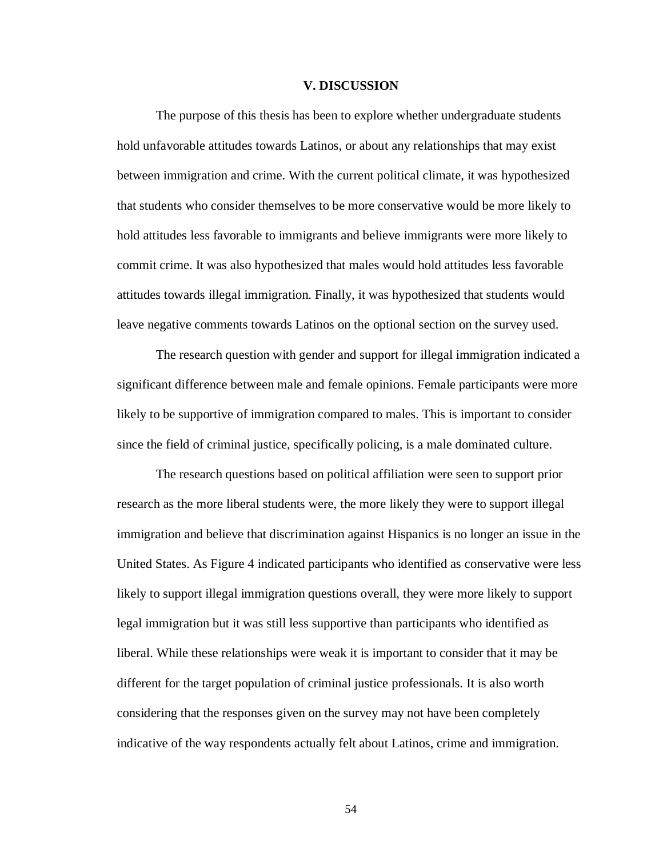#### **V. DISCUSSION**

The purpose of this thesis has been to explore whether undergraduate students hold unfavorable attitudes towards Latinos, or about any relationships that may exist between immigration and crime. With the current political climate, it was hypothesized that students who consider themselves to be more conservative would be more likely to hold attitudes less favorable to immigrants and believe immigrants were more likely to commit crime. It was also hypothesized that males would hold attitudes less favorable attitudes towards illegal immigration. Finally, it was hypothesized that students would leave negative comments towards Latinos on the optional section on the survey used.

The research question with gender and support for illegal immigration indicated a significant difference between male and female opinions. Female participants were more likely to be supportive of immigration compared to males. This is important to consider since the field of criminal justice, specifically policing, is a male dominated culture.

The research questions based on political affiliation were seen to support prior research as the more liberal students were, the more likely they were to support illegal immigration and believe that discrimination against Hispanics is no longer an issue in the United States. As Figure 4 indicated participants who identified as conservative were less likely to support illegal immigration questions overall, they were more likely to support legal immigration but it was still less supportive than participants who identified as liberal. While these relationships were weak it is important to consider that it may be different for the target population of criminal justice professionals. It is also worth considering that the responses given on the survey may not have been completely indicative of the way respondents actually felt about Latinos, crime and immigration.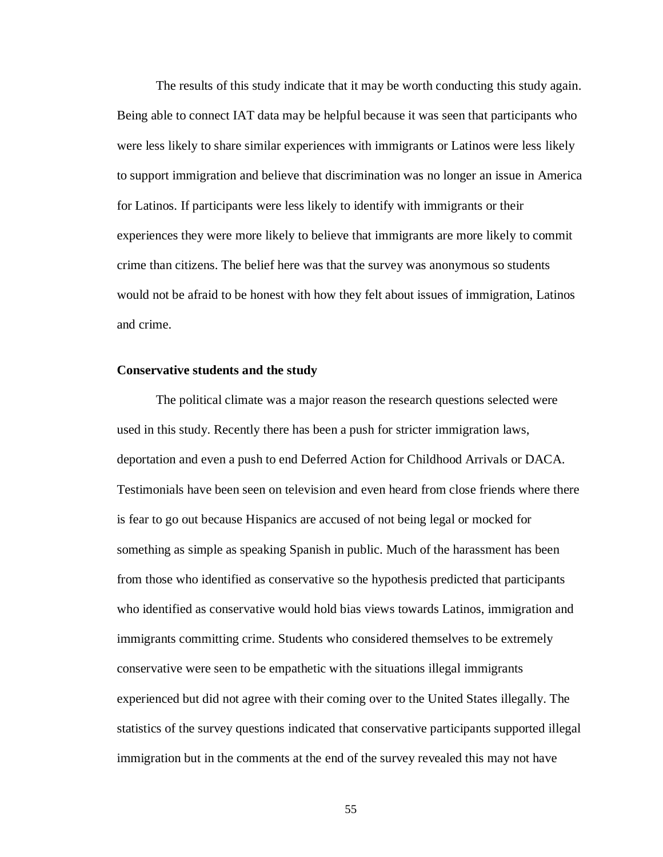The results of this study indicate that it may be worth conducting this study again. Being able to connect IAT data may be helpful because it was seen that participants who were less likely to share similar experiences with immigrants or Latinos were less likely to support immigration and believe that discrimination was no longer an issue in America for Latinos. If participants were less likely to identify with immigrants or their experiences they were more likely to believe that immigrants are more likely to commit crime than citizens. The belief here was that the survey was anonymous so students would not be afraid to be honest with how they felt about issues of immigration, Latinos and crime.

#### **Conservative students and the study**

The political climate was a major reason the research questions selected were used in this study. Recently there has been a push for stricter immigration laws, deportation and even a push to end Deferred Action for Childhood Arrivals or DACA. Testimonials have been seen on television and even heard from close friends where there is fear to go out because Hispanics are accused of not being legal or mocked for something as simple as speaking Spanish in public. Much of the harassment has been from those who identified as conservative so the hypothesis predicted that participants who identified as conservative would hold bias views towards Latinos, immigration and immigrants committing crime. Students who considered themselves to be extremely conservative were seen to be empathetic with the situations illegal immigrants experienced but did not agree with their coming over to the United States illegally. The statistics of the survey questions indicated that conservative participants supported illegal immigration but in the comments at the end of the survey revealed this may not have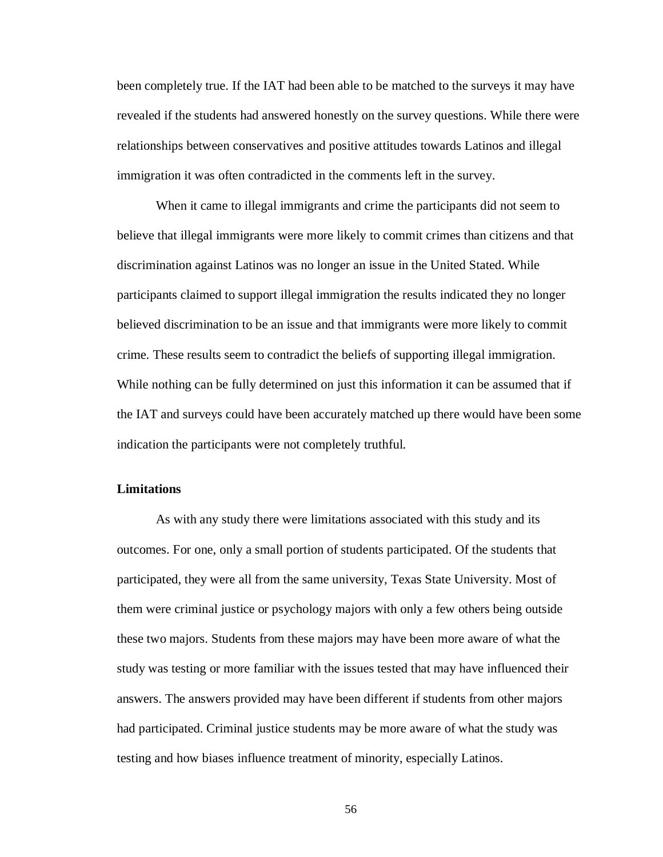been completely true. If the IAT had been able to be matched to the surveys it may have revealed if the students had answered honestly on the survey questions. While there were relationships between conservatives and positive attitudes towards Latinos and illegal immigration it was often contradicted in the comments left in the survey.

When it came to illegal immigrants and crime the participants did not seem to believe that illegal immigrants were more likely to commit crimes than citizens and that discrimination against Latinos was no longer an issue in the United Stated. While participants claimed to support illegal immigration the results indicated they no longer believed discrimination to be an issue and that immigrants were more likely to commit crime. These results seem to contradict the beliefs of supporting illegal immigration. While nothing can be fully determined on just this information it can be assumed that if the IAT and surveys could have been accurately matched up there would have been some indication the participants were not completely truthful.

#### **Limitations**

As with any study there were limitations associated with this study and its outcomes. For one, only a small portion of students participated. Of the students that participated, they were all from the same university, Texas State University. Most of them were criminal justice or psychology majors with only a few others being outside these two majors. Students from these majors may have been more aware of what the study was testing or more familiar with the issues tested that may have influenced their answers. The answers provided may have been different if students from other majors had participated. Criminal justice students may be more aware of what the study was testing and how biases influence treatment of minority, especially Latinos.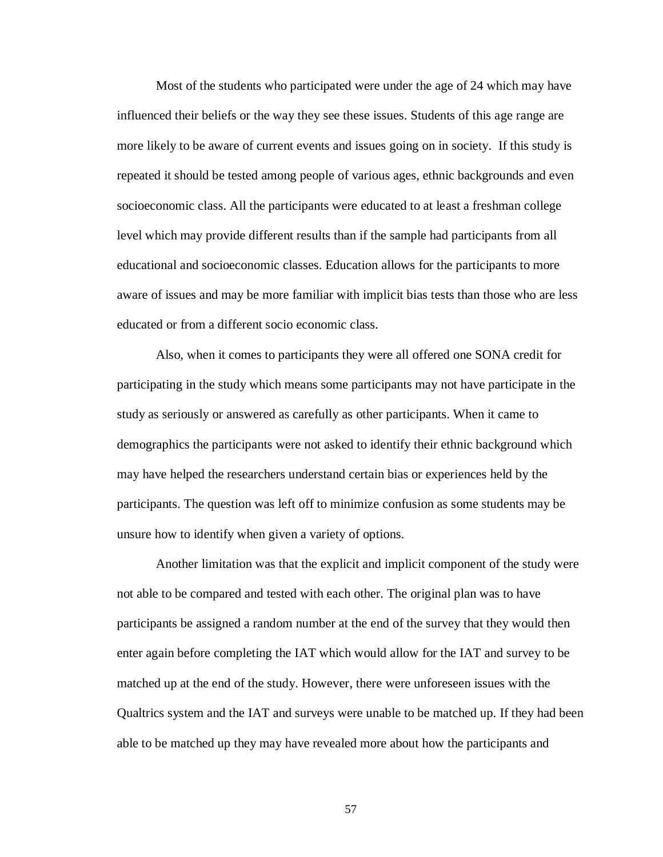Most of the students who participated were under the age of 24 which may have influenced their beliefs or the way they see these issues. Students of this age range are more likely to be aware of current events and issues going on in society. If this study is repeated it should be tested among people of various ages, ethnic backgrounds and even socioeconomic class. All the participants were educated to at least a freshman college level which may provide different results than if the sample had participants from all educational and socioeconomic classes. Education allows for the participants to more aware of issues and may be more familiar with implicit bias tests than those who are less educated or from a different socio economic class.

Also, when it comes to participants they were all offered one SONA credit for participating in the study which means some participants may not have participate in the study as seriously or answered as carefully as other participants. When it came to demographics the participants were not asked to identify their ethnic background which may have helped the researchers understand certain bias or experiences held by the participants. The question was left off to minimize confusion as some students may be unsure how to identify when given a variety of options.

Another limitation was that the explicit and implicit component of the study were not able to be compared and tested with each other. The original plan was to have participants be assigned a random number at the end of the survey that they would then enter again before completing the IAT which would allow for the IAT and survey to be matched up at the end of the study. However, there were unforeseen issues with the Qualtrics system and the IAT and surveys were unable to be matched up. If they had been able to be matched up they may have revealed more about how the participants and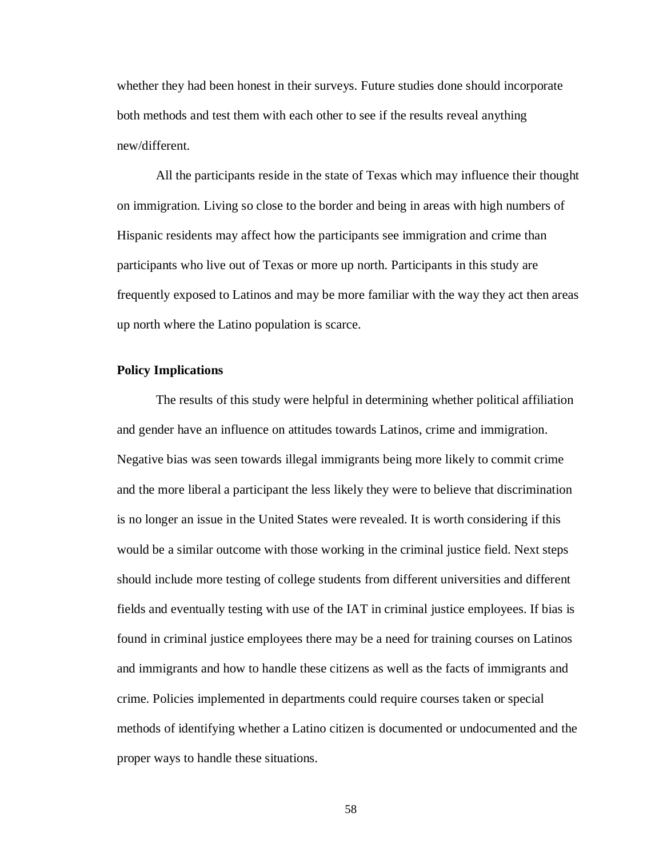whether they had been honest in their surveys. Future studies done should incorporate both methods and test them with each other to see if the results reveal anything new/different.

All the participants reside in the state of Texas which may influence their thought on immigration. Living so close to the border and being in areas with high numbers of Hispanic residents may affect how the participants see immigration and crime than participants who live out of Texas or more up north. Participants in this study are frequently exposed to Latinos and may be more familiar with the way they act then areas up north where the Latino population is scarce.

## **Policy Implications**

The results of this study were helpful in determining whether political affiliation and gender have an influence on attitudes towards Latinos, crime and immigration. Negative bias was seen towards illegal immigrants being more likely to commit crime and the more liberal a participant the less likely they were to believe that discrimination is no longer an issue in the United States were revealed. It is worth considering if this would be a similar outcome with those working in the criminal justice field. Next steps should include more testing of college students from different universities and different fields and eventually testing with use of the IAT in criminal justice employees. If bias is found in criminal justice employees there may be a need for training courses on Latinos and immigrants and how to handle these citizens as well as the facts of immigrants and crime. Policies implemented in departments could require courses taken or special methods of identifying whether a Latino citizen is documented or undocumented and the proper ways to handle these situations.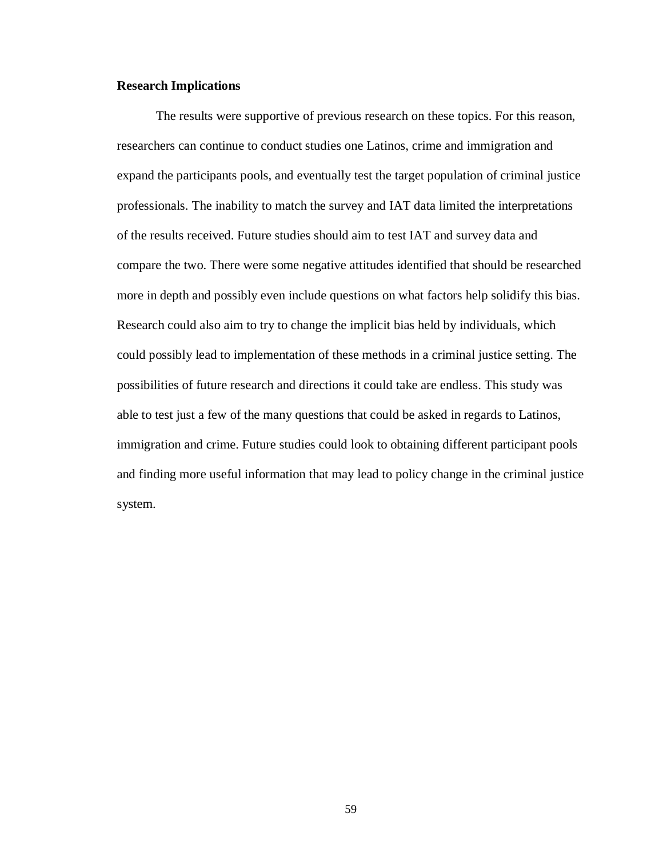#### **Research Implications**

The results were supportive of previous research on these topics. For this reason, researchers can continue to conduct studies one Latinos, crime and immigration and expand the participants pools, and eventually test the target population of criminal justice professionals. The inability to match the survey and IAT data limited the interpretations of the results received. Future studies should aim to test IAT and survey data and compare the two. There were some negative attitudes identified that should be researched more in depth and possibly even include questions on what factors help solidify this bias. Research could also aim to try to change the implicit bias held by individuals, which could possibly lead to implementation of these methods in a criminal justice setting. The possibilities of future research and directions it could take are endless. This study was able to test just a few of the many questions that could be asked in regards to Latinos, immigration and crime. Future studies could look to obtaining different participant pools and finding more useful information that may lead to policy change in the criminal justice system.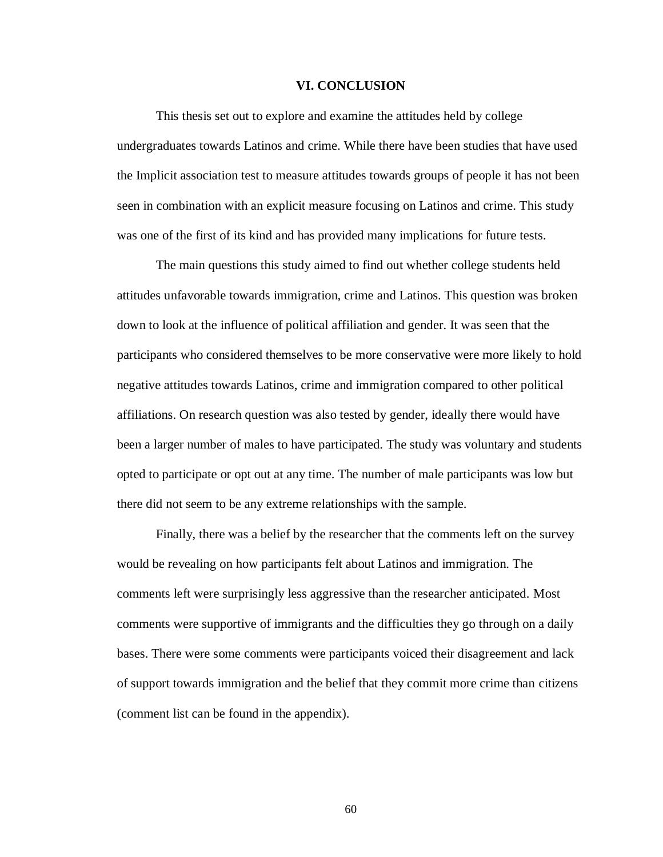#### **VI. CONCLUSION**

This thesis set out to explore and examine the attitudes held by college undergraduates towards Latinos and crime. While there have been studies that have used the Implicit association test to measure attitudes towards groups of people it has not been seen in combination with an explicit measure focusing on Latinos and crime. This study was one of the first of its kind and has provided many implications for future tests.

The main questions this study aimed to find out whether college students held attitudes unfavorable towards immigration, crime and Latinos. This question was broken down to look at the influence of political affiliation and gender. It was seen that the participants who considered themselves to be more conservative were more likely to hold negative attitudes towards Latinos, crime and immigration compared to other political affiliations. On research question was also tested by gender, ideally there would have been a larger number of males to have participated. The study was voluntary and students opted to participate or opt out at any time. The number of male participants was low but there did not seem to be any extreme relationships with the sample.

Finally, there was a belief by the researcher that the comments left on the survey would be revealing on how participants felt about Latinos and immigration. The comments left were surprisingly less aggressive than the researcher anticipated. Most comments were supportive of immigrants and the difficulties they go through on a daily bases. There were some comments were participants voiced their disagreement and lack of support towards immigration and the belief that they commit more crime than citizens (comment list can be found in the appendix).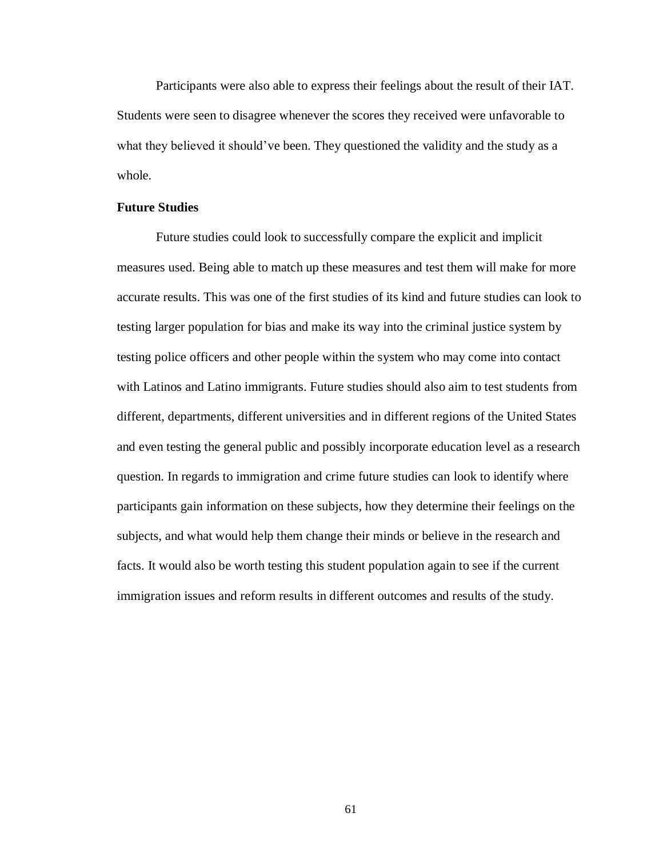Participants were also able to express their feelings about the result of their IAT. Students were seen to disagree whenever the scores they received were unfavorable to what they believed it should've been. They questioned the validity and the study as a whole.

#### **Future Studies**

Future studies could look to successfully compare the explicit and implicit measures used. Being able to match up these measures and test them will make for more accurate results. This was one of the first studies of its kind and future studies can look to testing larger population for bias and make its way into the criminal justice system by testing police officers and other people within the system who may come into contact with Latinos and Latino immigrants. Future studies should also aim to test students from different, departments, different universities and in different regions of the United States and even testing the general public and possibly incorporate education level as a research question. In regards to immigration and crime future studies can look to identify where participants gain information on these subjects, how they determine their feelings on the subjects, and what would help them change their minds or believe in the research and facts. It would also be worth testing this student population again to see if the current immigration issues and reform results in different outcomes and results of the study.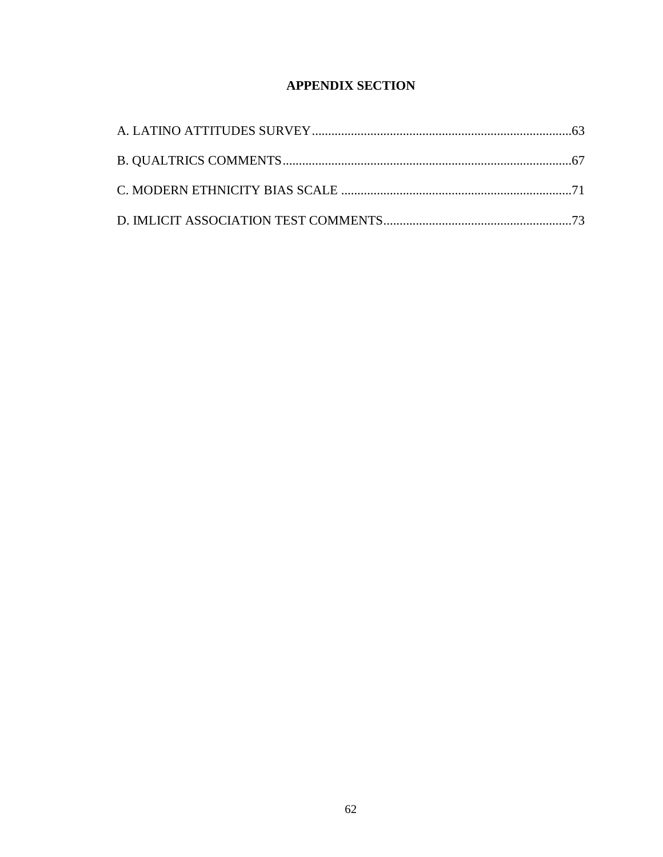# **APPENDIX SECTION**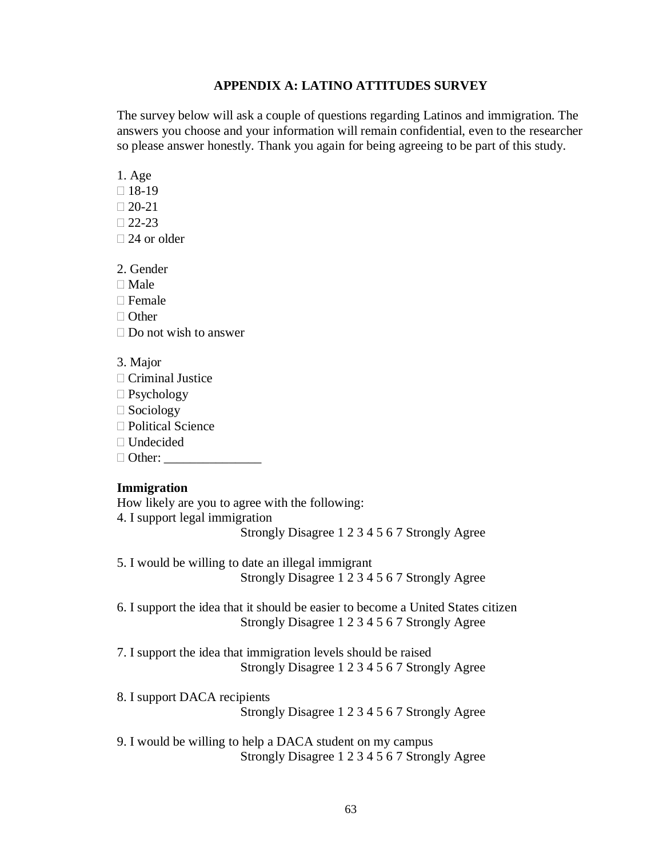## **APPENDIX A: LATINO ATTITUDES SURVEY**

The survey below will ask a couple of questions regarding Latinos and immigration. The answers you choose and your information will remain confidential, even to the researcher so please answer honestly. Thank you again for being agreeing to be part of this study.

1. Age

 $\Box$  18-19

 $\Box$  20-21

 $\Box$  22-23

□ 24 or older

2. Gender

 $\Box$  Male

 $\Box$  Female

□ Other

 $\Box$  Do not wish to answer

3. Major

□ Criminal Justice

Psychology

 $\Box$  Sociology

□ Political Science

□ Undecided

 $\Box$  Other:

# **Immigration**

How likely are you to agree with the following: 4. I support legal immigration Strongly Disagree 1 2 3 4 5 6 7 Strongly Agree

5. I would be willing to date an illegal immigrant Strongly Disagree 1 2 3 4 5 6 7 Strongly Agree

6. I support the idea that it should be easier to become a United States citizen Strongly Disagree 1 2 3 4 5 6 7 Strongly Agree

7. I support the idea that immigration levels should be raised Strongly Disagree 1 2 3 4 5 6 7 Strongly Agree

8. I support DACA recipients

Strongly Disagree 1 2 3 4 5 6 7 Strongly Agree

9. I would be willing to help a DACA student on my campus Strongly Disagree 1 2 3 4 5 6 7 Strongly Agree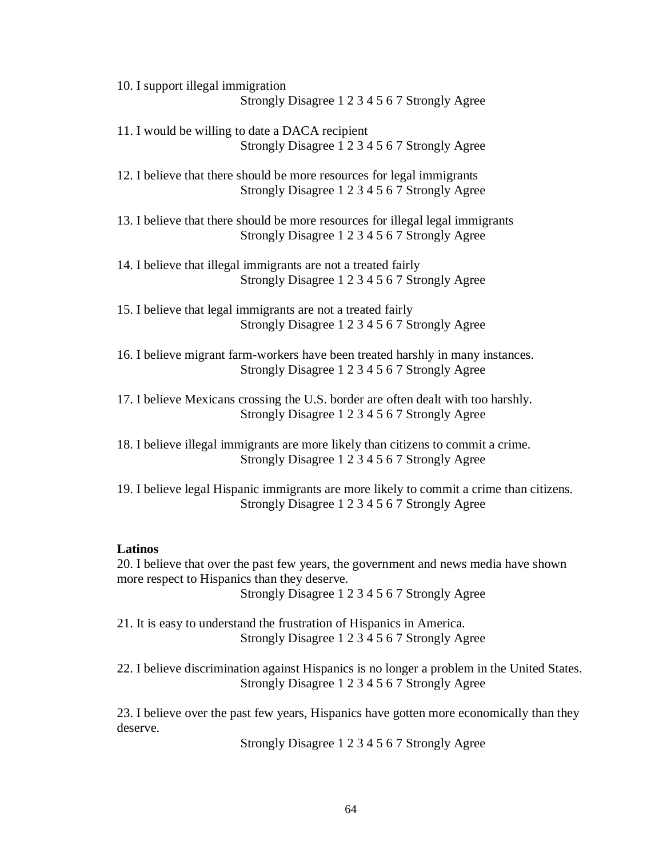10. I support illegal immigration Strongly Disagree 1 2 3 4 5 6 7 Strongly Agree

11. I would be willing to date a DACA recipient Strongly Disagree 1 2 3 4 5 6 7 Strongly Agree

12. I believe that there should be more resources for legal immigrants Strongly Disagree 1 2 3 4 5 6 7 Strongly Agree

13. I believe that there should be more resources for illegal legal immigrants Strongly Disagree 1 2 3 4 5 6 7 Strongly Agree

14. I believe that illegal immigrants are not a treated fairly Strongly Disagree 1 2 3 4 5 6 7 Strongly Agree

15. I believe that legal immigrants are not a treated fairly Strongly Disagree 1 2 3 4 5 6 7 Strongly Agree

16. I believe migrant farm-workers have been treated harshly in many instances. Strongly Disagree 1 2 3 4 5 6 7 Strongly Agree

17. I believe Mexicans crossing the U.S. border are often dealt with too harshly. Strongly Disagree 1 2 3 4 5 6 7 Strongly Agree

18. I believe illegal immigrants are more likely than citizens to commit a crime. Strongly Disagree 1 2 3 4 5 6 7 Strongly Agree

19. I believe legal Hispanic immigrants are more likely to commit a crime than citizens. Strongly Disagree 1 2 3 4 5 6 7 Strongly Agree

#### **Latinos**

20. I believe that over the past few years, the government and news media have shown more respect to Hispanics than they deserve. Strongly Disagree 1 2 3 4 5 6 7 Strongly Agree

21. It is easy to understand the frustration of Hispanics in America. Strongly Disagree 1 2 3 4 5 6 7 Strongly Agree

22. I believe discrimination against Hispanics is no longer a problem in the United States. Strongly Disagree 1 2 3 4 5 6 7 Strongly Agree

23. I believe over the past few years, Hispanics have gotten more economically than they deserve.

Strongly Disagree 1 2 3 4 5 6 7 Strongly Agree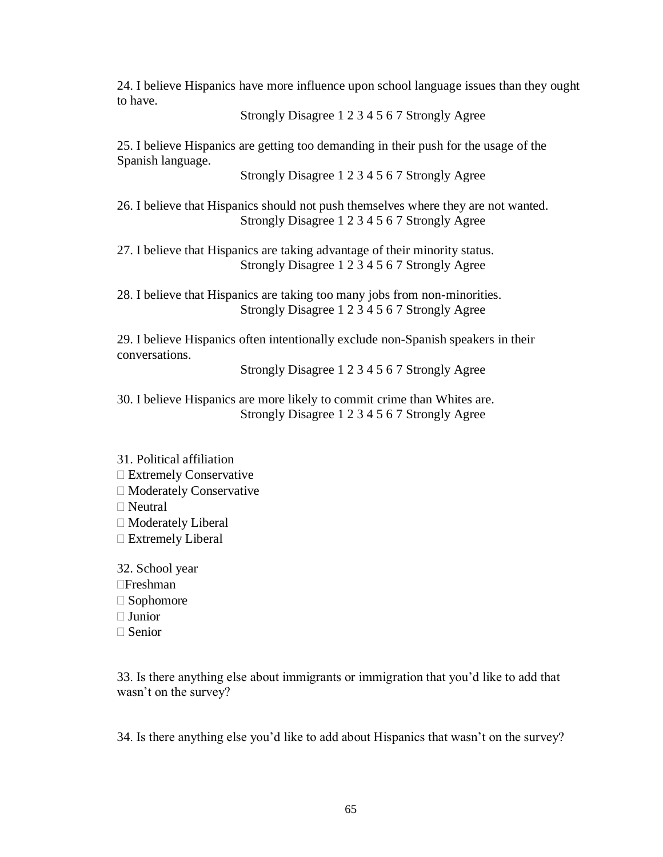24. I believe Hispanics have more influence upon school language issues than they ought to have.

Strongly Disagree 1 2 3 4 5 6 7 Strongly Agree

25. I believe Hispanics are getting too demanding in their push for the usage of the Spanish language.

Strongly Disagree 1 2 3 4 5 6 7 Strongly Agree

26. I believe that Hispanics should not push themselves where they are not wanted. Strongly Disagree 1 2 3 4 5 6 7 Strongly Agree

27. I believe that Hispanics are taking advantage of their minority status. Strongly Disagree 1 2 3 4 5 6 7 Strongly Agree

28. I believe that Hispanics are taking too many jobs from non-minorities. Strongly Disagree 1 2 3 4 5 6 7 Strongly Agree

29. I believe Hispanics often intentionally exclude non-Spanish speakers in their conversations.

Strongly Disagree 1 2 3 4 5 6 7 Strongly Agree

30. I believe Hispanics are more likely to commit crime than Whites are. Strongly Disagree 1 2 3 4 5 6 7 Strongly Agree

- 31. Political affiliation Extremely Conservative Moderately Conservative  $\Box$  Neutral Moderately Liberal Extremely Liberal
- 32. School year Freshman □ Sophomore  $\Box$  Junior □ Senior

33. Is there anything else about immigrants or immigration that you'd like to add that wasn't on the survey?

34. Is there anything else you'd like to add about Hispanics that wasn't on the survey?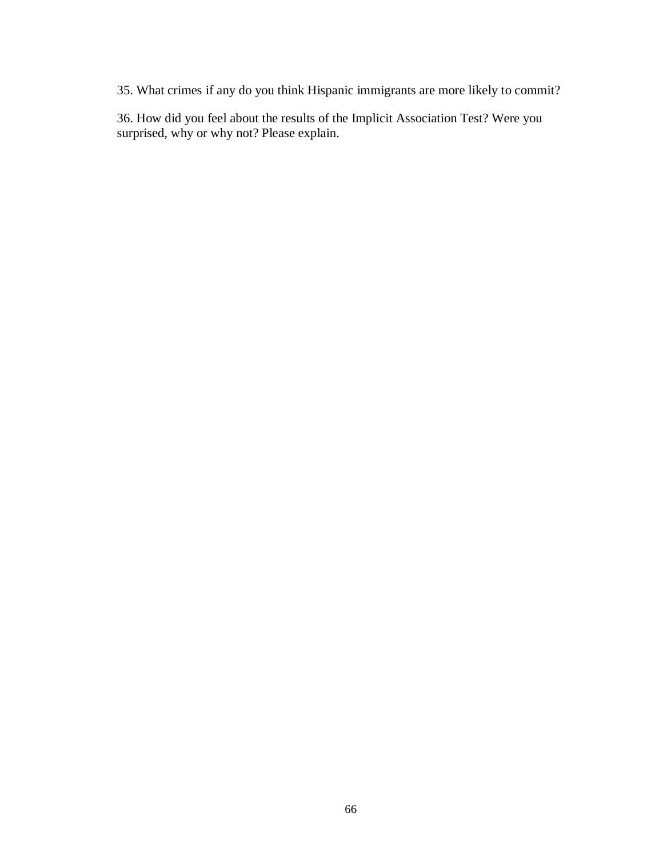35. What crimes if any do you think Hispanic immigrants are more likely to commit?

36. How did you feel about the results of the Implicit Association Test? Were you surprised, why or why not? Please explain.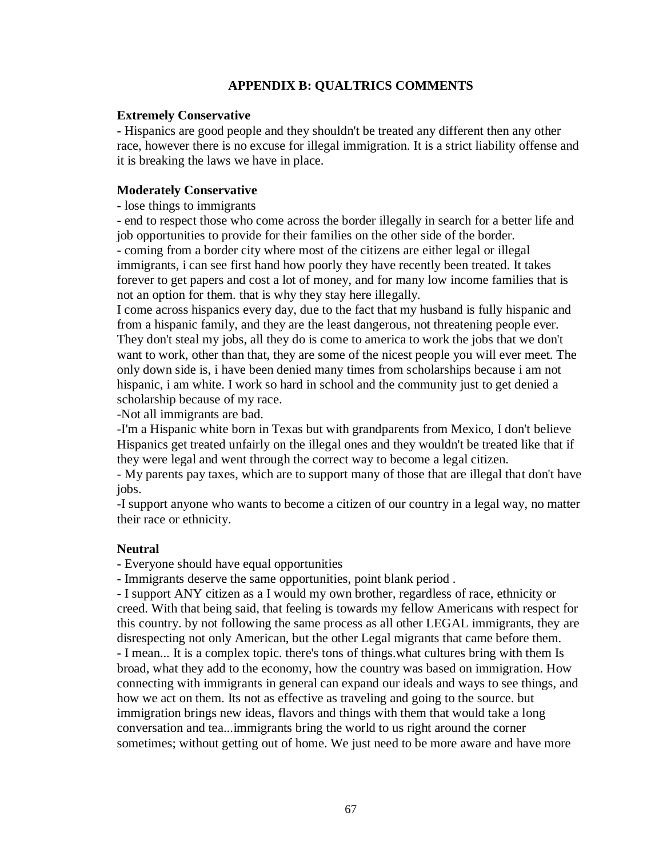# **APPENDIX B: QUALTRICS COMMENTS**

### **Extremely Conservative**

**-** Hispanics are good people and they shouldn't be treated any different then any other race, however there is no excuse for illegal immigration. It is a strict liability offense and it is breaking the laws we have in place.

### **Moderately Conservative**

**-** lose things to immigrants

**-** end to respect those who come across the border illegally in search for a better life and job opportunities to provide for their families on the other side of the border. **-** coming from a border city where most of the citizens are either legal or illegal

immigrants, i can see first hand how poorly they have recently been treated. It takes forever to get papers and cost a lot of money, and for many low income families that is not an option for them. that is why they stay here illegally.

I come across hispanics every day, due to the fact that my husband is fully hispanic and from a hispanic family, and they are the least dangerous, not threatening people ever. They don't steal my jobs, all they do is come to america to work the jobs that we don't want to work, other than that, they are some of the nicest people you will ever meet. The only down side is, i have been denied many times from scholarships because i am not hispanic, i am white. I work so hard in school and the community just to get denied a scholarship because of my race.

-Not all immigrants are bad.

-I'm a Hispanic white born in Texas but with grandparents from Mexico, I don't believe Hispanics get treated unfairly on the illegal ones and they wouldn't be treated like that if they were legal and went through the correct way to become a legal citizen.

- My parents pay taxes, which are to support many of those that are illegal that don't have jobs.

-I support anyone who wants to become a citizen of our country in a legal way, no matter their race or ethnicity.

### **Neutral**

**-** Everyone should have equal opportunities

- Immigrants deserve the same opportunities, point blank period .

- I support ANY citizen as a I would my own brother, regardless of race, ethnicity or creed. With that being said, that feeling is towards my fellow Americans with respect for this country. by not following the same process as all other LEGAL immigrants, they are disrespecting not only American, but the other Legal migrants that came before them. **-** I mean... It is a complex topic. there's tons of things.what cultures bring with them Is broad, what they add to the economy, how the country was based on immigration. How connecting with immigrants in general can expand our ideals and ways to see things, and how we act on them. Its not as effective as traveling and going to the source. but immigration brings new ideas, flavors and things with them that would take a long conversation and tea...immigrants bring the world to us right around the corner sometimes; without getting out of home. We just need to be more aware and have more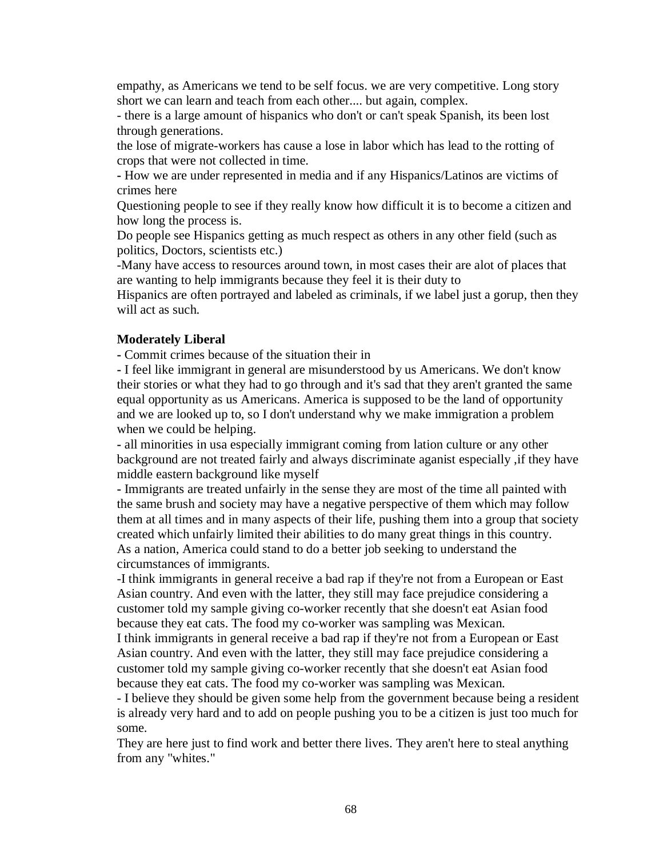empathy, as Americans we tend to be self focus. we are very competitive. Long story short we can learn and teach from each other.... but again, complex.

- there is a large amount of hispanics who don't or can't speak Spanish, its been lost through generations.

the lose of migrate-workers has cause a lose in labor which has lead to the rotting of crops that were not collected in time.

**-** How we are under represented in media and if any Hispanics/Latinos are victims of crimes here

Questioning people to see if they really know how difficult it is to become a citizen and how long the process is.

Do people see Hispanics getting as much respect as others in any other field (such as politics, Doctors, scientists etc.)

-Many have access to resources around town, in most cases their are alot of places that are wanting to help immigrants because they feel it is their duty to

Hispanics are often portrayed and labeled as criminals, if we label just a gorup, then they will act as such.

### **Moderately Liberal**

**-** Commit crimes because of the situation their in

**-** I feel like immigrant in general are misunderstood by us Americans. We don't know their stories or what they had to go through and it's sad that they aren't granted the same equal opportunity as us Americans. America is supposed to be the land of opportunity and we are looked up to, so I don't understand why we make immigration a problem when we could be helping.

**-** all minorities in usa especially immigrant coming from lation culture or any other background are not treated fairly and always discriminate aganist especially ,if they have middle eastern background like myself

**-** Immigrants are treated unfairly in the sense they are most of the time all painted with the same brush and society may have a negative perspective of them which may follow them at all times and in many aspects of their life, pushing them into a group that society created which unfairly limited their abilities to do many great things in this country. As a nation, America could stand to do a better job seeking to understand the circumstances of immigrants.

-I think immigrants in general receive a bad rap if they're not from a European or East Asian country. And even with the latter, they still may face prejudice considering a customer told my sample giving co-worker recently that she doesn't eat Asian food because they eat cats. The food my co-worker was sampling was Mexican.

I think immigrants in general receive a bad rap if they're not from a European or East Asian country. And even with the latter, they still may face prejudice considering a customer told my sample giving co-worker recently that she doesn't eat Asian food because they eat cats. The food my co-worker was sampling was Mexican.

- I believe they should be given some help from the government because being a resident is already very hard and to add on people pushing you to be a citizen is just too much for some.

They are here just to find work and better there lives. They aren't here to steal anything from any "whites."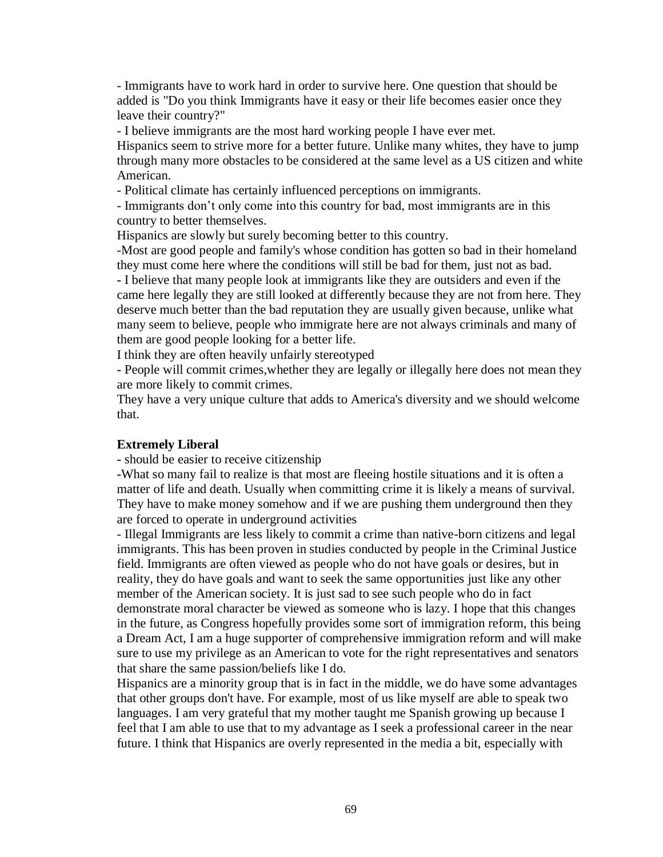- Immigrants have to work hard in order to survive here. One question that should be added is "Do you think Immigrants have it easy or their life becomes easier once they leave their country?"

- I believe immigrants are the most hard working people I have ever met.

Hispanics seem to strive more for a better future. Unlike many whites, they have to jump through many more obstacles to be considered at the same level as a US citizen and white American.

- Political climate has certainly influenced perceptions on immigrants.

- Immigrants don't only come into this country for bad, most immigrants are in this country to better themselves.

Hispanics are slowly but surely becoming better to this country.

-Most are good people and family's whose condition has gotten so bad in their homeland they must come here where the conditions will still be bad for them, just not as bad.

**-** I believe that many people look at immigrants like they are outsiders and even if the came here legally they are still looked at differently because they are not from here. They deserve much better than the bad reputation they are usually given because, unlike what many seem to believe, people who immigrate here are not always criminals and many of them are good people looking for a better life.

I think they are often heavily unfairly stereotyped

**-** People will commit crimes,whether they are legally or illegally here does not mean they are more likely to commit crimes.

They have a very unique culture that adds to America's diversity and we should welcome that.

#### **Extremely Liberal**

**-** should be easier to receive citizenship

**-**What so many fail to realize is that most are fleeing hostile situations and it is often a matter of life and death. Usually when committing crime it is likely a means of survival. They have to make money somehow and if we are pushing them underground then they are forced to operate in underground activities

- Illegal Immigrants are less likely to commit a crime than native-born citizens and legal immigrants. This has been proven in studies conducted by people in the Criminal Justice field. Immigrants are often viewed as people who do not have goals or desires, but in reality, they do have goals and want to seek the same opportunities just like any other member of the American society. It is just sad to see such people who do in fact demonstrate moral character be viewed as someone who is lazy. I hope that this changes in the future, as Congress hopefully provides some sort of immigration reform, this being a Dream Act, I am a huge supporter of comprehensive immigration reform and will make sure to use my privilege as an American to vote for the right representatives and senators that share the same passion/beliefs like I do.

Hispanics are a minority group that is in fact in the middle, we do have some advantages that other groups don't have. For example, most of us like myself are able to speak two languages. I am very grateful that my mother taught me Spanish growing up because I feel that I am able to use that to my advantage as I seek a professional career in the near future. I think that Hispanics are overly represented in the media a bit, especially with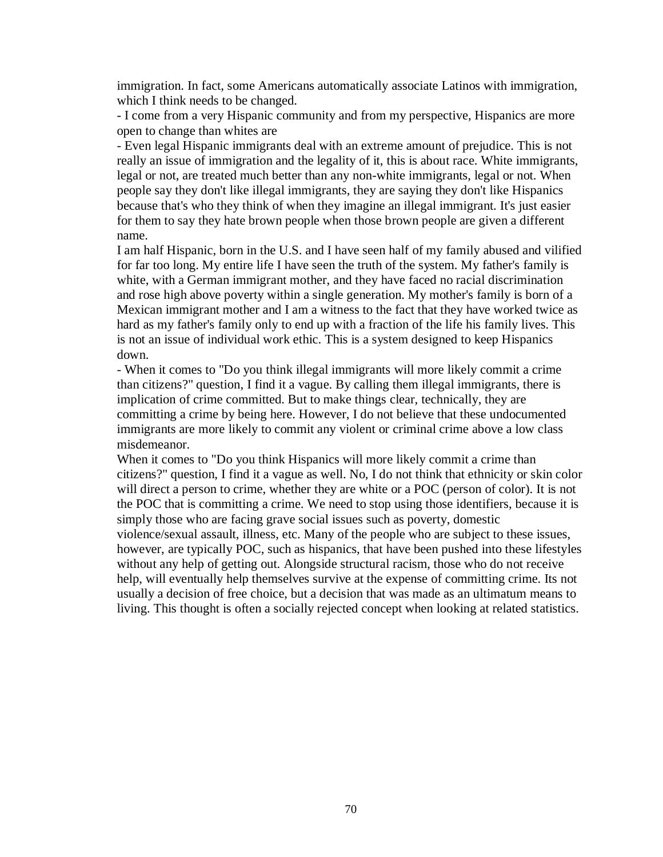immigration. In fact, some Americans automatically associate Latinos with immigration, which I think needs to be changed.

- I come from a very Hispanic community and from my perspective, Hispanics are more open to change than whites are

- Even legal Hispanic immigrants deal with an extreme amount of prejudice. This is not really an issue of immigration and the legality of it, this is about race. White immigrants, legal or not, are treated much better than any non-white immigrants, legal or not. When people say they don't like illegal immigrants, they are saying they don't like Hispanics because that's who they think of when they imagine an illegal immigrant. It's just easier for them to say they hate brown people when those brown people are given a different name.

I am half Hispanic, born in the U.S. and I have seen half of my family abused and vilified for far too long. My entire life I have seen the truth of the system. My father's family is white, with a German immigrant mother, and they have faced no racial discrimination and rose high above poverty within a single generation. My mother's family is born of a Mexican immigrant mother and I am a witness to the fact that they have worked twice as hard as my father's family only to end up with a fraction of the life his family lives. This is not an issue of individual work ethic. This is a system designed to keep Hispanics down.

- When it comes to "Do you think illegal immigrants will more likely commit a crime than citizens?" question, I find it a vague. By calling them illegal immigrants, there is implication of crime committed. But to make things clear, technically, they are committing a crime by being here. However, I do not believe that these undocumented immigrants are more likely to commit any violent or criminal crime above a low class misdemeanor.

When it comes to "Do you think Hispanics will more likely commit a crime than citizens?" question, I find it a vague as well. No, I do not think that ethnicity or skin color will direct a person to crime, whether they are white or a POC (person of color). It is not the POC that is committing a crime. We need to stop using those identifiers, because it is simply those who are facing grave social issues such as poverty, domestic

violence/sexual assault, illness, etc. Many of the people who are subject to these issues, however, are typically POC, such as hispanics, that have been pushed into these lifestyles without any help of getting out. Alongside structural racism, those who do not receive help, will eventually help themselves survive at the expense of committing crime. Its not usually a decision of free choice, but a decision that was made as an ultimatum means to living. This thought is often a socially rejected concept when looking at related statistics.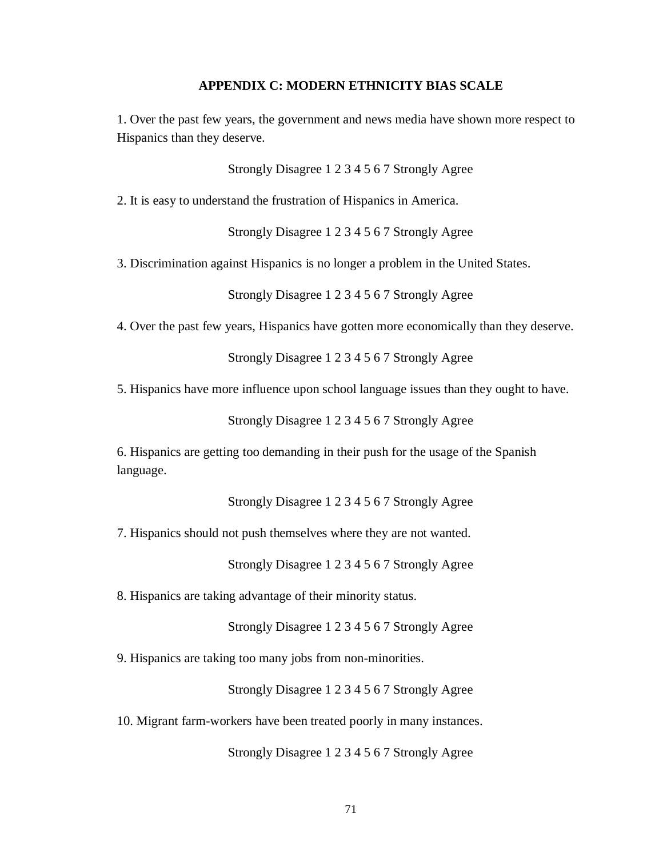#### **APPENDIX C: MODERN ETHNICITY BIAS SCALE**

1. Over the past few years, the government and news media have shown more respect to Hispanics than they deserve.

Strongly Disagree 1 2 3 4 5 6 7 Strongly Agree

2. It is easy to understand the frustration of Hispanics in America.

Strongly Disagree 1 2 3 4 5 6 7 Strongly Agree

3. Discrimination against Hispanics is no longer a problem in the United States.

Strongly Disagree 1 2 3 4 5 6 7 Strongly Agree

4. Over the past few years, Hispanics have gotten more economically than they deserve.

Strongly Disagree 1 2 3 4 5 6 7 Strongly Agree

5. Hispanics have more influence upon school language issues than they ought to have.

Strongly Disagree 1 2 3 4 5 6 7 Strongly Agree

6. Hispanics are getting too demanding in their push for the usage of the Spanish language.

Strongly Disagree 1 2 3 4 5 6 7 Strongly Agree

7. Hispanics should not push themselves where they are not wanted.

Strongly Disagree 1 2 3 4 5 6 7 Strongly Agree

8. Hispanics are taking advantage of their minority status.

Strongly Disagree 1 2 3 4 5 6 7 Strongly Agree

9. Hispanics are taking too many jobs from non-minorities.

Strongly Disagree 1 2 3 4 5 6 7 Strongly Agree

10. Migrant farm-workers have been treated poorly in many instances.

Strongly Disagree 1 2 3 4 5 6 7 Strongly Agree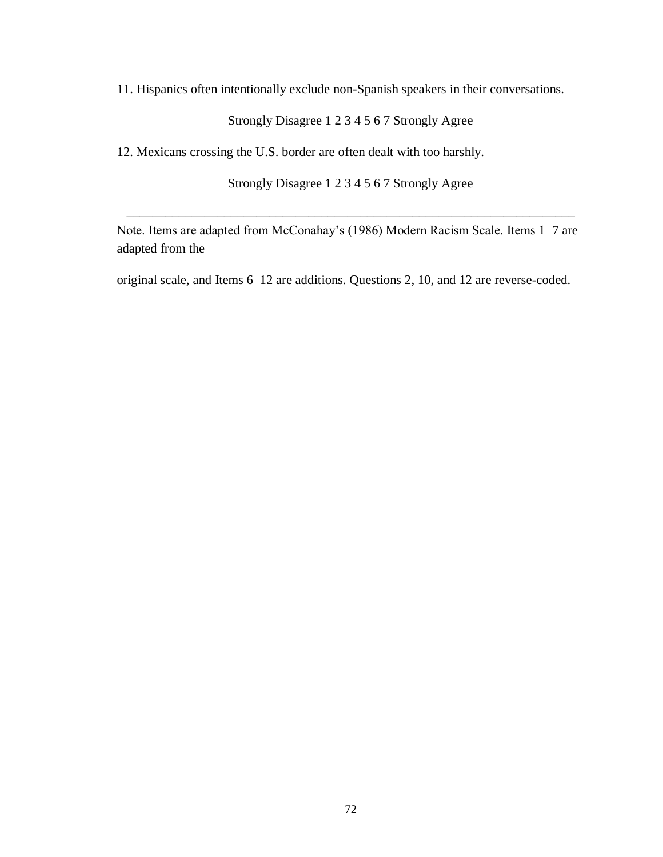11. Hispanics often intentionally exclude non-Spanish speakers in their conversations.

Strongly Disagree 1 2 3 4 5 6 7 Strongly Agree

12. Mexicans crossing the U.S. border are often dealt with too harshly.

Strongly Disagree 1 2 3 4 5 6 7 Strongly Agree

\_\_\_\_\_\_\_\_\_\_\_\_\_\_\_\_\_\_\_\_\_\_\_\_\_\_\_\_\_\_\_\_\_\_\_\_\_\_\_\_\_\_\_\_\_\_\_\_\_\_\_\_\_\_\_\_\_\_\_\_\_\_\_\_\_\_\_\_\_

Note. Items are adapted from McConahay's (1986) Modern Racism Scale. Items 1–7 are adapted from the

original scale, and Items 6–12 are additions. Questions 2, 10, and 12 are reverse-coded.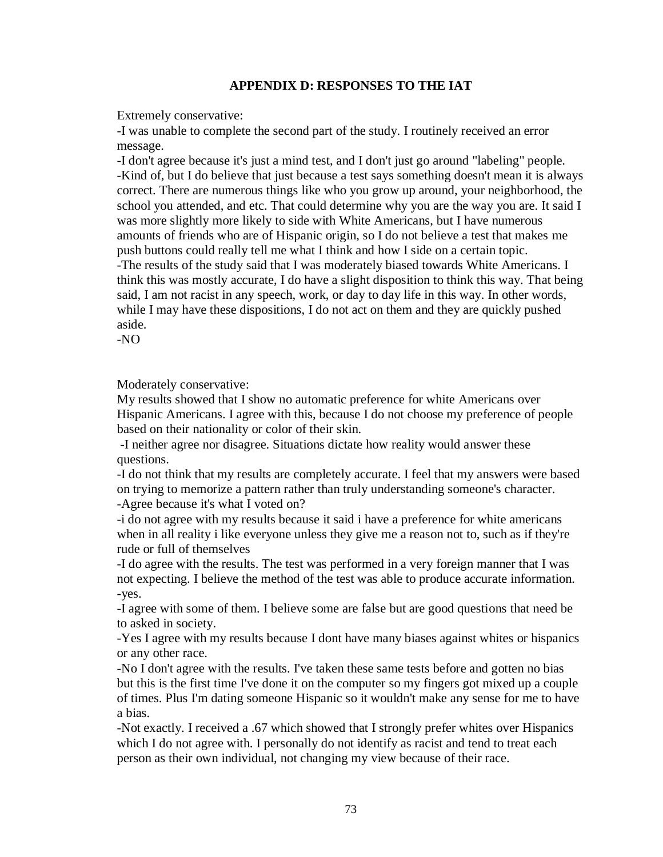## **APPENDIX D: RESPONSES TO THE IAT**

Extremely conservative:

-I was unable to complete the second part of the study. I routinely received an error message.

-I don't agree because it's just a mind test, and I don't just go around "labeling" people. -Kind of, but I do believe that just because a test says something doesn't mean it is always correct. There are numerous things like who you grow up around, your neighborhood, the school you attended, and etc. That could determine why you are the way you are. It said I was more slightly more likely to side with White Americans, but I have numerous amounts of friends who are of Hispanic origin, so I do not believe a test that makes me push buttons could really tell me what I think and how I side on a certain topic. -The results of the study said that I was moderately biased towards White Americans. I think this was mostly accurate, I do have a slight disposition to think this way. That being said, I am not racist in any speech, work, or day to day life in this way. In other words, while I may have these dispositions, I do not act on them and they are quickly pushed aside.

-NO

Moderately conservative:

My results showed that I show no automatic preference for white Americans over Hispanic Americans. I agree with this, because I do not choose my preference of people based on their nationality or color of their skin.

-I neither agree nor disagree. Situations dictate how reality would answer these questions.

-I do not think that my results are completely accurate. I feel that my answers were based on trying to memorize a pattern rather than truly understanding someone's character. -Agree because it's what I voted on?

-i do not agree with my results because it said i have a preference for white americans when in all reality i like everyone unless they give me a reason not to, such as if they're rude or full of themselves

-I do agree with the results. The test was performed in a very foreign manner that I was not expecting. I believe the method of the test was able to produce accurate information. -yes.

-I agree with some of them. I believe some are false but are good questions that need be to asked in society.

-Yes I agree with my results because I dont have many biases against whites or hispanics or any other race.

-No I don't agree with the results. I've taken these same tests before and gotten no bias but this is the first time I've done it on the computer so my fingers got mixed up a couple of times. Plus I'm dating someone Hispanic so it wouldn't make any sense for me to have a bias.

-Not exactly. I received a .67 which showed that I strongly prefer whites over Hispanics which I do not agree with. I personally do not identify as racist and tend to treat each person as their own individual, not changing my view because of their race.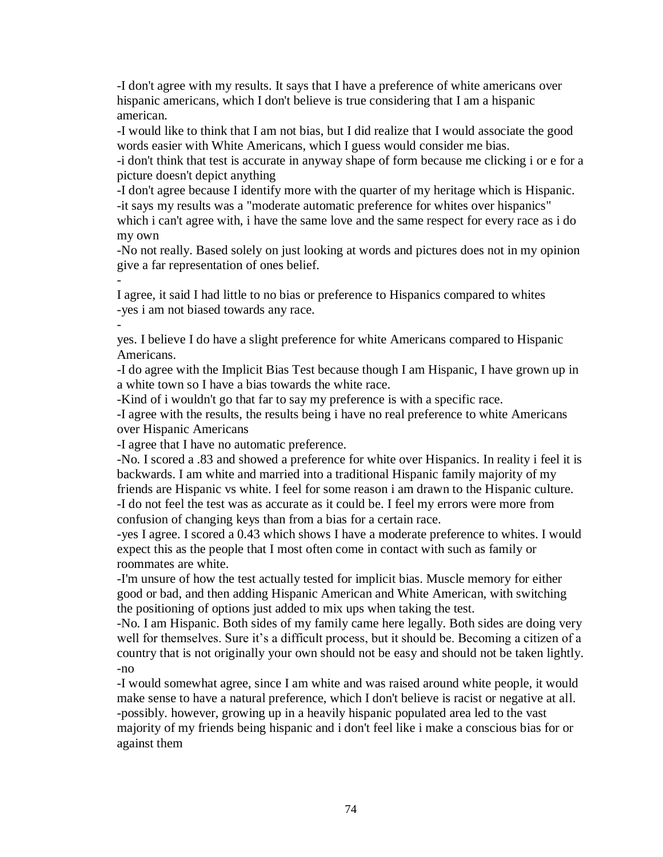-I don't agree with my results. It says that I have a preference of white americans over hispanic americans, which I don't believe is true considering that I am a hispanic american.

-I would like to think that I am not bias, but I did realize that I would associate the good words easier with White Americans, which I guess would consider me bias.

-i don't think that test is accurate in anyway shape of form because me clicking i or e for a picture doesn't depict anything

-I don't agree because I identify more with the quarter of my heritage which is Hispanic. -it says my results was a "moderate automatic preference for whites over hispanics" which i can't agree with, i have the same love and the same respect for every race as i do my own

-No not really. Based solely on just looking at words and pictures does not in my opinion give a far representation of ones belief.

I agree, it said I had little to no bias or preference to Hispanics compared to whites -yes i am not biased towards any race.

 yes. I believe I do have a slight preference for white Americans compared to Hispanic Americans.

-I do agree with the Implicit Bias Test because though I am Hispanic, I have grown up in a white town so I have a bias towards the white race.

-Kind of i wouldn't go that far to say my preference is with a specific race.

-I agree with the results, the results being i have no real preference to white Americans over Hispanic Americans

-I agree that I have no automatic preference.

-

-No. I scored a .83 and showed a preference for white over Hispanics. In reality i feel it is backwards. I am white and married into a traditional Hispanic family majority of my friends are Hispanic vs white. I feel for some reason i am drawn to the Hispanic culture. -I do not feel the test was as accurate as it could be. I feel my errors were more from confusion of changing keys than from a bias for a certain race.

-yes I agree. I scored a 0.43 which shows I have a moderate preference to whites. I would expect this as the people that I most often come in contact with such as family or roommates are white.

-I'm unsure of how the test actually tested for implicit bias. Muscle memory for either good or bad, and then adding Hispanic American and White American, with switching the positioning of options just added to mix ups when taking the test.

-No. I am Hispanic. Both sides of my family came here legally. Both sides are doing very well for themselves. Sure it's a difficult process, but it should be. Becoming a citizen of a country that is not originally your own should not be easy and should not be taken lightly. -no

-I would somewhat agree, since I am white and was raised around white people, it would make sense to have a natural preference, which I don't believe is racist or negative at all. -possibly. however, growing up in a heavily hispanic populated area led to the vast majority of my friends being hispanic and i don't feel like i make a conscious bias for or against them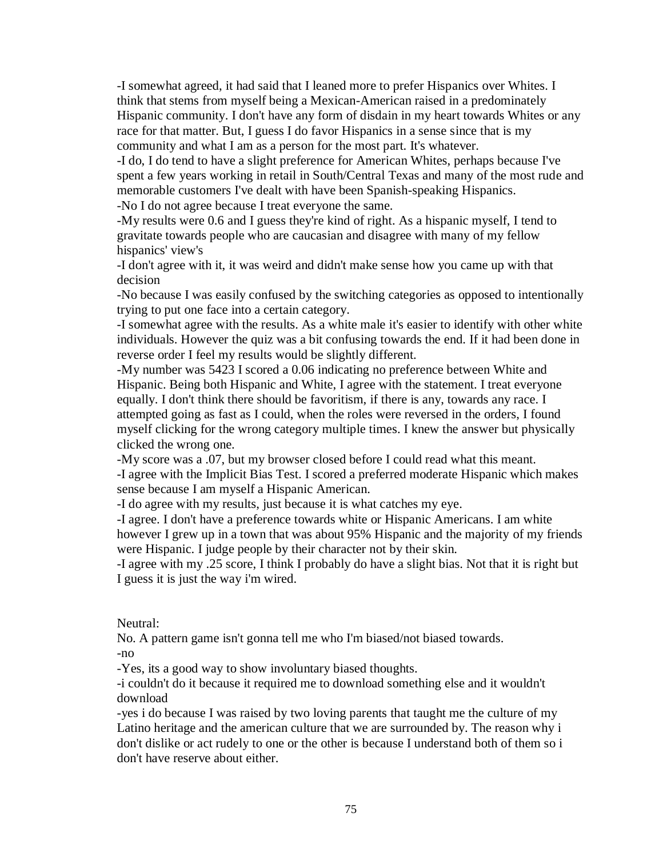-I somewhat agreed, it had said that I leaned more to prefer Hispanics over Whites. I think that stems from myself being a Mexican-American raised in a predominately Hispanic community. I don't have any form of disdain in my heart towards Whites or any race for that matter. But, I guess I do favor Hispanics in a sense since that is my community and what I am as a person for the most part. It's whatever.

-I do, I do tend to have a slight preference for American Whites, perhaps because I've spent a few years working in retail in South/Central Texas and many of the most rude and memorable customers I've dealt with have been Spanish-speaking Hispanics. -No I do not agree because I treat everyone the same.

-My results were 0.6 and I guess they're kind of right. As a hispanic myself, I tend to gravitate towards people who are caucasian and disagree with many of my fellow hispanics' view's

-I don't agree with it, it was weird and didn't make sense how you came up with that decision

-No because I was easily confused by the switching categories as opposed to intentionally trying to put one face into a certain category.

-I somewhat agree with the results. As a white male it's easier to identify with other white individuals. However the quiz was a bit confusing towards the end. If it had been done in reverse order I feel my results would be slightly different.

-My number was 5423 I scored a 0.06 indicating no preference between White and Hispanic. Being both Hispanic and White, I agree with the statement. I treat everyone equally. I don't think there should be favoritism, if there is any, towards any race. I attempted going as fast as I could, when the roles were reversed in the orders, I found myself clicking for the wrong category multiple times. I knew the answer but physically clicked the wrong one.

-My score was a .07, but my browser closed before I could read what this meant.

-I agree with the Implicit Bias Test. I scored a preferred moderate Hispanic which makes sense because I am myself a Hispanic American.

-I do agree with my results, just because it is what catches my eye.

-I agree. I don't have a preference towards white or Hispanic Americans. I am white however I grew up in a town that was about 95% Hispanic and the majority of my friends were Hispanic. I judge people by their character not by their skin.

-I agree with my .25 score, I think I probably do have a slight bias. Not that it is right but I guess it is just the way i'm wired.

Neutral:

No. A pattern game isn't gonna tell me who I'm biased/not biased towards.

-no

-Yes, its a good way to show involuntary biased thoughts.

-i couldn't do it because it required me to download something else and it wouldn't download

-yes i do because I was raised by two loving parents that taught me the culture of my Latino heritage and the american culture that we are surrounded by. The reason why i don't dislike or act rudely to one or the other is because I understand both of them so i don't have reserve about either.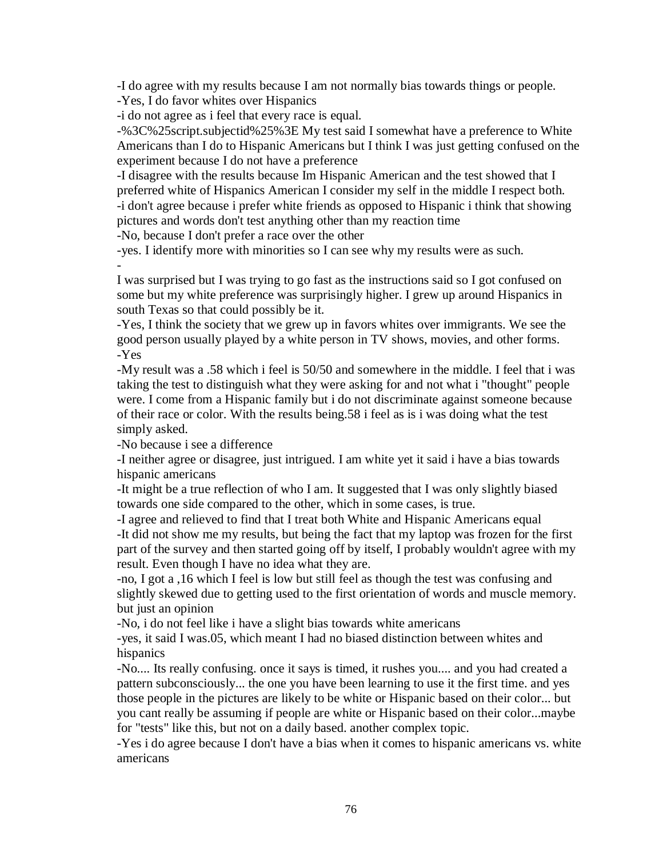-I do agree with my results because I am not normally bias towards things or people.

-Yes, I do favor whites over Hispanics

-i do not agree as i feel that every race is equal.

-%3C%25script.subjectid%25%3E My test said I somewhat have a preference to White Americans than I do to Hispanic Americans but I think I was just getting confused on the experiment because I do not have a preference

-I disagree with the results because Im Hispanic American and the test showed that I preferred white of Hispanics American I consider my self in the middle I respect both. -i don't agree because i prefer white friends as opposed to Hispanic i think that showing pictures and words don't test anything other than my reaction time

-No, because I don't prefer a race over the other

-yes. I identify more with minorities so I can see why my results were as such. -

I was surprised but I was trying to go fast as the instructions said so I got confused on some but my white preference was surprisingly higher. I grew up around Hispanics in south Texas so that could possibly be it.

-Yes, I think the society that we grew up in favors whites over immigrants. We see the good person usually played by a white person in TV shows, movies, and other forms. -Yes

-My result was a .58 which i feel is 50/50 and somewhere in the middle. I feel that i was taking the test to distinguish what they were asking for and not what i "thought" people were. I come from a Hispanic family but i do not discriminate against someone because of their race or color. With the results being.58 i feel as is i was doing what the test simply asked.

-No because i see a difference

-I neither agree or disagree, just intrigued. I am white yet it said i have a bias towards hispanic americans

-It might be a true reflection of who I am. It suggested that I was only slightly biased towards one side compared to the other, which in some cases, is true.

-I agree and relieved to find that I treat both White and Hispanic Americans equal -It did not show me my results, but being the fact that my laptop was frozen for the first part of the survey and then started going off by itself, I probably wouldn't agree with my result. Even though I have no idea what they are.

-no, I got a ,16 which I feel is low but still feel as though the test was confusing and slightly skewed due to getting used to the first orientation of words and muscle memory. but just an opinion

-No, i do not feel like i have a slight bias towards white americans

-yes, it said I was.05, which meant I had no biased distinction between whites and hispanics

-No.... Its really confusing. once it says is timed, it rushes you.... and you had created a pattern subconsciously... the one you have been learning to use it the first time. and yes those people in the pictures are likely to be white or Hispanic based on their color... but you cant really be assuming if people are white or Hispanic based on their color...maybe for "tests" like this, but not on a daily based. another complex topic.

-Yes i do agree because I don't have a bias when it comes to hispanic americans vs. white americans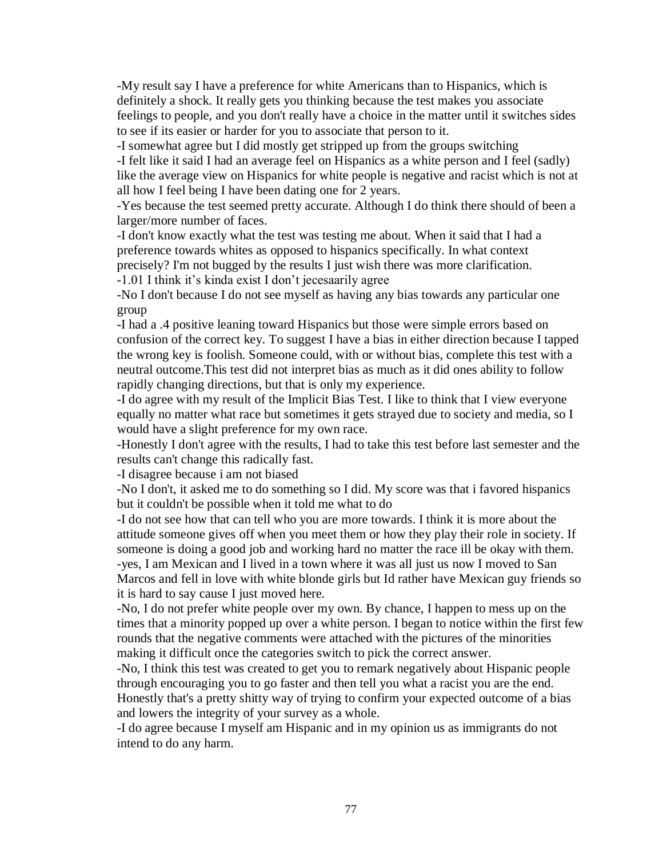-My result say I have a preference for white Americans than to Hispanics, which is definitely a shock. It really gets you thinking because the test makes you associate feelings to people, and you don't really have a choice in the matter until it switches sides to see if its easier or harder for you to associate that person to it.

-I somewhat agree but I did mostly get stripped up from the groups switching -I felt like it said I had an average feel on Hispanics as a white person and I feel (sadly) like the average view on Hispanics for white people is negative and racist which is not at all how I feel being I have been dating one for 2 years.

-Yes because the test seemed pretty accurate. Although I do think there should of been a larger/more number of faces.

-I don't know exactly what the test was testing me about. When it said that I had a preference towards whites as opposed to hispanics specifically. In what context precisely? I'm not bugged by the results I just wish there was more clarification. -1.01 I think it's kinda exist I don't jecesaarily agree

-No I don't because I do not see myself as having any bias towards any particular one group

-I had a .4 positive leaning toward Hispanics but those were simple errors based on confusion of the correct key. To suggest I have a bias in either direction because I tapped the wrong key is foolish. Someone could, with or without bias, complete this test with a neutral outcome.This test did not interpret bias as much as it did ones ability to follow rapidly changing directions, but that is only my experience.

-I do agree with my result of the Implicit Bias Test. I like to think that I view everyone equally no matter what race but sometimes it gets strayed due to society and media, so I would have a slight preference for my own race.

-Honestly I don't agree with the results, I had to take this test before last semester and the results can't change this radically fast.

-I disagree because i am not biased

-No I don't, it asked me to do something so I did. My score was that i favored hispanics but it couldn't be possible when it told me what to do

-I do not see how that can tell who you are more towards. I think it is more about the attitude someone gives off when you meet them or how they play their role in society. If someone is doing a good job and working hard no matter the race ill be okay with them. -yes, I am Mexican and I lived in a town where it was all just us now I moved to San Marcos and fell in love with white blonde girls but Id rather have Mexican guy friends so it is hard to say cause I just moved here.

-No, I do not prefer white people over my own. By chance, I happen to mess up on the times that a minority popped up over a white person. I began to notice within the first few rounds that the negative comments were attached with the pictures of the minorities making it difficult once the categories switch to pick the correct answer.

-No, I think this test was created to get you to remark negatively about Hispanic people through encouraging you to go faster and then tell you what a racist you are the end. Honestly that's a pretty shitty way of trying to confirm your expected outcome of a bias and lowers the integrity of your survey as a whole.

-I do agree because I myself am Hispanic and in my opinion us as immigrants do not intend to do any harm.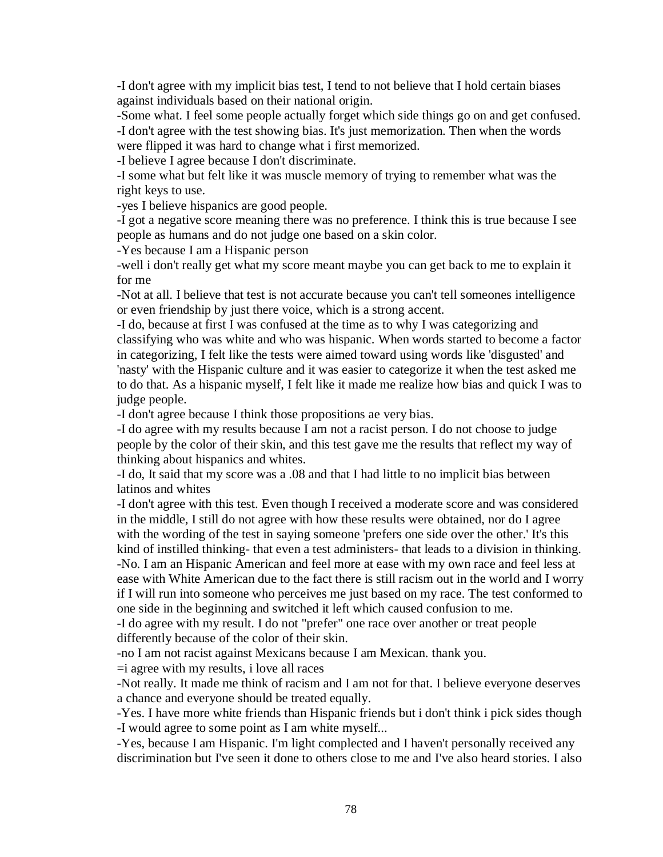-I don't agree with my implicit bias test, I tend to not believe that I hold certain biases against individuals based on their national origin.

-Some what. I feel some people actually forget which side things go on and get confused. -I don't agree with the test showing bias. It's just memorization. Then when the words were flipped it was hard to change what i first memorized.

-I believe I agree because I don't discriminate.

-I some what but felt like it was muscle memory of trying to remember what was the right keys to use.

-yes I believe hispanics are good people.

-I got a negative score meaning there was no preference. I think this is true because I see people as humans and do not judge one based on a skin color.

-Yes because I am a Hispanic person

-well i don't really get what my score meant maybe you can get back to me to explain it for me

-Not at all. I believe that test is not accurate because you can't tell someones intelligence or even friendship by just there voice, which is a strong accent.

-I do, because at first I was confused at the time as to why I was categorizing and classifying who was white and who was hispanic. When words started to become a factor in categorizing, I felt like the tests were aimed toward using words like 'disgusted' and 'nasty' with the Hispanic culture and it was easier to categorize it when the test asked me to do that. As a hispanic myself, I felt like it made me realize how bias and quick I was to judge people.

-I don't agree because I think those propositions ae very bias.

-I do agree with my results because I am not a racist person. I do not choose to judge people by the color of their skin, and this test gave me the results that reflect my way of thinking about hispanics and whites.

-I do, It said that my score was a .08 and that I had little to no implicit bias between latinos and whites

-I don't agree with this test. Even though I received a moderate score and was considered in the middle, I still do not agree with how these results were obtained, nor do I agree with the wording of the test in saying someone 'prefers one side over the other.' It's this kind of instilled thinking- that even a test administers- that leads to a division in thinking. -No. I am an Hispanic American and feel more at ease with my own race and feel less at ease with White American due to the fact there is still racism out in the world and I worry if I will run into someone who perceives me just based on my race. The test conformed to one side in the beginning and switched it left which caused confusion to me.

-I do agree with my result. I do not "prefer" one race over another or treat people differently because of the color of their skin.

-no I am not racist against Mexicans because I am Mexican. thank you.

 $=$ i agree with my results, i love all races

-Not really. It made me think of racism and I am not for that. I believe everyone deserves a chance and everyone should be treated equally.

-Yes. I have more white friends than Hispanic friends but i don't think i pick sides though -I would agree to some point as I am white myself...

-Yes, because I am Hispanic. I'm light complected and I haven't personally received any discrimination but I've seen it done to others close to me and I've also heard stories. I also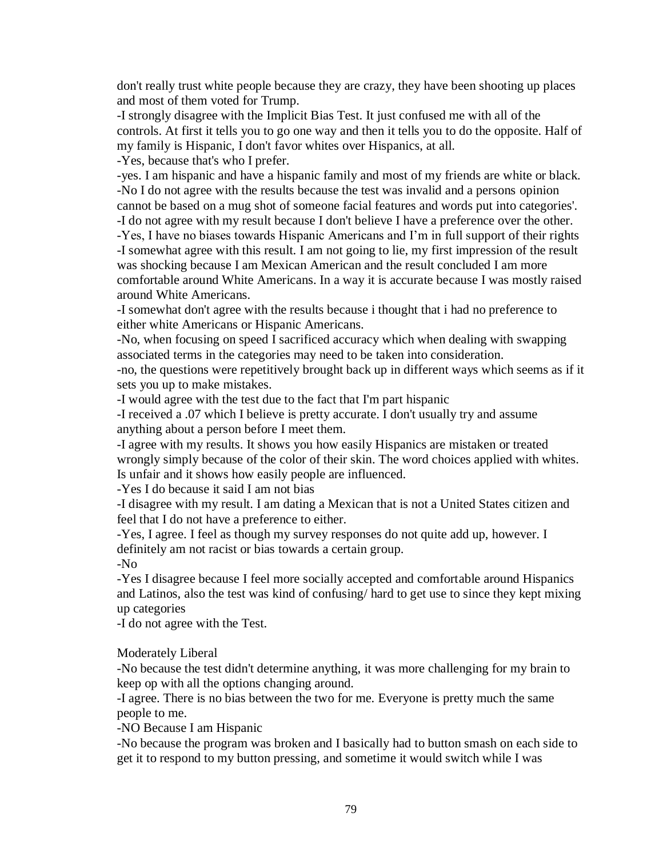don't really trust white people because they are crazy, they have been shooting up places and most of them voted for Trump.

-I strongly disagree with the Implicit Bias Test. It just confused me with all of the controls. At first it tells you to go one way and then it tells you to do the opposite. Half of my family is Hispanic, I don't favor whites over Hispanics, at all.

-Yes, because that's who I prefer.

-yes. I am hispanic and have a hispanic family and most of my friends are white or black. -No I do not agree with the results because the test was invalid and a persons opinion cannot be based on a mug shot of someone facial features and words put into categories'.

-I do not agree with my result because I don't believe I have a preference over the other.

-Yes, I have no biases towards Hispanic Americans and I'm in full support of their rights -I somewhat agree with this result. I am not going to lie, my first impression of the result was shocking because I am Mexican American and the result concluded I am more comfortable around White Americans. In a way it is accurate because I was mostly raised around White Americans.

-I somewhat don't agree with the results because i thought that i had no preference to either white Americans or Hispanic Americans.

-No, when focusing on speed I sacrificed accuracy which when dealing with swapping associated terms in the categories may need to be taken into consideration.

-no, the questions were repetitively brought back up in different ways which seems as if it sets you up to make mistakes.

-I would agree with the test due to the fact that I'm part hispanic

-I received a .07 which I believe is pretty accurate. I don't usually try and assume anything about a person before I meet them.

-I agree with my results. It shows you how easily Hispanics are mistaken or treated wrongly simply because of the color of their skin. The word choices applied with whites. Is unfair and it shows how easily people are influenced.

-Yes I do because it said I am not bias

-I disagree with my result. I am dating a Mexican that is not a United States citizen and feel that I do not have a preference to either.

-Yes, I agree. I feel as though my survey responses do not quite add up, however. I definitely am not racist or bias towards a certain group. -No

-Yes I disagree because I feel more socially accepted and comfortable around Hispanics and Latinos, also the test was kind of confusing/ hard to get use to since they kept mixing up categories

-I do not agree with the Test.

Moderately Liberal

-No because the test didn't determine anything, it was more challenging for my brain to keep op with all the options changing around.

-I agree. There is no bias between the two for me. Everyone is pretty much the same people to me.

-NO Because I am Hispanic

-No because the program was broken and I basically had to button smash on each side to get it to respond to my button pressing, and sometime it would switch while I was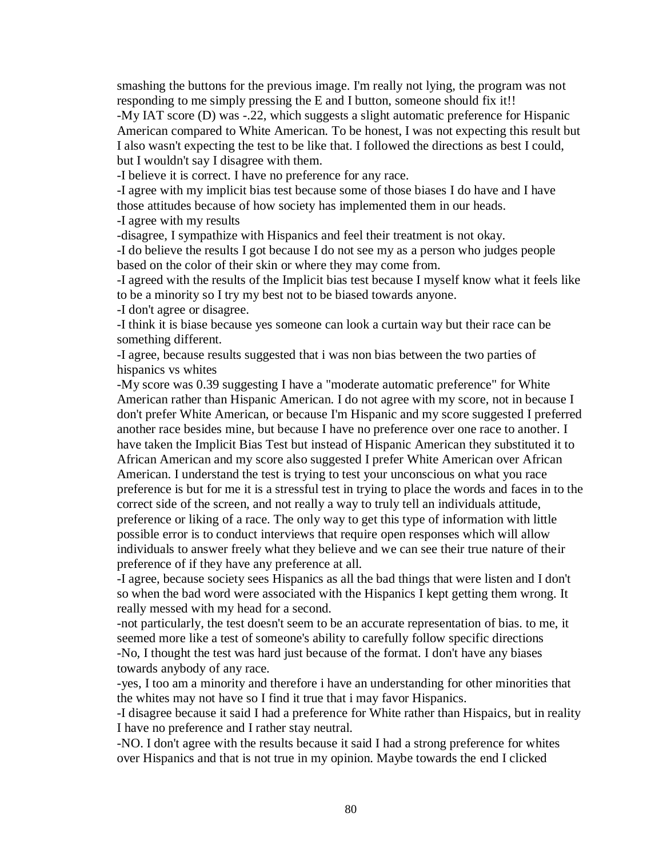smashing the buttons for the previous image. I'm really not lying, the program was not responding to me simply pressing the E and I button, someone should fix it!!

-My IAT score (D) was -.22, which suggests a slight automatic preference for Hispanic American compared to White American. To be honest, I was not expecting this result but I also wasn't expecting the test to be like that. I followed the directions as best I could, but I wouldn't say I disagree with them.

-I believe it is correct. I have no preference for any race.

-I agree with my implicit bias test because some of those biases I do have and I have those attitudes because of how society has implemented them in our heads.

-I agree with my results

-disagree, I sympathize with Hispanics and feel their treatment is not okay.

-I do believe the results I got because I do not see my as a person who judges people based on the color of their skin or where they may come from.

-I agreed with the results of the Implicit bias test because I myself know what it feels like to be a minority so I try my best not to be biased towards anyone.

-I don't agree or disagree.

-I think it is biase because yes someone can look a curtain way but their race can be something different.

-I agree, because results suggested that i was non bias between the two parties of hispanics vs whites

-My score was 0.39 suggesting I have a "moderate automatic preference" for White American rather than Hispanic American. I do not agree with my score, not in because I don't prefer White American, or because I'm Hispanic and my score suggested I preferred another race besides mine, but because I have no preference over one race to another. I have taken the Implicit Bias Test but instead of Hispanic American they substituted it to African American and my score also suggested I prefer White American over African American. I understand the test is trying to test your unconscious on what you race preference is but for me it is a stressful test in trying to place the words and faces in to the correct side of the screen, and not really a way to truly tell an individuals attitude, preference or liking of a race. The only way to get this type of information with little possible error is to conduct interviews that require open responses which will allow individuals to answer freely what they believe and we can see their true nature of their preference of if they have any preference at all.

-I agree, because society sees Hispanics as all the bad things that were listen and I don't so when the bad word were associated with the Hispanics I kept getting them wrong. It really messed with my head for a second.

-not particularly, the test doesn't seem to be an accurate representation of bias. to me, it seemed more like a test of someone's ability to carefully follow specific directions -No, I thought the test was hard just because of the format. I don't have any biases towards anybody of any race.

-yes, I too am a minority and therefore i have an understanding for other minorities that the whites may not have so I find it true that i may favor Hispanics.

-I disagree because it said I had a preference for White rather than Hispaics, but in reality I have no preference and I rather stay neutral.

-NO. I don't agree with the results because it said I had a strong preference for whites over Hispanics and that is not true in my opinion. Maybe towards the end I clicked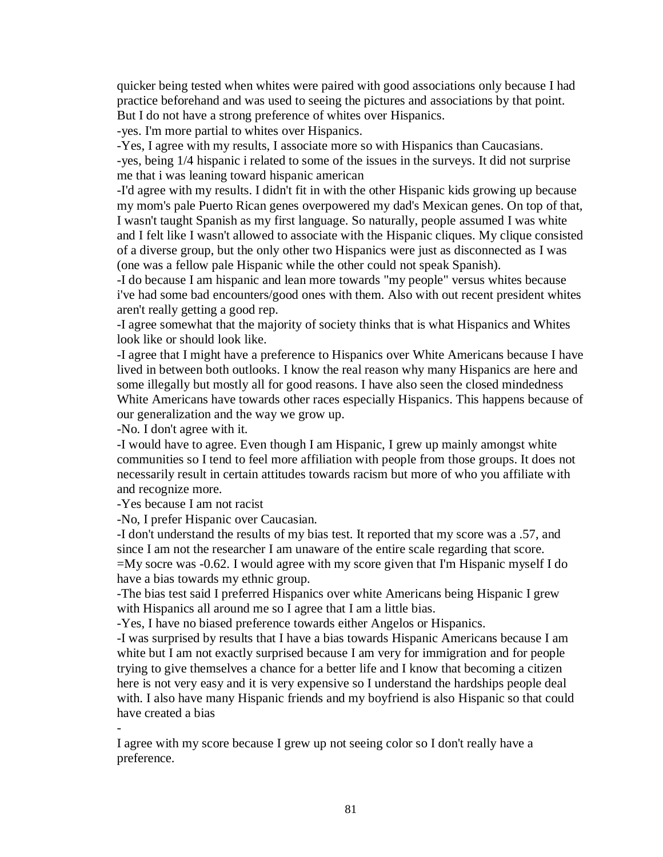quicker being tested when whites were paired with good associations only because I had practice beforehand and was used to seeing the pictures and associations by that point. But I do not have a strong preference of whites over Hispanics.

-yes. I'm more partial to whites over Hispanics.

-Yes, I agree with my results, I associate more so with Hispanics than Caucasians. -yes, being 1/4 hispanic i related to some of the issues in the surveys. It did not surprise me that i was leaning toward hispanic american

-I'd agree with my results. I didn't fit in with the other Hispanic kids growing up because my mom's pale Puerto Rican genes overpowered my dad's Mexican genes. On top of that, I wasn't taught Spanish as my first language. So naturally, people assumed I was white and I felt like I wasn't allowed to associate with the Hispanic cliques. My clique consisted of a diverse group, but the only other two Hispanics were just as disconnected as I was (one was a fellow pale Hispanic while the other could not speak Spanish).

-I do because I am hispanic and lean more towards "my people" versus whites because i've had some bad encounters/good ones with them. Also with out recent president whites aren't really getting a good rep.

-I agree somewhat that the majority of society thinks that is what Hispanics and Whites look like or should look like.

-I agree that I might have a preference to Hispanics over White Americans because I have lived in between both outlooks. I know the real reason why many Hispanics are here and some illegally but mostly all for good reasons. I have also seen the closed mindedness White Americans have towards other races especially Hispanics. This happens because of our generalization and the way we grow up.

-No. I don't agree with it.

-I would have to agree. Even though I am Hispanic, I grew up mainly amongst white communities so I tend to feel more affiliation with people from those groups. It does not necessarily result in certain attitudes towards racism but more of who you affiliate with and recognize more.

-Yes because I am not racist

-No, I prefer Hispanic over Caucasian.

-I don't understand the results of my bias test. It reported that my score was a .57, and since I am not the researcher I am unaware of the entire scale regarding that score. =My socre was -0.62. I would agree with my score given that I'm Hispanic myself I do have a bias towards my ethnic group.

-The bias test said I preferred Hispanics over white Americans being Hispanic I grew with Hispanics all around me so I agree that I am a little bias.

-Yes, I have no biased preference towards either Angelos or Hispanics.

-I was surprised by results that I have a bias towards Hispanic Americans because I am white but I am not exactly surprised because I am very for immigration and for people trying to give themselves a chance for a better life and I know that becoming a citizen here is not very easy and it is very expensive so I understand the hardships people deal with. I also have many Hispanic friends and my boyfriend is also Hispanic so that could have created a bias

-

I agree with my score because I grew up not seeing color so I don't really have a preference.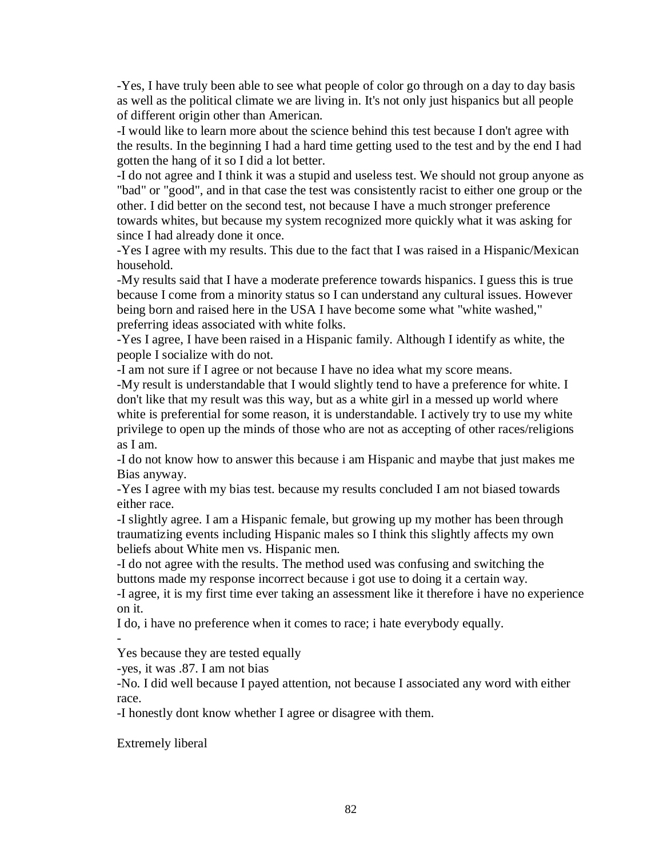-Yes, I have truly been able to see what people of color go through on a day to day basis as well as the political climate we are living in. It's not only just hispanics but all people of different origin other than American.

-I would like to learn more about the science behind this test because I don't agree with the results. In the beginning I had a hard time getting used to the test and by the end I had gotten the hang of it so I did a lot better.

-I do not agree and I think it was a stupid and useless test. We should not group anyone as "bad" or "good", and in that case the test was consistently racist to either one group or the other. I did better on the second test, not because I have a much stronger preference towards whites, but because my system recognized more quickly what it was asking for since I had already done it once.

-Yes I agree with my results. This due to the fact that I was raised in a Hispanic/Mexican household.

-My results said that I have a moderate preference towards hispanics. I guess this is true because I come from a minority status so I can understand any cultural issues. However being born and raised here in the USA I have become some what "white washed," preferring ideas associated with white folks.

-Yes I agree, I have been raised in a Hispanic family. Although I identify as white, the people I socialize with do not.

-I am not sure if I agree or not because I have no idea what my score means.

-My result is understandable that I would slightly tend to have a preference for white. I don't like that my result was this way, but as a white girl in a messed up world where white is preferential for some reason, it is understandable. I actively try to use my white privilege to open up the minds of those who are not as accepting of other races/religions as I am.

-I do not know how to answer this because i am Hispanic and maybe that just makes me Bias anyway.

-Yes I agree with my bias test. because my results concluded I am not biased towards either race.

-I slightly agree. I am a Hispanic female, but growing up my mother has been through traumatizing events including Hispanic males so I think this slightly affects my own beliefs about White men vs. Hispanic men.

-I do not agree with the results. The method used was confusing and switching the buttons made my response incorrect because i got use to doing it a certain way.

-I agree, it is my first time ever taking an assessment like it therefore i have no experience on it.

I do, i have no preference when it comes to race; i hate everybody equally.

Yes because they are tested equally

-yes, it was .87. I am not bias

-No. I did well because I payed attention, not because I associated any word with either race.

-I honestly dont know whether I agree or disagree with them.

Extremely liberal

-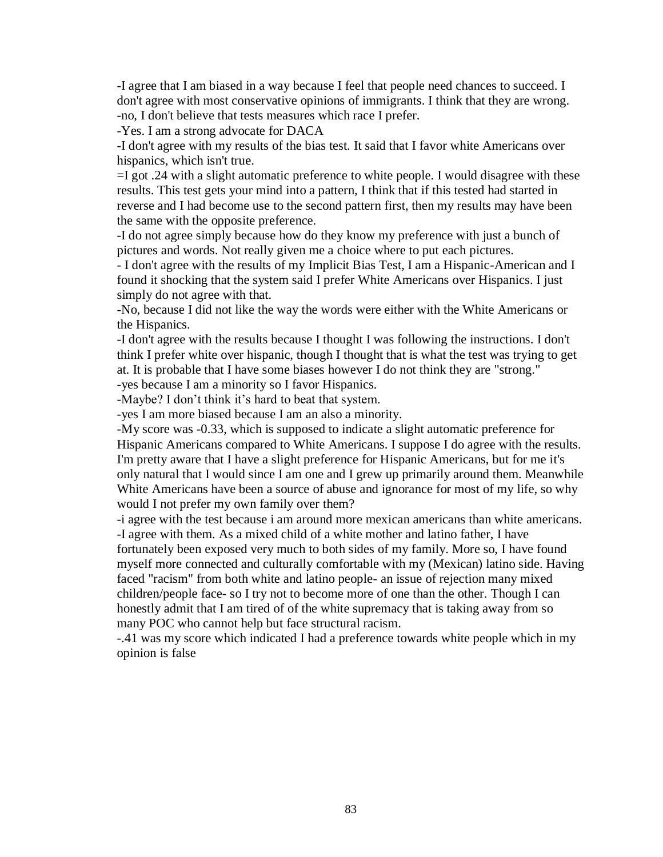-I agree that I am biased in a way because I feel that people need chances to succeed. I don't agree with most conservative opinions of immigrants. I think that they are wrong. -no, I don't believe that tests measures which race I prefer.

-Yes. I am a strong advocate for DACA

-I don't agree with my results of the bias test. It said that I favor white Americans over hispanics, which isn't true.

=I got .24 with a slight automatic preference to white people. I would disagree with these results. This test gets your mind into a pattern, I think that if this tested had started in reverse and I had become use to the second pattern first, then my results may have been the same with the opposite preference.

-I do not agree simply because how do they know my preference with just a bunch of pictures and words. Not really given me a choice where to put each pictures.

- I don't agree with the results of my Implicit Bias Test, I am a Hispanic-American and I found it shocking that the system said I prefer White Americans over Hispanics. I just simply do not agree with that.

-No, because I did not like the way the words were either with the White Americans or the Hispanics.

-I don't agree with the results because I thought I was following the instructions. I don't think I prefer white over hispanic, though I thought that is what the test was trying to get at. It is probable that I have some biases however I do not think they are "strong." -yes because I am a minority so I favor Hispanics.

-Maybe? I don't think it's hard to beat that system.

-yes I am more biased because I am an also a minority.

-My score was -0.33, which is supposed to indicate a slight automatic preference for Hispanic Americans compared to White Americans. I suppose I do agree with the results. I'm pretty aware that I have a slight preference for Hispanic Americans, but for me it's only natural that I would since I am one and I grew up primarily around them. Meanwhile White Americans have been a source of abuse and ignorance for most of my life, so why would I not prefer my own family over them?

-i agree with the test because i am around more mexican americans than white americans. -I agree with them. As a mixed child of a white mother and latino father, I have

fortunately been exposed very much to both sides of my family. More so, I have found myself more connected and culturally comfortable with my (Mexican) latino side. Having faced "racism" from both white and latino people- an issue of rejection many mixed children/people face- so I try not to become more of one than the other. Though I can honestly admit that I am tired of of the white supremacy that is taking away from so many POC who cannot help but face structural racism.

-.41 was my score which indicated I had a preference towards white people which in my opinion is false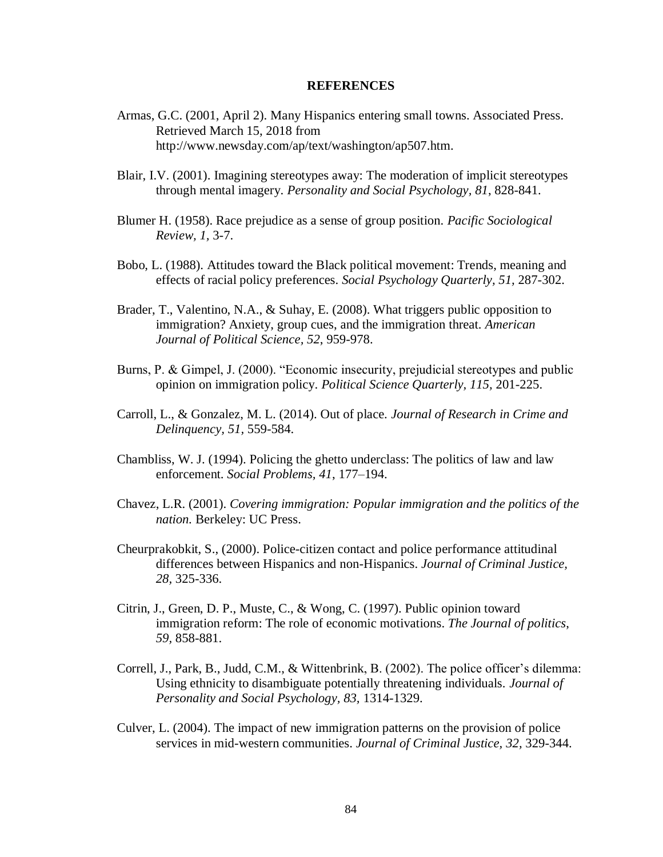#### **REFERENCES**

- Armas, G.C. (2001, April 2). Many Hispanics entering small towns. Associated Press. Retrieved March 15, 2018 from http://www.newsday.com/ap/text/washington/ap507.htm.
- Blair, I.V. (2001). Imagining stereotypes away: The moderation of implicit stereotypes through mental imagery. *Personality and Social Psychology, 81*, 828-841.
- Blumer H. (1958). Race prejudice as a sense of group position. *Pacific Sociological Review, 1,* 3-7.
- Bobo, L. (1988). Attitudes toward the Black political movement: Trends, meaning and effects of racial policy preferences. *Social Psychology Quarterly, 51,* 287-302.
- Brader, T., Valentino, N.A., & Suhay, E. (2008). What triggers public opposition to immigration? Anxiety, group cues, and the immigration threat. *American Journal of Political Science, 52*, 959-978.
- Burns, P. & Gimpel, J. (2000). "Economic insecurity, prejudicial stereotypes and public opinion on immigration policy. *Political Science Quarterly, 115,* 201-225.
- Carroll, L., & Gonzalez, M. L. (2014). Out of place. *Journal of Research in Crime and Delinquency, 51,* 559-584.
- Chambliss, W. J. (1994). Policing the ghetto underclass: The politics of law and law enforcement. *Social Problems, 41*, 177–194.
- Chavez, L.R. (2001). *Covering immigration: Popular immigration and the politics of the nation.* Berkeley: UC Press.
- Cheurprakobkit, S., (2000). Police-citizen contact and police performance attitudinal differences between Hispanics and non-Hispanics. *Journal of Criminal Justice, 28,* 325-336.
- Citrin, J., Green, D. P., Muste, C., & Wong, C. (1997). Public opinion toward immigration reform: The role of economic motivations. *The Journal of politics*, *59,* 858-881.
- Correll, J., Park, B., Judd, C.M., & Wittenbrink, B. (2002). The police officer's dilemma: Using ethnicity to disambiguate potentially threatening individuals. *Journal of Personality and Social Psychology, 83,* 1314-1329.
- Culver, L. (2004). The impact of new immigration patterns on the provision of police services in mid-western communities. *Journal of Criminal Justice, 32,* 329-344.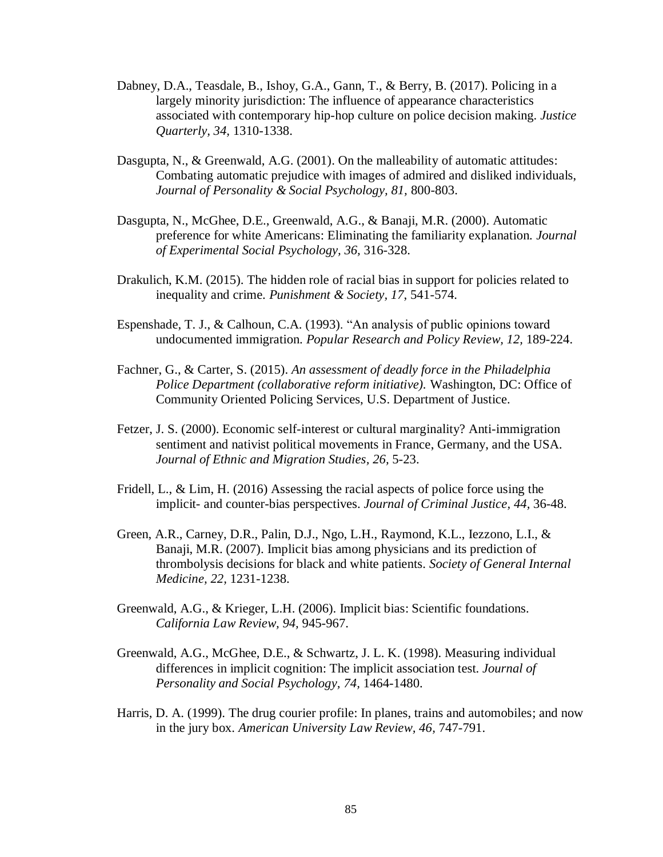- Dabney, D.A., Teasdale, B., Ishoy, G.A., Gann, T., & Berry, B. (2017). Policing in a largely minority jurisdiction: The influence of appearance characteristics associated with contemporary hip-hop culture on police decision making. *Justice Quarterly, 34,* 1310-1338.
- Dasgupta, N., & Greenwald, A.G. (2001). On the malleability of automatic attitudes: Combating automatic prejudice with images of admired and disliked individuals, *Journal of Personality & Social Psychology, 81,* 800-803.
- Dasgupta, N., McGhee, D.E., Greenwald, A.G., & Banaji, M.R. (2000). Automatic preference for white Americans: Eliminating the familiarity explanation. *Journal of Experimental Social Psychology, 36,* 316-328.
- Drakulich, K.M. (2015). The hidden role of racial bias in support for policies related to inequality and crime. *Punishment & Society, 17*, 541-574.
- Espenshade, T. J., & Calhoun, C.A. (1993). "An analysis of public opinions toward undocumented immigration. *Popular Research and Policy Review, 12,* 189-224.
- Fachner, G., & Carter, S. (2015). *An assessment of deadly force in the Philadelphia Police Department (collaborative reform initiative).* Washington, DC: Office of Community Oriented Policing Services, U.S. Department of Justice.
- Fetzer, J. S. (2000). Economic self-interest or cultural marginality? Anti-immigration sentiment and nativist political movements in France, Germany, and the USA*. Journal of Ethnic and Migration Studies, 26,* 5-23.
- Fridell, L., & Lim, H. (2016) Assessing the racial aspects of police force using the implicit- and counter-bias perspectives. *Journal of Criminal Justice, 44,* 36-48.
- Green, A.R., Carney, D.R., Palin, D.J., Ngo, L.H., Raymond, K.L., Iezzono, L.I., & Banaji, M.R. (2007). Implicit bias among physicians and its prediction of thrombolysis decisions for black and white patients. *Society of General Internal Medicine, 22,* 1231-1238.
- Greenwald, A.G., & Krieger, L.H. (2006). Implicit bias: Scientific foundations. *California Law Review, 94,* 945-967.
- Greenwald, A.G., McGhee, D.E., & Schwartz, J. L. K. (1998). Measuring individual differences in implicit cognition: The implicit association test. *Journal of Personality and Social Psychology, 74,* 1464-1480.
- Harris, D. A. (1999). The drug courier profile: In planes, trains and automobiles; and now in the jury box. *American University Law Review, 46,* 747-791.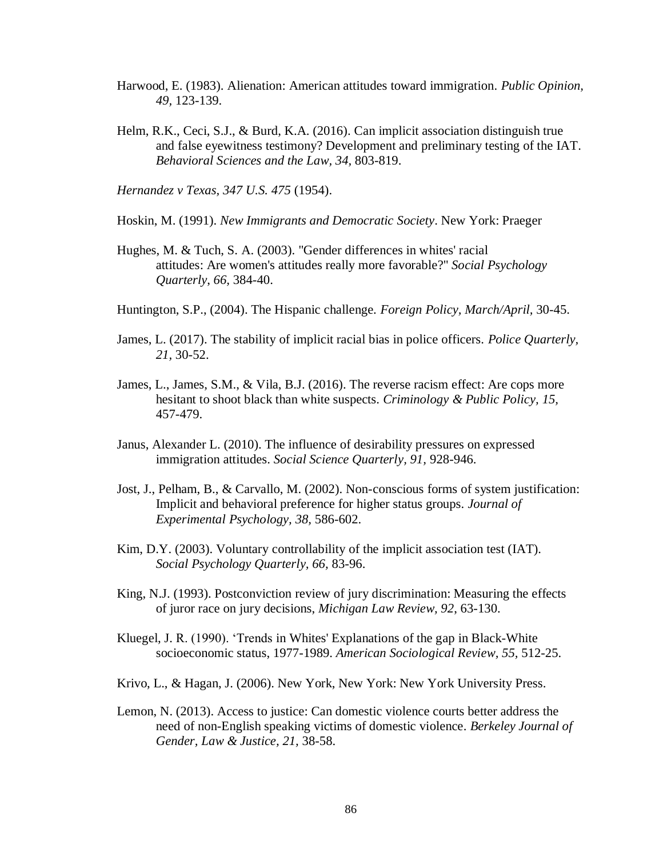- Harwood, E. (1983). Alienation: American attitudes toward immigration. *Public Opinion, 49,* 123-139.
- Helm, R.K., Ceci, S.J., & Burd, K.A. (2016). Can implicit association distinguish true and false eyewitness testimony? Development and preliminary testing of the IAT. *Behavioral Sciences and the Law, 34,* 803-819.

*Hernandez v Texas, 347 U.S. 475* (1954).

Hoskin, M. (1991). *New Immigrants and Democratic Society*. New York: Praeger

- Hughes, M. & Tuch, S. A. (2003). "Gender differences in whites' racial attitudes: Are women's attitudes really more favorable?" *Social Psychology Quarterly*, *66,* 384-40.
- Huntington, S.P., (2004). The Hispanic challenge. *Foreign Policy, March/April,* 30-45.
- James, L. (2017). The stability of implicit racial bias in police officers. *Police Quarterly, 21,* 30-52.
- James, L., James, S.M., & Vila, B.J. (2016). The reverse racism effect: Are cops more hesitant to shoot black than white suspects. *Criminology & Public Policy, 15,* 457-479.
- Janus, Alexander L. (2010). The influence of desirability pressures on expressed immigration attitudes. *Social Science Quarterly, 91,* 928-946.
- Jost, J., Pelham, B., & Carvallo, M. (2002). Non-conscious forms of system justification: Implicit and behavioral preference for higher status groups. *Journal of Experimental Psychology, 38,* 586-602.
- Kim, D.Y. (2003). Voluntary controllability of the implicit association test (IAT). *Social Psychology Quarterly, 66,* 83-96.
- King, N.J. (1993). Postconviction review of jury discrimination: Measuring the effects of juror race on jury decisions, *Michigan Law Review, 92*, 63-130.
- Kluegel, J. R. (1990). 'Trends in Whites' Explanations of the gap in Black-White socioeconomic status, 1977-1989. *American Sociological Review, 55,* 512-25.
- Krivo, L., & Hagan, J. (2006). New York, New York: New York University Press.
- Lemon, N. (2013). Access to justice: Can domestic violence courts better address the need of non-English speaking victims of domestic violence. *Berkeley Journal of Gender, Law & Justice, 21,* 38-58.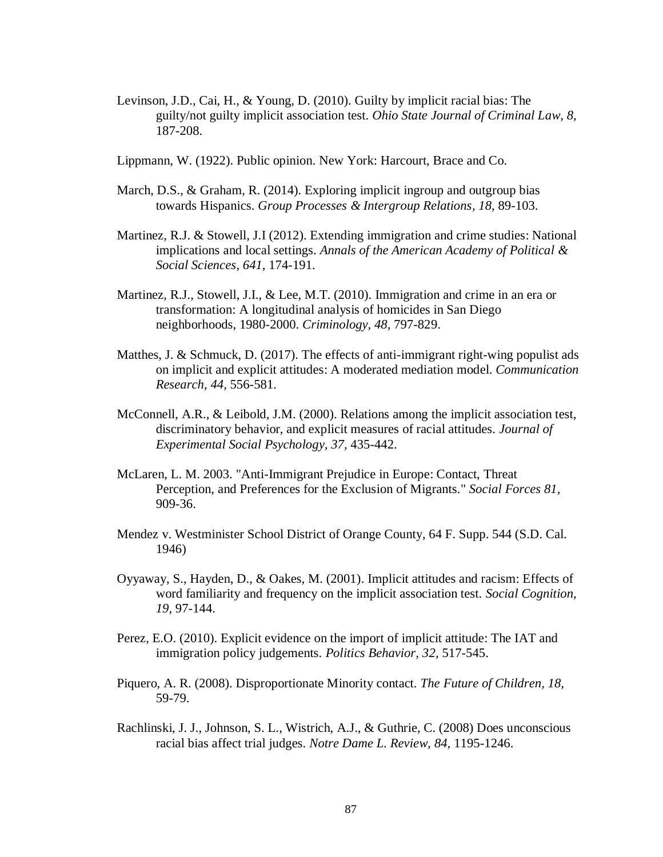- Levinson, J.D., Cai, H., & Young, D. (2010). Guilty by implicit racial bias: The guilty/not guilty implicit association test. *Ohio State Journal of Criminal Law, 8,* 187-208.
- Lippmann, W. (1922). Public opinion. New York: Harcourt, Brace and Co.
- March, D.S., & Graham, R. (2014). Exploring implicit ingroup and outgroup bias towards Hispanics. *Group Processes & Intergroup Relations, 18*, 89-103.
- Martinez, R.J. & Stowell, J.I (2012). Extending immigration and crime studies: National implications and local settings. *Annals of the American Academy of Political & Social Sciences, 641,* 174-191.
- Martinez, R.J., Stowell, J.I., & Lee, M.T. (2010). Immigration and crime in an era or transformation: A longitudinal analysis of homicides in San Diego neighborhoods, 1980-2000. *Criminology, 48,* 797-829.
- Matthes, J. & Schmuck, D.  $(2017)$ . The effects of anti-immigrant right-wing populist ads on implicit and explicit attitudes: A moderated mediation model. *Communication Research, 44,* 556-581.
- McConnell, A.R., & Leibold, J.M. (2000). Relations among the implicit association test, discriminatory behavior, and explicit measures of racial attitudes. *Journal of Experimental Social Psychology, 37,* 435-442.
- McLaren, L. M. 2003. "Anti-Immigrant Prejudice in Europe: Contact, Threat Perception, and Preferences for the Exclusion of Migrants." *Social Forces 81,* 909-36.
- Mendez v. Westminister School District of Orange County, 64 F. Supp. 544 (S.D. Cal. 1946)
- Oyyaway, S., Hayden, D., & Oakes, M. (2001). Implicit attitudes and racism: Effects of word familiarity and frequency on the implicit association test. *Social Cognition, 19,* 97-144.
- Perez, E.O. (2010). Explicit evidence on the import of implicit attitude: The IAT and immigration policy judgements. *Politics Behavior, 32,* 517-545.
- Piquero, A. R. (2008). Disproportionate Minority contact. *The Future of Children, 18,* 59-79.
- Rachlinski, J. J., Johnson, S. L., Wistrich, A.J., & Guthrie, C. (2008) Does unconscious racial bias affect trial judges. *Notre Dame L. Review, 84,* 1195-1246.